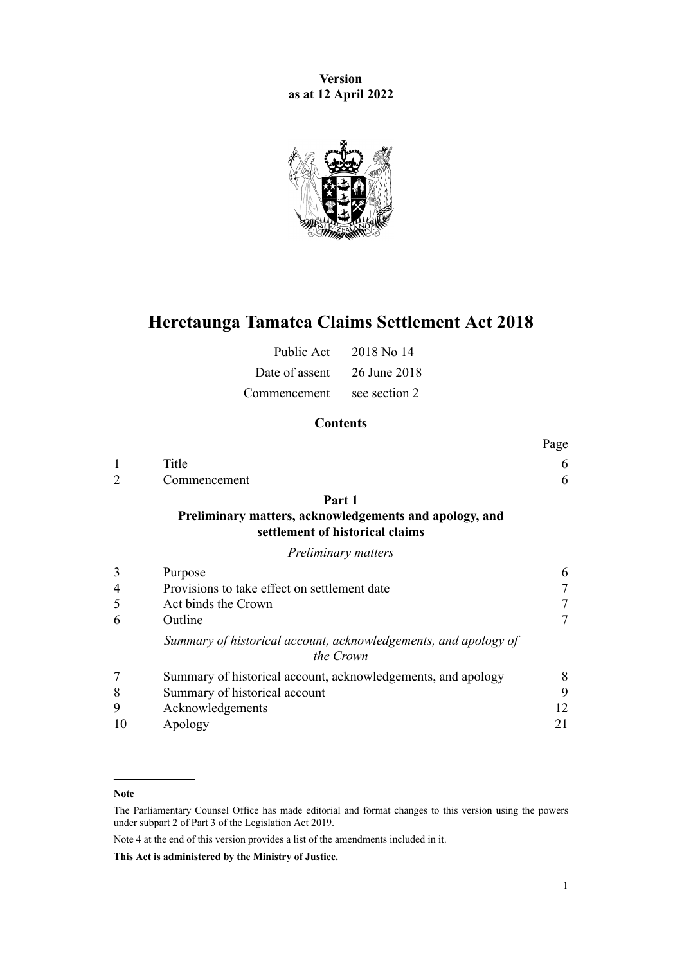**Version as at 12 April 2022**



# **Heretaunga Tamatea Claims Settlement Act 2018**

| Public Act                  | 2018 No 14    |
|-----------------------------|---------------|
| Date of assent 26 June 2018 |               |
| Commencement                | see section 2 |

## **Contents**

|    |                                                                                                     | Page |
|----|-----------------------------------------------------------------------------------------------------|------|
| 1  | Title                                                                                               | 6    |
|    | Commencement                                                                                        | 6    |
|    | Part 1<br>Preliminary matters, acknowledgements and apology, and<br>settlement of historical claims |      |
|    | Preliminary matters                                                                                 |      |
| 3  | Purpose                                                                                             | 6    |
| 4  | Provisions to take effect on settlement date                                                        | 7    |
| 5  | Act binds the Crown                                                                                 | 7    |
| 6  | Outline                                                                                             | 7    |
|    | Summary of historical account, acknowledgements, and apology of<br>the Crown                        |      |
|    | Summary of historical account, acknowledgements, and apology                                        | 8    |
| 8  | Summary of historical account                                                                       | 9    |
| 9  | Acknowledgements                                                                                    | 12   |
| 10 | Apology                                                                                             | 21   |

Note 4 at the end of this version provides a list of the amendments included in it.

**This Act is administered by the Ministry of Justice.**

**Note**

The Parliamentary Counsel Office has made editorial and format changes to this version using the powers under [subpart 2](http://legislation.govt.nz/pdflink.aspx?id=DLM7298371) of Part 3 of the Legislation Act 2019.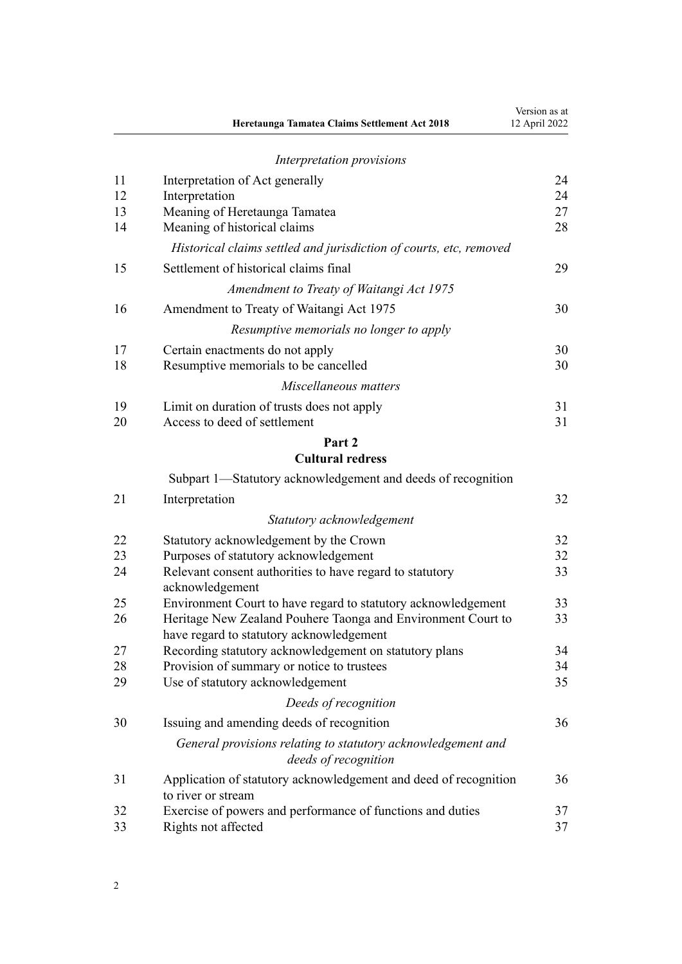|          | Heretaunga Tamatea Claims Settlement Act 2018                                          | Version as at<br>12 April 2022 |
|----------|----------------------------------------------------------------------------------------|--------------------------------|
|          | Interpretation provisions                                                              |                                |
| 11       | Interpretation of Act generally                                                        | 24                             |
| 12       | Interpretation                                                                         | 24                             |
| 13       | Meaning of Heretaunga Tamatea                                                          | 27                             |
| 14       | Meaning of historical claims                                                           | 28                             |
|          | Historical claims settled and jurisdiction of courts, etc, removed                     |                                |
| 15       | Settlement of historical claims final                                                  | 29                             |
|          | Amendment to Treaty of Waitangi Act 1975                                               |                                |
| 16       | Amendment to Treaty of Waitangi Act 1975                                               | 30                             |
|          | Resumptive memorials no longer to apply                                                |                                |
| 17       | Certain enactments do not apply                                                        | 30                             |
| 18       | Resumptive memorials to be cancelled                                                   | 30                             |
|          | Miscellaneous matters                                                                  |                                |
| 19       | Limit on duration of trusts does not apply                                             | 31                             |
| 20       | Access to deed of settlement                                                           | 31                             |
|          | Part 2<br><b>Cultural redress</b>                                                      |                                |
|          | Subpart 1—Statutory acknowledgement and deeds of recognition                           |                                |
| 21       | Interpretation                                                                         | 32                             |
|          |                                                                                        |                                |
|          | Statutory acknowledgement                                                              |                                |
| 22       | Statutory acknowledgement by the Crown                                                 | 32                             |
| 23<br>24 | Purposes of statutory acknowledgement                                                  | 32<br>33                       |
|          | Relevant consent authorities to have regard to statutory<br>acknowledgement            |                                |
| 25       | Environment Court to have regard to statutory acknowledgement                          | 33                             |
| 26       | Heritage New Zealand Pouhere Taonga and Environment Court to                           | 33                             |
|          | have regard to statutory acknowledgement                                               |                                |
| 27       | Recording statutory acknowledgement on statutory plans                                 | 34                             |
| 28       | Provision of summary or notice to trustees                                             | 34                             |
| 29       | Use of statutory acknowledgement                                                       | 35                             |
|          | Deeds of recognition                                                                   |                                |
| 30       | Issuing and amending deeds of recognition                                              | 36                             |
|          | General provisions relating to statutory acknowledgement and<br>deeds of recognition   |                                |
| 31       | Application of statutory acknowledgement and deed of recognition<br>to river or stream | 36                             |
| 32       | Exercise of powers and performance of functions and duties                             | 37                             |
| 33       | Rights not affected                                                                    | 37                             |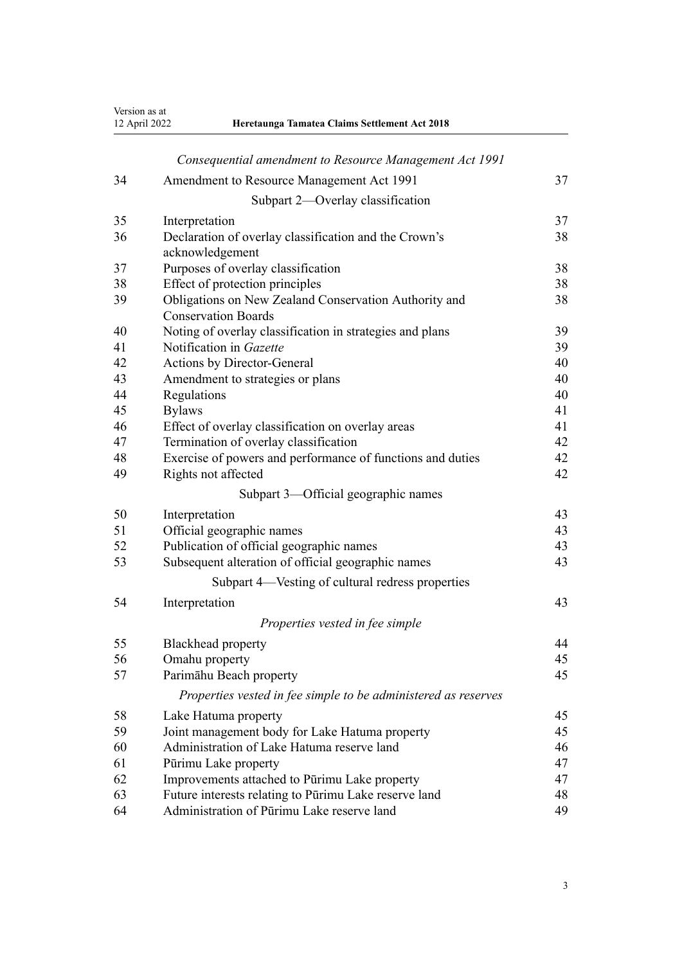Version as at 12 April 2022 **Heretaunga Tamatea Claims Settlement Act 2018**

|  | Heretaunga Tamatea Claims Settlement Act 2018 |  |  |  |  |
|--|-----------------------------------------------|--|--|--|--|
|--|-----------------------------------------------|--|--|--|--|

|    | Consequential amendment to Resource Management Act 1991        |    |
|----|----------------------------------------------------------------|----|
| 34 | Amendment to Resource Management Act 1991                      | 37 |
|    | Subpart 2—Overlay classification                               |    |
| 35 | Interpretation                                                 | 37 |
| 36 | Declaration of overlay classification and the Crown's          | 38 |
|    | acknowledgement                                                |    |
| 37 | Purposes of overlay classification                             | 38 |
| 38 | Effect of protection principles                                | 38 |
| 39 | Obligations on New Zealand Conservation Authority and          | 38 |
|    | <b>Conservation Boards</b>                                     |    |
| 40 | Noting of overlay classification in strategies and plans       | 39 |
| 41 | Notification in Gazette                                        | 39 |
| 42 | Actions by Director-General                                    | 40 |
| 43 | Amendment to strategies or plans                               | 40 |
| 44 | Regulations                                                    | 40 |
| 45 | <b>Bylaws</b>                                                  | 41 |
| 46 | Effect of overlay classification on overlay areas              | 41 |
| 47 | Termination of overlay classification                          | 42 |
| 48 | Exercise of powers and performance of functions and duties     | 42 |
| 49 | Rights not affected                                            | 42 |
|    | Subpart 3-Official geographic names                            |    |
| 50 | Interpretation                                                 | 43 |
| 51 | Official geographic names                                      | 43 |
| 52 | Publication of official geographic names                       | 43 |
| 53 | Subsequent alteration of official geographic names             | 43 |
|    | Subpart 4—Vesting of cultural redress properties               |    |
| 54 | Interpretation                                                 | 43 |
|    | Properties vested in fee simple                                |    |
| 55 | Blackhead property                                             | 44 |
| 56 | Omahu property                                                 | 45 |
| 57 | Parimāhu Beach property                                        | 45 |
|    | Properties vested in fee simple to be administered as reserves |    |
| 58 | Lake Hatuma property                                           | 45 |
| 59 | Joint management body for Lake Hatuma property                 | 45 |
| 60 | Administration of Lake Hatuma reserve land                     | 46 |
| 61 | Pūrimu Lake property                                           | 47 |
| 62 | Improvements attached to Pūrimu Lake property                  | 47 |
| 63 | Future interests relating to Pūrimu Lake reserve land          | 48 |
| 64 | Administration of Pūrimu Lake reserve land                     | 49 |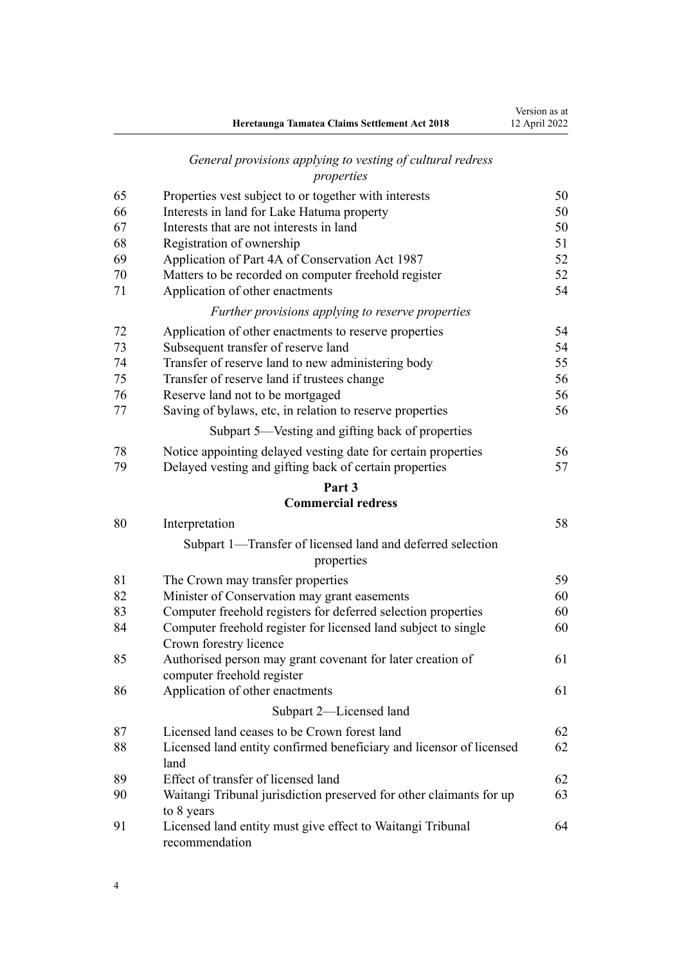|    | Heretaunga Tamatea Claims Settlement Act 2018                                            | Version as at<br>12 April 2022 |
|----|------------------------------------------------------------------------------------------|--------------------------------|
|    | General provisions applying to vesting of cultural redress<br>properties                 |                                |
| 65 | Properties vest subject to or together with interests                                    | 50                             |
| 66 | Interests in land for Lake Hatuma property                                               | 50                             |
| 67 | Interests that are not interests in land                                                 | 50                             |
| 68 | Registration of ownership                                                                | 51                             |
| 69 | Application of Part 4A of Conservation Act 1987                                          | 52                             |
| 70 | Matters to be recorded on computer freehold register                                     | 52                             |
| 71 | Application of other enactments                                                          | 54                             |
|    | Further provisions applying to reserve properties                                        |                                |
| 72 | Application of other enactments to reserve properties                                    | 54                             |
| 73 | Subsequent transfer of reserve land                                                      | 54                             |
| 74 | Transfer of reserve land to new administering body                                       | 55                             |
| 75 | Transfer of reserve land if trustees change                                              | 56                             |
| 76 | Reserve land not to be mortgaged                                                         | 56                             |
| 77 | Saving of bylaws, etc, in relation to reserve properties                                 | 56                             |
|    | Subpart 5-Vesting and gifting back of properties                                         |                                |
| 78 | Notice appointing delayed vesting date for certain properties                            | 56                             |
| 79 | Delayed vesting and gifting back of certain properties                                   | 57                             |
|    | Part 3                                                                                   |                                |
|    | <b>Commercial redress</b>                                                                |                                |
| 80 | Interpretation                                                                           | 58                             |
|    | Subpart 1—Transfer of licensed land and deferred selection<br>properties                 |                                |
| 81 | The Crown may transfer properties                                                        | 59                             |
| 82 | Minister of Conservation may grant easements                                             | 60                             |
| 83 | Computer freehold registers for deferred selection properties                            | 60                             |
| 84 | Computer freehold register for licensed land subject to single<br>Crown forestry licence | 60                             |
| 85 | Authorised person may grant covenant for later creation of<br>computer freehold register | 61                             |
| 86 | Application of other enactments                                                          | 61                             |
|    | Subpart 2-Licensed land                                                                  |                                |
| 87 | Licensed land ceases to be Crown forest land                                             | 62                             |
| 88 | Licensed land entity confirmed beneficiary and licensor of licensed<br>land              | 62                             |
| 89 | Effect of transfer of licensed land                                                      | 62                             |
| 90 | Waitangi Tribunal jurisdiction preserved for other claimants for up<br>to 8 years        | 63                             |
| 91 | Licensed land entity must give effect to Waitangi Tribunal<br>recommendation             | 64                             |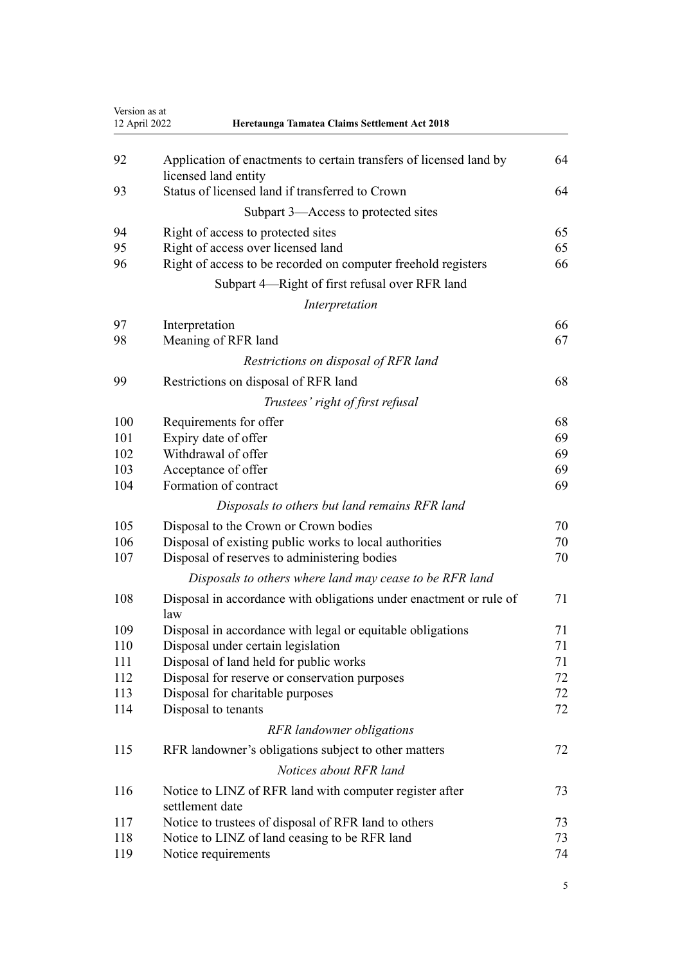|     | 12 April 2022<br>Heretaunga Tamatea Claims Settlement Act 2018                             |    |
|-----|--------------------------------------------------------------------------------------------|----|
| 92  | Application of enactments to certain transfers of licensed land by<br>licensed land entity | 64 |
| 93  | Status of licensed land if transferred to Crown                                            | 64 |
|     | Subpart 3—Access to protected sites                                                        |    |
| 94  | Right of access to protected sites                                                         | 65 |
| 95  | Right of access over licensed land                                                         | 65 |
| 96  | Right of access to be recorded on computer freehold registers                              | 66 |
|     | Subpart 4—Right of first refusal over RFR land                                             |    |
|     | Interpretation                                                                             |    |
| 97  | Interpretation                                                                             | 66 |
| 98  | Meaning of RFR land                                                                        | 67 |
|     | Restrictions on disposal of RFR land                                                       |    |
| 99  | Restrictions on disposal of RFR land                                                       | 68 |
|     | Trustees' right of first refusal                                                           |    |
| 100 | Requirements for offer                                                                     | 68 |
| 101 | Expiry date of offer                                                                       | 69 |
| 102 | Withdrawal of offer                                                                        | 69 |
| 103 | Acceptance of offer                                                                        | 69 |
| 104 | Formation of contract                                                                      | 69 |
|     | Disposals to others but land remains RFR land                                              |    |
| 105 | Disposal to the Crown or Crown bodies                                                      | 70 |
| 106 | Disposal of existing public works to local authorities                                     | 70 |
| 107 | Disposal of reserves to administering bodies                                               | 70 |
|     | Disposals to others where land may cease to be RFR land                                    |    |
| 108 | Disposal in accordance with obligations under enactment or rule of<br>law                  | 71 |
| 109 | Disposal in accordance with legal or equitable obligations                                 | 71 |
| 110 | Disposal under certain legislation                                                         | 71 |
| 111 | Disposal of land held for public works                                                     | 71 |
| 112 | Disposal for reserve or conservation purposes                                              | 72 |
| 113 | Disposal for charitable purposes                                                           | 72 |
| 114 | Disposal to tenants                                                                        | 72 |
|     | RFR landowner obligations                                                                  |    |
| 115 | RFR landowner's obligations subject to other matters                                       | 72 |
|     | Notices about RFR land                                                                     |    |
| 116 | Notice to LINZ of RFR land with computer register after<br>settlement date                 | 73 |
| 117 | Notice to trustees of disposal of RFR land to others                                       | 73 |
| 118 | Notice to LINZ of land ceasing to be RFR land                                              | 73 |
| 119 | Notice requirements                                                                        | 74 |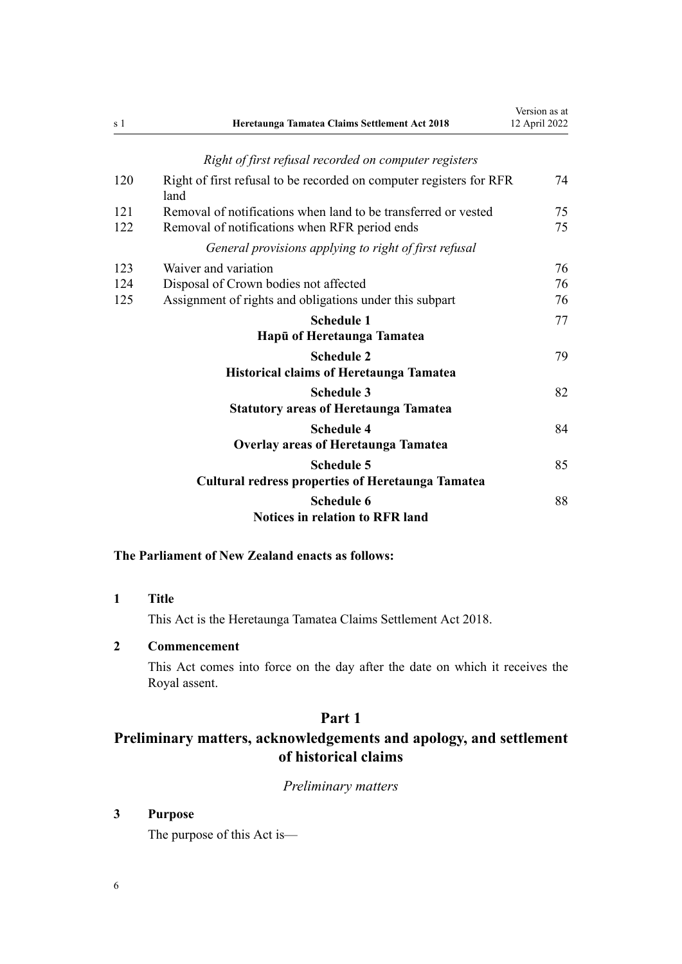<span id="page-5-0"></span>

| s 1 | Heretaunga Tamatea Claims Settlement Act 2018                               | Version as at<br>12 April 2022 |
|-----|-----------------------------------------------------------------------------|--------------------------------|
|     | Right of first refusal recorded on computer registers                       |                                |
| 120 | Right of first refusal to be recorded on computer registers for RFR<br>land | 74                             |
| 121 | Removal of notifications when land to be transferred or vested              | 75                             |
| 122 | Removal of notifications when RFR period ends                               | 75                             |
|     | General provisions applying to right of first refusal                       |                                |
| 123 | Waiver and variation                                                        | 76                             |
| 124 | Disposal of Crown bodies not affected                                       | 76                             |
| 125 | Assignment of rights and obligations under this subpart                     | 76                             |
|     | <b>Schedule 1</b>                                                           | 77                             |
|     | Hapū of Heretaunga Tamatea                                                  |                                |
|     | <b>Schedule 2</b>                                                           | 79                             |
|     | <b>Historical claims of Heretaunga Tamatea</b>                              |                                |
|     | <b>Schedule 3</b>                                                           | 82                             |
|     | <b>Statutory areas of Heretaunga Tamatea</b>                                |                                |
|     | <b>Schedule 4</b>                                                           | 84                             |
|     | <b>Overlay areas of Heretaunga Tamatea</b>                                  |                                |
|     | <b>Schedule 5</b>                                                           | 85                             |
|     | <b>Cultural redress properties of Heretaunga Tamatea</b>                    |                                |
|     | <b>Schedule 6</b>                                                           | 88                             |
|     | <b>Notices in relation to RFR land</b>                                      |                                |

## **The Parliament of New Zealand enacts as follows:**

**1 Title**

This Act is the Heretaunga Tamatea Claims Settlement Act 2018.

## **2 Commencement**

This Act comes into force on the day after the date on which it receives the Royal assent.

## **Part 1**

## **Preliminary matters, acknowledgements and apology, and settlement of historical claims**

*Preliminary matters*

## **3 Purpose**

The purpose of this Act is—

6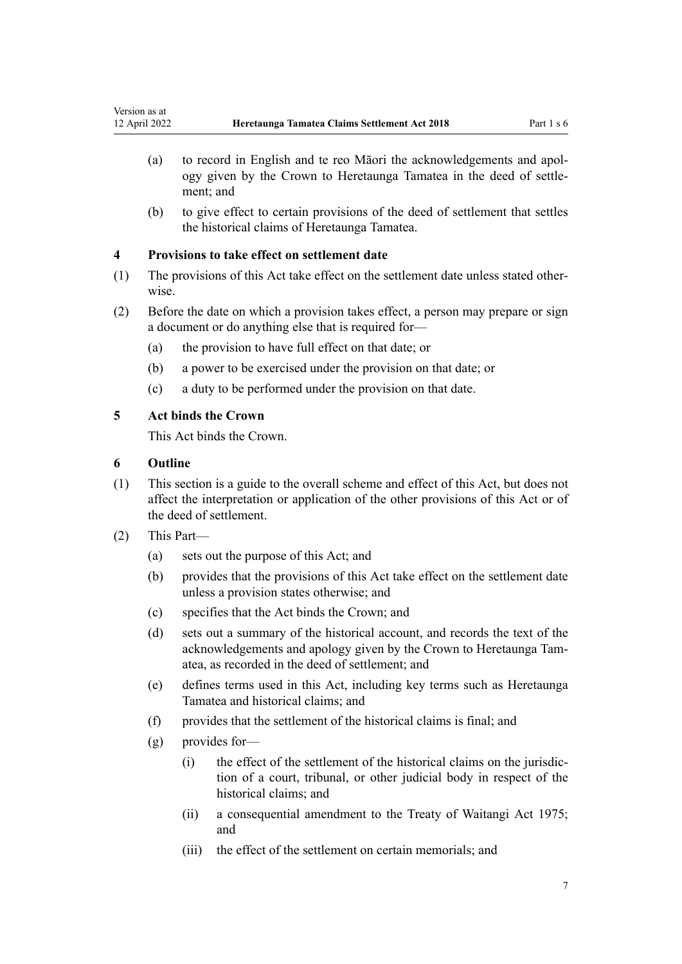- <span id="page-6-0"></span>(a) to record in English and te reo Māori the acknowledgements and apol‐ ogy given by the Crown to Heretaunga Tamatea in the deed of settle‐ ment; and
- (b) to give effect to certain provisions of the deed of settlement that settles the historical claims of Heretaunga Tamatea.

## **4 Provisions to take effect on settlement date**

- (1) The provisions of this Act take effect on the settlement date unless stated other‐ wise.
- (2) Before the date on which a provision takes effect, a person may prepare or sign a document or do anything else that is required for—
	- (a) the provision to have full effect on that date; or
	- (b) a power to be exercised under the provision on that date; or
	- (c) a duty to be performed under the provision on that date.

## **5 Act binds the Crown**

This Act binds the Crown.

## **6 Outline**

- (1) This section is a guide to the overall scheme and effect of this Act, but does not affect the interpretation or application of the other provisions of this Act or of the deed of settlement.
- (2) This Part—
	- (a) sets out the purpose of this Act; and
	- (b) provides that the provisions of this Act take effect on the settlement date unless a provision states otherwise; and
	- (c) specifies that the Act binds the Crown; and
	- (d) sets out a summary of the historical account, and records the text of the acknowledgements and apology given by the Crown to Heretaunga Tam‐ atea, as recorded in the deed of settlement; and
	- (e) defines terms used in this Act, including key terms such as Heretaunga Tamatea and historical claims; and
	- (f) provides that the settlement of the historical claims is final; and
	- (g) provides for—
		- (i) the effect of the settlement of the historical claims on the jurisdic‐ tion of a court, tribunal, or other judicial body in respect of the historical claims; and
		- (ii) a consequential amendment to the [Treaty of Waitangi Act 1975;](http://legislation.govt.nz/pdflink.aspx?id=DLM435367) and
		- (iii) the effect of the settlement on certain memorials; and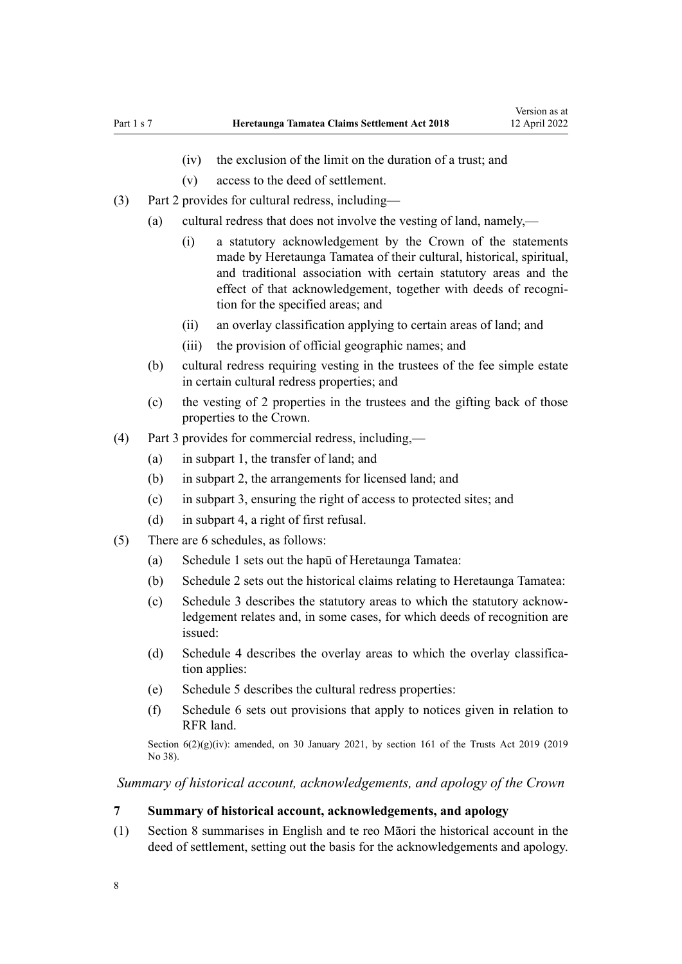- (iv) the exclusion of the limit on the duration of a trust; and
- (v) access to the deed of settlement.
- <span id="page-7-0"></span>(3) [Part 2](#page-31-0) provides for cultural redress, including—
	- (a) cultural redress that does not involve the vesting of land, namely,—
		- (i) a statutory acknowledgement by the Crown of the statements made by Heretaunga Tamatea of their cultural, historical, spiritual, and traditional association with certain statutory areas and the effect of that acknowledgement, together with deeds of recognition for the specified areas; and
		- (ii) an overlay classification applying to certain areas of land; and
		- (iii) the provision of official geographic names; and
	- (b) cultural redress requiring vesting in the trustees of the fee simple estate in certain cultural redress properties; and
	- (c) the vesting of 2 properties in the trustees and the gifting back of those properties to the Crown.
- (4) [Part 3](#page-57-0) provides for commercial redress, including,—
	- (a) in [subpart 1,](#page-31-0) the transfer of land; and
	- (b) in [subpart 2,](#page-36-0) the arrangements for licensed land; and
	- (c) in [subpart 3,](#page-42-0) ensuring the right of access to protected sites; and
	- (d) in [subpart 4,](#page-42-0) a right of first refusal.
- (5) There are 6 schedules, as follows:
	- (a) [Schedule 1](#page-76-0) sets out the hapū of Heretaunga Tamatea:
	- (b) [Schedule 2](#page-78-0) sets out the historical claims relating to Heretaunga Tamatea:
	- (c) [Schedule 3](#page-81-0) describes the statutory areas to which the statutory acknow‐ ledgement relates and, in some cases, for which deeds of recognition are issued:
	- (d) [Schedule 4](#page-83-0) describes the overlay areas to which the overlay classification applies:
	- (e) [Schedule 5](#page-84-0) describes the cultural redress properties:
	- (f) [Schedule 6](#page-87-0) sets out provisions that apply to notices given in relation to RFR land.

Section  $6(2)(g)(iv)$ : amended, on 30 January 2021, by [section 161](http://legislation.govt.nz/pdflink.aspx?id=DLM7383110) of the Trusts Act 2019 (2019) No 38).

*Summary of historical account, acknowledgements, and apology of the Crown*

#### **7 Summary of historical account, acknowledgements, and apology**

(1) [Section 8](#page-8-0) summarises in English and te reo Māori the historical account in the deed of settlement, setting out the basis for the acknowledgements and apology.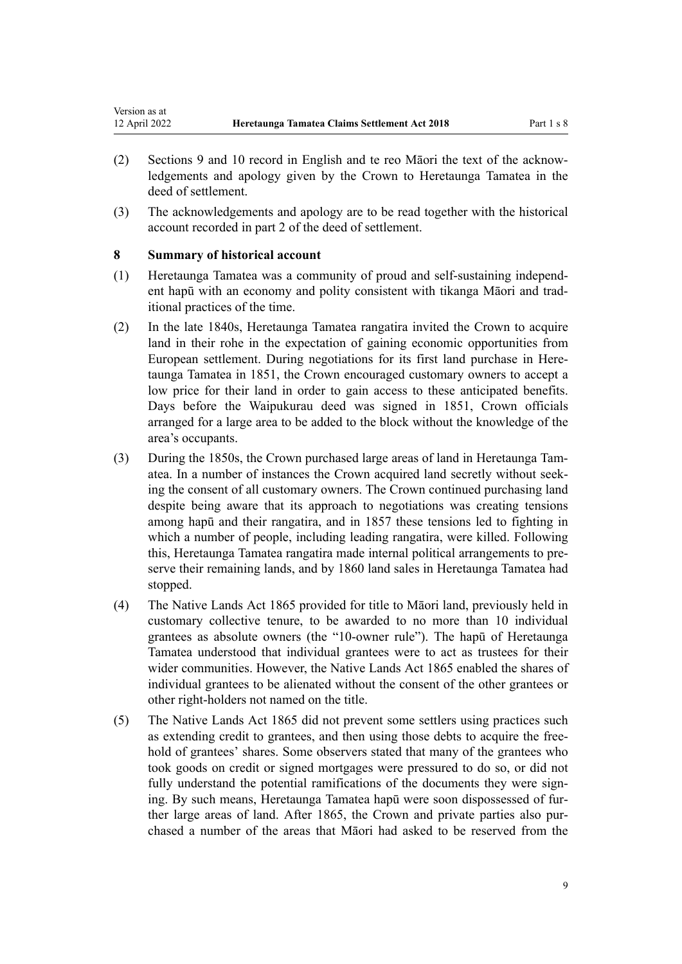- <span id="page-8-0"></span>(2) [Sections 9](#page-11-0) and [10](#page-20-0) record in English and te reo Māori the text of the acknow‐ ledgements and apology given by the Crown to Heretaunga Tamatea in the deed of settlement.
- (3) The acknowledgements and apology are to be read together with the historical account recorded in part 2 of the deed of settlement.

## **8 Summary of historical account**

- (1) Heretaunga Tamatea was a community of proud and self-sustaining independ‐ ent hapū with an economy and polity consistent with tikanga Māori and trad‐ itional practices of the time.
- (2) In the late 1840s, Heretaunga Tamatea rangatira invited the Crown to acquire land in their rohe in the expectation of gaining economic opportunities from European settlement. During negotiations for its first land purchase in Heretaunga Tamatea in 1851, the Crown encouraged customary owners to accept a low price for their land in order to gain access to these anticipated benefits. Days before the Waipukurau deed was signed in 1851, Crown officials arranged for a large area to be added to the block without the knowledge of the area's occupants.
- (3) During the 1850s, the Crown purchased large areas of land in Heretaunga Tam‐ atea. In a number of instances the Crown acquired land secretly without seek‐ ing the consent of all customary owners. The Crown continued purchasing land despite being aware that its approach to negotiations was creating tensions among hapū and their rangatira, and in 1857 these tensions led to fighting in which a number of people, including leading rangatira, were killed. Following this, Heretaunga Tamatea rangatira made internal political arrangements to pre‐ serve their remaining lands, and by 1860 land sales in Heretaunga Tamatea had stopped.
- (4) The Native Lands Act 1865 provided for title to Māori land, previously held in customary collective tenure, to be awarded to no more than 10 individual grantees as absolute owners (the "10-owner rule"). The hapū of Heretaunga Tamatea understood that individual grantees were to act as trustees for their wider communities. However, the Native Lands Act 1865 enabled the shares of individual grantees to be alienated without the consent of the other grantees or other right-holders not named on the title.
- (5) The Native Lands Act 1865 did not prevent some settlers using practices such as extending credit to grantees, and then using those debts to acquire the free‐ hold of grantees' shares. Some observers stated that many of the grantees who took goods on credit or signed mortgages were pressured to do so, or did not fully understand the potential ramifications of the documents they were signing. By such means, Heretaunga Tamatea hapū were soon dispossessed of fur‐ ther large areas of land. After 1865, the Crown and private parties also pur‐ chased a number of the areas that Māori had asked to be reserved from the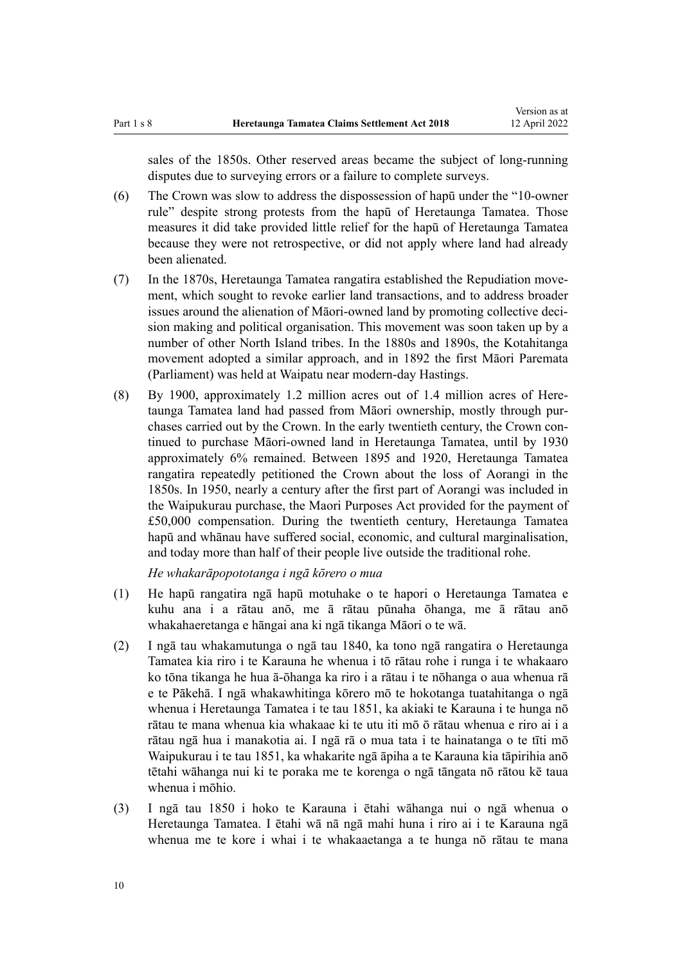sales of the 1850s. Other reserved areas became the subject of long-running disputes due to surveying errors or a failure to complete surveys.

- (6) The Crown was slow to address the dispossession of hapū under the "10-owner rule" despite strong protests from the hapū of Heretaunga Tamatea. Those measures it did take provided little relief for the hapū of Heretaunga Tamatea because they were not retrospective, or did not apply where land had already been alienated.
- (7) In the 1870s, Heretaunga Tamatea rangatira established the Repudiation move‐ ment, which sought to revoke earlier land transactions, and to address broader issues around the alienation of Māori-owned land by promoting collective deci‐ sion making and political organisation. This movement was soon taken up by a number of other North Island tribes. In the 1880s and 1890s, the Kotahitanga movement adopted a similar approach, and in 1892 the first Māori Paremata (Parliament) was held at Waipatu near modern-day Hastings.
- (8) By 1900, approximately 1.2 million acres out of 1.4 million acres of Here‐ taunga Tamatea land had passed from Māori ownership, mostly through pur‐ chases carried out by the Crown. In the early twentieth century, the Crown continued to purchase Māori-owned land in Heretaunga Tamatea, until by 1930 approximately 6% remained. Between 1895 and 1920, Heretaunga Tamatea rangatira repeatedly petitioned the Crown about the loss of Aorangi in the 1850s. In 1950, nearly a century after the first part of Aorangi was included in the Waipukurau purchase, the Maori Purposes Act provided for the payment of £50,000 compensation. During the twentieth century, Heretaunga Tamatea hapū and whānau have suffered social, economic, and cultural marginalisation, and today more than half of their people live outside the traditional rohe.

*He whakarāpopototanga i ngā kōrero o mua*

- (1) He hapū rangatira ngā hapū motuhake o te hapori o Heretaunga Tamatea e kuhu ana i a rātau anō, me ā rātau pūnaha ōhanga, me ā rātau anō whakahaeretanga e hāngai ana ki ngā tikanga Māori o te wā.
- (2) I ngā tau whakamutunga o ngā tau 1840, ka tono ngā rangatira o Heretaunga Tamatea kia riro i te Karauna he whenua i tō rātau rohe i runga i te whakaaro ko tōna tikanga he hua ā-ōhanga ka riro i a rātau i te nōhanga o aua whenua rā e te Pākehā. I ngā whakawhitinga kōrero mō te hokotanga tuatahitanga o ngā whenua i Heretaunga Tamatea i te tau 1851, ka akiaki te Karauna i te hunga nō rātau te mana whenua kia whakaae ki te utu iti mō ō rātau whenua e riro ai i a rātau ngā hua i manakotia ai. I ngā rā o mua tata i te hainatanga o te tīti mō Waipukurau i te tau 1851, ka whakarite ngā āpiha a te Karauna kia tāpirihia anō tētahi wāhanga nui ki te poraka me te korenga o ngā tāngata nō rātou kē taua whenua i mōhio.
- (3) I ngā tau 1850 i hoko te Karauna i ētahi wāhanga nui o ngā whenua o Heretaunga Tamatea. I ētahi wā nā ngā mahi huna i riro ai i te Karauna ngā whenua me te kore i whai i te whakaaetanga a te hunga nō rātau te mana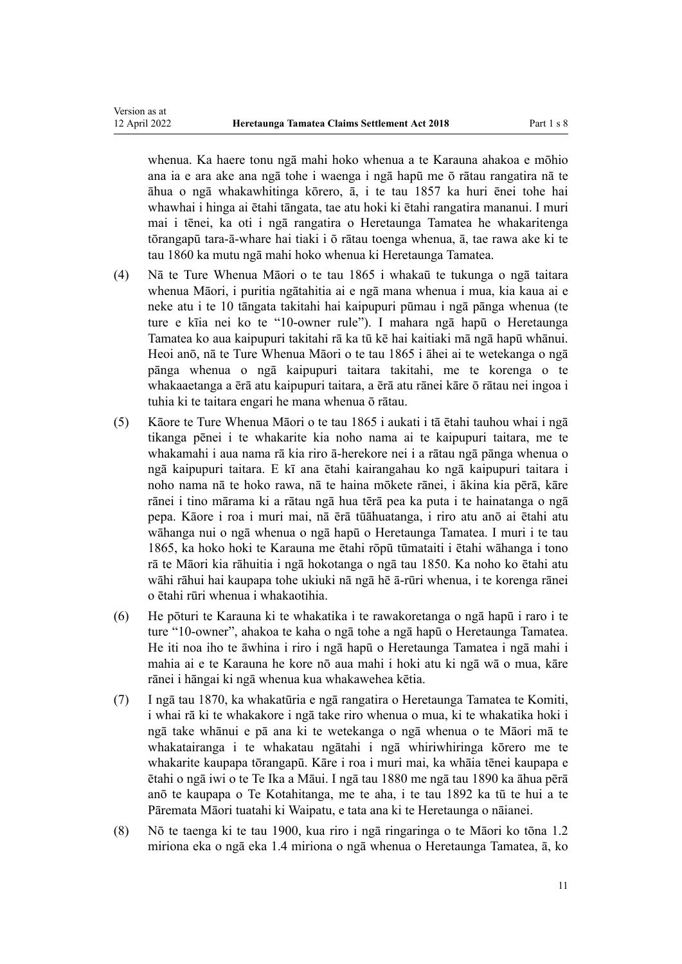Version as at

whenua. Ka haere tonu ngā mahi hoko whenua a te Karauna ahakoa e mōhio ana ia e ara ake ana ngā tohe i waenga i ngā hapū me ō rātau rangatira nā te āhua o ngā whakawhitinga kōrero, ā, i te tau 1857 ka huri ēnei tohe hai whawhai i hinga ai ētahi tāngata, tae atu hoki ki ētahi rangatira mananui. I muri mai i tēnei, ka oti i ngā rangatira o Heretaunga Tamatea he whakaritenga tōrangapū tara-ā-whare hai tiaki i ō rātau toenga whenua, ā, tae rawa ake ki te tau 1860 ka mutu ngā mahi hoko whenua ki Heretaunga Tamatea.

- (4) Nā te Ture Whenua Māori o te tau 1865 i whakaū te tukunga o ngā taitara whenua Māori, i puritia ngātahitia ai e ngā mana whenua i mua, kia kaua ai e neke atu i te 10 tāngata takitahi hai kaipupuri pūmau i ngā pānga whenua (te ture e kīia nei ko te "10-owner rule"). I mahara ngā hapū o Heretaunga Tamatea ko aua kaipupuri takitahi rā ka tū kē hai kaitiaki mā ngā hapū whānui. Heoi anō, nā te Ture Whenua Māori o te tau 1865 i āhei ai te wetekanga o ngā pānga whenua o ngā kaipupuri taitara takitahi, me te korenga o te whakaaetanga a ērā atu kaipupuri taitara, a ērā atu rānei kāre ō rātau nei ingoa i tuhia ki te taitara engari he mana whenua ō rātau.
- (5) Kāore te Ture Whenua Māori o te tau 1865 i aukati i tā ētahi tauhou whai i ngā tikanga pēnei i te whakarite kia noho nama ai te kaipupuri taitara, me te whakamahi i aua nama rā kia riro ā-herekore nei i a rātau ngā pānga whenua o ngā kaipupuri taitara. E kī ana ētahi kairangahau ko ngā kaipupuri taitara i noho nama nā te hoko rawa, nā te haina mōkete rānei, i ākina kia pērā, kāre rānei i tino mārama ki a rātau ngā hua tērā pea ka puta i te hainatanga o ngā pepa. Kāore i roa i muri mai, nā ērā tūāhuatanga, i riro atu anō ai ētahi atu wāhanga nui o ngā whenua o ngā hapū o Heretaunga Tamatea. I muri i te tau 1865, ka hoko hoki te Karauna me ētahi rōpū tūmataiti i ētahi wāhanga i tono rā te Māori kia rāhuitia i ngā hokotanga o ngā tau 1850. Ka noho ko ētahi atu wāhi rāhui hai kaupapa tohe ukiuki nā ngā hē ā-rūri whenua, i te korenga rānei o ētahi rūri whenua i whakaotihia.
- (6) He pōturi te Karauna ki te whakatika i te rawakoretanga o ngā hapū i raro i te ture "10-owner", ahakoa te kaha o ngā tohe a ngā hapū o Heretaunga Tamatea. He iti noa iho te āwhina i riro i ngā hapū o Heretaunga Tamatea i ngā mahi i mahia ai e te Karauna he kore nō aua mahi i hoki atu ki ngā wā o mua, kāre rānei i hāngai ki ngā whenua kua whakawehea kētia.
- (7) I ngā tau 1870, ka whakatūria e ngā rangatira o Heretaunga Tamatea te Komiti, i whai rā ki te whakakore i ngā take riro whenua o mua, ki te whakatika hoki i ngā take whānui e pā ana ki te wetekanga o ngā whenua o te Māori mā te whakatairanga i te whakatau ngātahi i ngā whiriwhiringa kōrero me te whakarite kaupapa tōrangapū. Kāre i roa i muri mai, ka whāia tēnei kaupapa e ētahi o ngā iwi o te Te Ika a Māui. I ngā tau 1880 me ngā tau 1890 ka āhua pērā anō te kaupapa o Te Kotahitanga, me te aha, i te tau 1892 ka tū te hui a te Pāremata Māori tuatahi ki Waipatu, e tata ana ki te Heretaunga o nāianei.
- (8) Nō te taenga ki te tau 1900, kua riro i ngā ringaringa o te Māori ko tōna 1.2 miriona eka o ngā eka 1.4 miriona o ngā whenua o Heretaunga Tamatea, ā, ko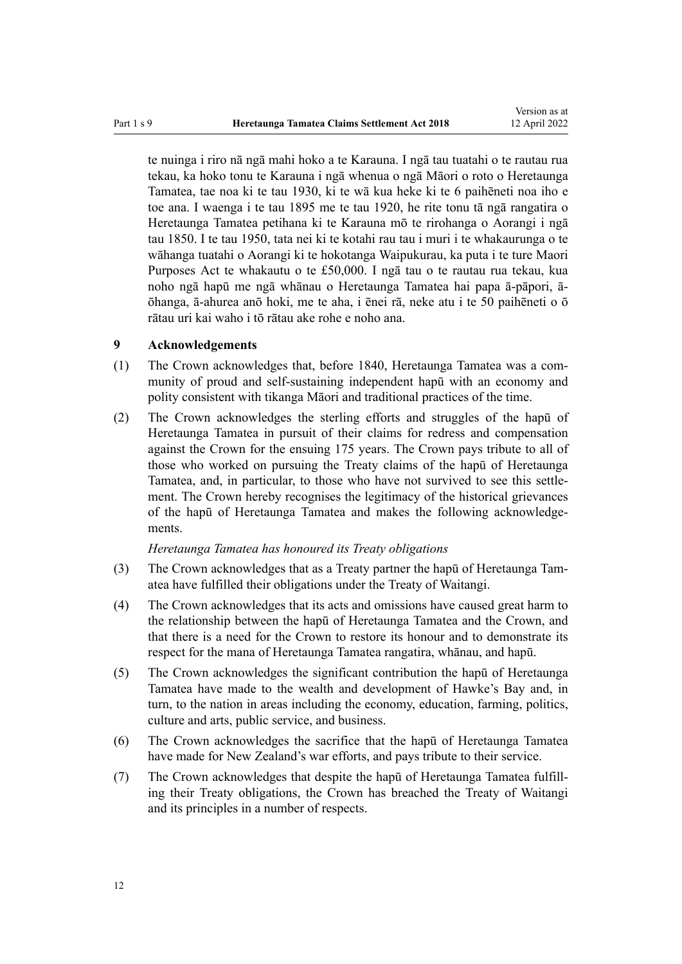<span id="page-11-0"></span>te nuinga i riro nā ngā mahi hoko a te Karauna. I ngā tau tuatahi o te rautau rua tekau, ka hoko tonu te Karauna i ngā whenua o ngā Māori o roto o Heretaunga Tamatea, tae noa ki te tau 1930, ki te wā kua heke ki te 6 paihēneti noa iho e toe ana. I waenga i te tau 1895 me te tau 1920, he rite tonu tā ngā rangatira o Heretaunga Tamatea petihana ki te Karauna mō te rirohanga o Aorangi i ngā tau 1850. I te tau 1950, tata nei ki te kotahi rau tau i muri i te whakaurunga o te wāhanga tuatahi o Aorangi ki te hokotanga Waipukurau, ka puta i te ture Maori Purposes Act te whakautu o te £50,000. I ngā tau o te rautau rua tekau, kua noho ngā hapū me ngā whānau o Heretaunga Tamatea hai papa ā-pāpori, āōhanga, ā-ahurea anō hoki, me te aha, i ēnei rā, neke atu i te 50 paihēneti o ō rātau uri kai waho i tō rātau ake rohe e noho ana.

## **9 Acknowledgements**

- (1) The Crown acknowledges that, before 1840, Heretaunga Tamatea was a community of proud and self-sustaining independent hapū with an economy and polity consistent with tikanga Māori and traditional practices of the time.
- (2) The Crown acknowledges the sterling efforts and struggles of the hapū of Heretaunga Tamatea in pursuit of their claims for redress and compensation against the Crown for the ensuing 175 years. The Crown pays tribute to all of those who worked on pursuing the Treaty claims of the hapū of Heretaunga Tamatea, and, in particular, to those who have not survived to see this settle‐ ment. The Crown hereby recognises the legitimacy of the historical grievances of the hapū of Heretaunga Tamatea and makes the following acknowledge‐ ments.

## *Heretaunga Tamatea has honoured its Treaty obligations*

- (3) The Crown acknowledges that as a Treaty partner the hapū of Heretaunga Tam‐ atea have fulfilled their obligations under the [Treaty of Waitangi](http://legislation.govt.nz/pdflink.aspx?id=DLM435834).
- (4) The Crown acknowledges that its acts and omissions have caused great harm to the relationship between the hapū of Heretaunga Tamatea and the Crown, and that there is a need for the Crown to restore its honour and to demonstrate its respect for the mana of Heretaunga Tamatea rangatira, whānau, and hapū.
- (5) The Crown acknowledges the significant contribution the hapū of Heretaunga Tamatea have made to the wealth and development of Hawke's Bay and, in turn, to the nation in areas including the economy, education, farming, politics, culture and arts, public service, and business.
- (6) The Crown acknowledges the sacrifice that the hapū of Heretaunga Tamatea have made for New Zealand's war efforts, and pays tribute to their service.
- (7) The Crown acknowledges that despite the hapū of Heretaunga Tamatea fulfill‐ ing their Treaty obligations, the Crown has breached the [Treaty of Waitangi](http://legislation.govt.nz/pdflink.aspx?id=DLM435834) and its principles in a number of respects.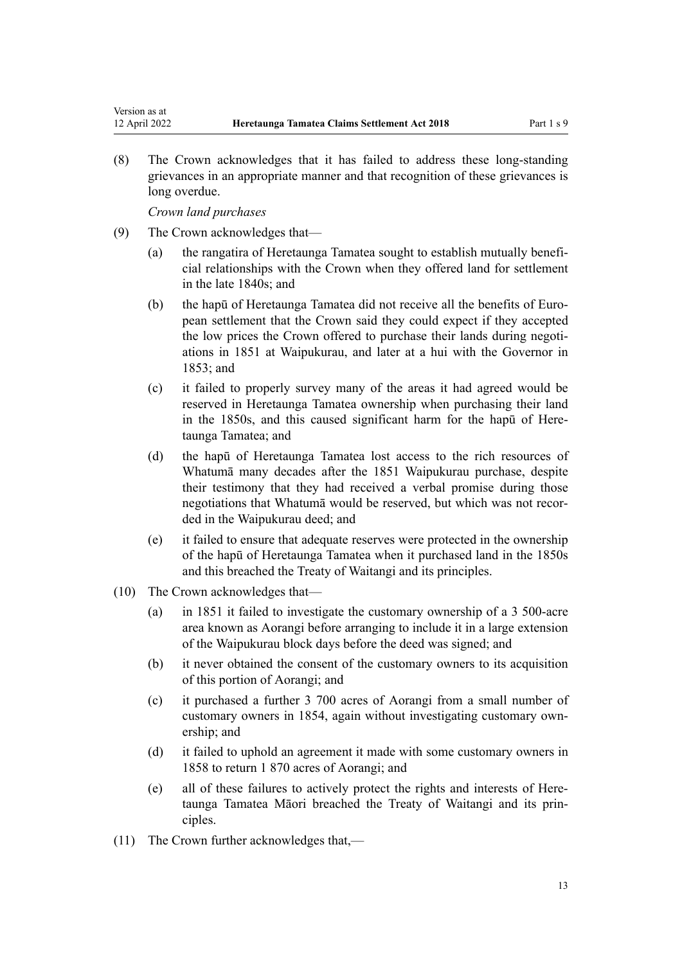(8) The Crown acknowledges that it has failed to address these long-standing grievances in an appropriate manner and that recognition of these grievances is long overdue.

*Crown land purchases*

Version as at

- (9) The Crown acknowledges that—
	- (a) the rangatira of Heretaunga Tamatea sought to establish mutually benefi‐ cial relationships with the Crown when they offered land for settlement in the late 1840s; and
	- (b) the hapū of Heretaunga Tamatea did not receive all the benefits of Euro‐ pean settlement that the Crown said they could expect if they accepted the low prices the Crown offered to purchase their lands during negotiations in 1851 at Waipukurau, and later at a hui with the Governor in 1853; and
	- (c) it failed to properly survey many of the areas it had agreed would be reserved in Heretaunga Tamatea ownership when purchasing their land in the 1850s, and this caused significant harm for the hapū of Heretaunga Tamatea; and
	- (d) the hapū of Heretaunga Tamatea lost access to the rich resources of Whatumā many decades after the 1851 Waipukurau purchase, despite their testimony that they had received a verbal promise during those negotiations that Whatumā would be reserved, but which was not recor‐ ded in the Waipukurau deed; and
	- (e) it failed to ensure that adequate reserves were protected in the ownership of the hapū of Heretaunga Tamatea when it purchased land in the 1850s and this breached the [Treaty of Waitangi](http://legislation.govt.nz/pdflink.aspx?id=DLM435834) and its principles.
- (10) The Crown acknowledges that—
	- (a) in 1851 it failed to investigate the customary ownership of a 3 500-acre area known as Aorangi before arranging to include it in a large extension of the Waipukurau block days before the deed was signed; and
	- (b) it never obtained the consent of the customary owners to its acquisition of this portion of Aorangi; and
	- (c) it purchased a further 3 700 acres of Aorangi from a small number of customary owners in 1854, again without investigating customary own‐ ership; and
	- (d) it failed to uphold an agreement it made with some customary owners in 1858 to return 1 870 acres of Aorangi; and
	- (e) all of these failures to actively protect the rights and interests of Here‐ taunga Tamatea Māori breached the [Treaty of Waitangi](http://legislation.govt.nz/pdflink.aspx?id=DLM435834) and its prin‐ ciples.
- (11) The Crown further acknowledges that,—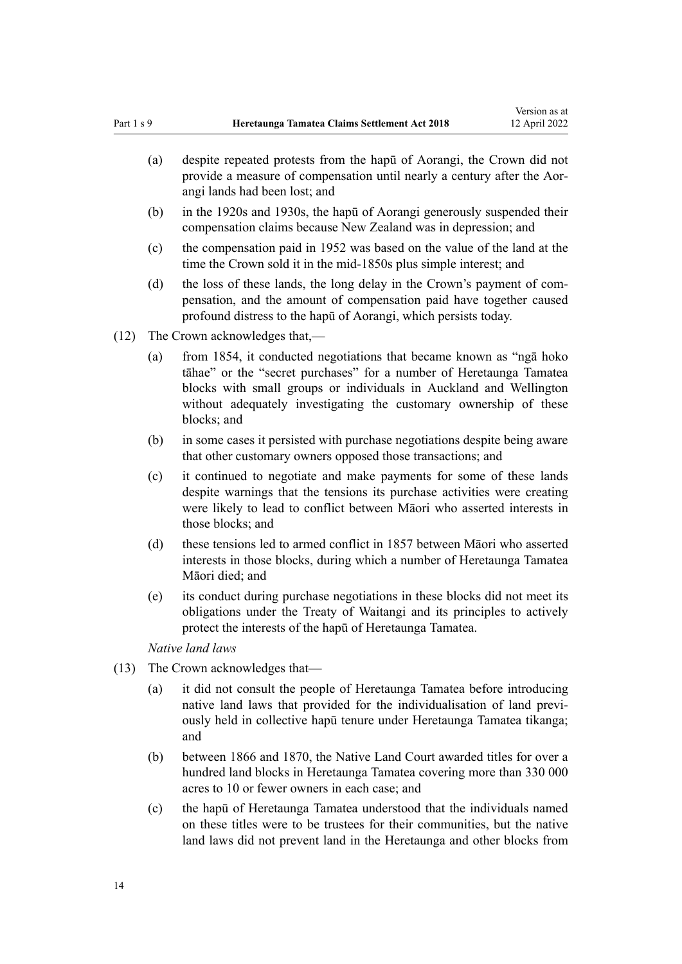- (a) despite repeated protests from the hapū of Aorangi, the Crown did not provide a measure of compensation until nearly a century after the Aorangi lands had been lost; and
- (b) in the 1920s and 1930s, the hapū of Aorangi generously suspended their compensation claims because New Zealand was in depression; and
- (c) the compensation paid in 1952 was based on the value of the land at the time the Crown sold it in the mid-1850s plus simple interest; and
- (d) the loss of these lands, the long delay in the Crown's payment of compensation, and the amount of compensation paid have together caused profound distress to the hapū of Aorangi, which persists today.
- (12) The Crown acknowledges that,—
	- (a) from 1854, it conducted negotiations that became known as "ngā hoko tāhae" or the "secret purchases" for a number of Heretaunga Tamatea blocks with small groups or individuals in Auckland and Wellington without adequately investigating the customary ownership of these blocks; and
	- (b) in some cases it persisted with purchase negotiations despite being aware that other customary owners opposed those transactions; and
	- (c) it continued to negotiate and make payments for some of these lands despite warnings that the tensions its purchase activities were creating were likely to lead to conflict between Māori who asserted interests in those blocks; and
	- (d) these tensions led to armed conflict in 1857 between Māori who asserted interests in those blocks, during which a number of Heretaunga Tamatea Māori died; and
	- (e) its conduct during purchase negotiations in these blocks did not meet its obligations under the [Treaty of Waitangi](http://legislation.govt.nz/pdflink.aspx?id=DLM435834) and its principles to actively protect the interests of the hapū of Heretaunga Tamatea.

*Native land laws*

- (13) The Crown acknowledges that—
	- (a) it did not consult the people of Heretaunga Tamatea before introducing native land laws that provided for the individualisation of land previ‐ ously held in collective hapū tenure under Heretaunga Tamatea tikanga; and
	- (b) between 1866 and 1870, the Native Land Court awarded titles for over a hundred land blocks in Heretaunga Tamatea covering more than 330 000 acres to 10 or fewer owners in each case; and
	- (c) the hapū of Heretaunga Tamatea understood that the individuals named on these titles were to be trustees for their communities, but the native land laws did not prevent land in the Heretaunga and other blocks from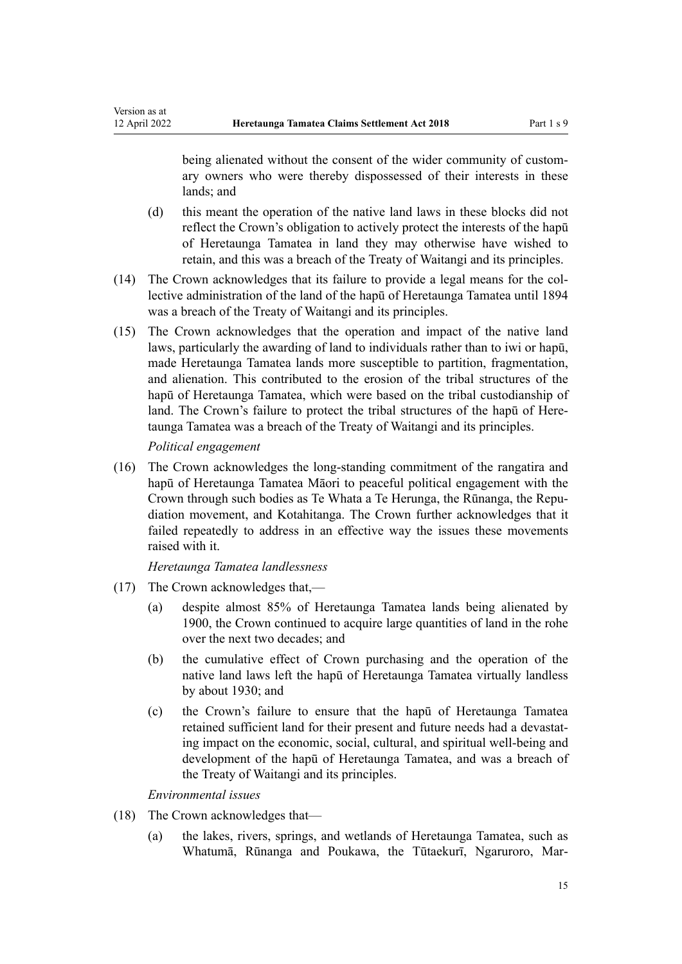being alienated without the consent of the wider community of customary owners who were thereby dispossessed of their interests in these lands; and

- (d) this meant the operation of the native land laws in these blocks did not reflect the Crown's obligation to actively protect the interests of the hapū of Heretaunga Tamatea in land they may otherwise have wished to retain, and this was a breach of the [Treaty of Waitangi](http://legislation.govt.nz/pdflink.aspx?id=DLM435834) and its principles.
- (14) The Crown acknowledges that its failure to provide a legal means for the col‐ lective administration of the land of the hapū of Heretaunga Tamatea until 1894 was a breach of the [Treaty of Waitangi](http://legislation.govt.nz/pdflink.aspx?id=DLM435834) and its principles.
- (15) The Crown acknowledges that the operation and impact of the native land laws, particularly the awarding of land to individuals rather than to iwi or hapū, made Heretaunga Tamatea lands more susceptible to partition, fragmentation, and alienation. This contributed to the erosion of the tribal structures of the hapū of Heretaunga Tamatea, which were based on the tribal custodianship of land. The Crown's failure to protect the tribal structures of the hapū of Heretaunga Tamatea was a breach of the [Treaty of Waitangi](http://legislation.govt.nz/pdflink.aspx?id=DLM435834) and its principles.

*Political engagement*

Version as at<br>12 April 2022

(16) The Crown acknowledges the long-standing commitment of the rangatira and hapū of Heretaunga Tamatea Māori to peaceful political engagement with the Crown through such bodies as Te Whata a Te Herunga, the Rūnanga, the Repu‐ diation movement, and Kotahitanga. The Crown further acknowledges that it failed repeatedly to address in an effective way the issues these movements raised with it.

*Heretaunga Tamatea landlessness*

- (17) The Crown acknowledges that,—
	- (a) despite almost 85% of Heretaunga Tamatea lands being alienated by 1900, the Crown continued to acquire large quantities of land in the rohe over the next two decades; and
	- (b) the cumulative effect of Crown purchasing and the operation of the native land laws left the hapū of Heretaunga Tamatea virtually landless by about 1930; and
	- (c) the Crown's failure to ensure that the hapū of Heretaunga Tamatea retained sufficient land for their present and future needs had a devastating impact on the economic, social, cultural, and spiritual well-being and development of the hapū of Heretaunga Tamatea, and was a breach of the [Treaty of Waitangi](http://legislation.govt.nz/pdflink.aspx?id=DLM435834) and its principles.

## *Environmental issues*

- (18) The Crown acknowledges that—
	- (a) the lakes, rivers, springs, and wetlands of Heretaunga Tamatea, such as Whatumā, Rūnanga and Poukawa, the Tūtaekurī, Ngaruroro, Mar‐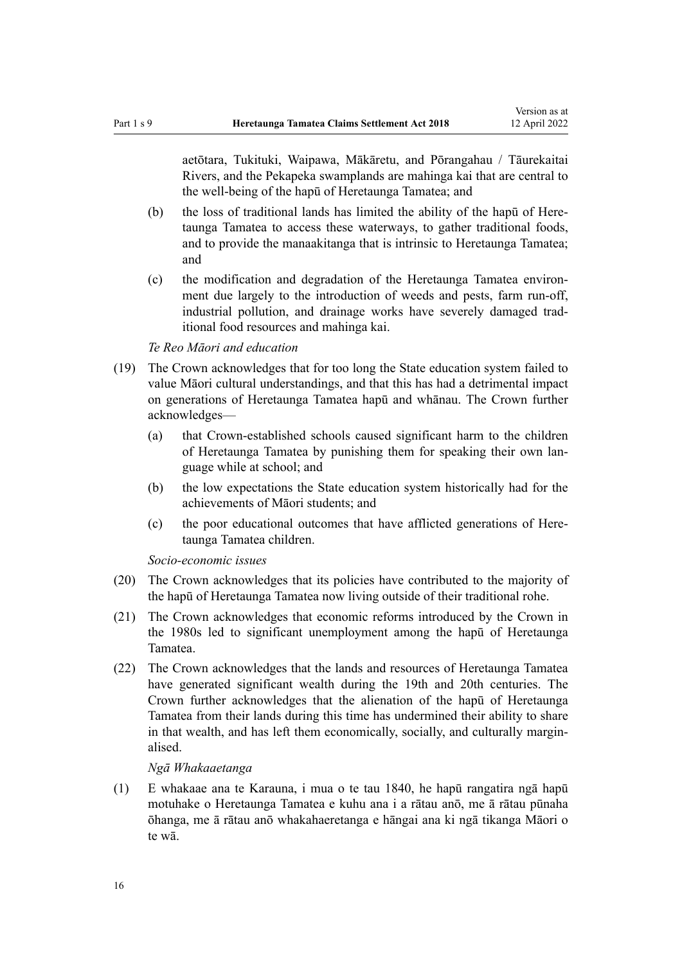aetōtara, Tukituki, Waipawa, Mākāretu, and Pōrangahau / Tāurekaitai Rivers, and the Pekapeka swamplands are mahinga kai that are central to the well-being of the hapū of Heretaunga Tamatea; and

- (b) the loss of traditional lands has limited the ability of the hapu of Heretaunga Tamatea to access these waterways, to gather traditional foods, and to provide the manaakitanga that is intrinsic to Heretaunga Tamatea; and
- (c) the modification and degradation of the Heretaunga Tamatea environ‐ ment due largely to the introduction of weeds and pests, farm run-off, industrial pollution, and drainage works have severely damaged trad‐ itional food resources and mahinga kai.

#### *Te Reo Māori and education*

- (19) The Crown acknowledges that for too long the State education system failed to value Māori cultural understandings, and that this has had a detrimental impact on generations of Heretaunga Tamatea hapū and whānau. The Crown further acknowledges—
	- (a) that Crown-established schools caused significant harm to the children of Heretaunga Tamatea by punishing them for speaking their own lan‐ guage while at school; and
	- (b) the low expectations the State education system historically had for the achievements of Māori students; and
	- (c) the poor educational outcomes that have afflicted generations of Here‐ taunga Tamatea children.

#### *Socio-economic issues*

- (20) The Crown acknowledges that its policies have contributed to the majority of the hapū of Heretaunga Tamatea now living outside of their traditional rohe.
- (21) The Crown acknowledges that economic reforms introduced by the Crown in the 1980s led to significant unemployment among the hapū of Heretaunga Tamatea.
- (22) The Crown acknowledges that the lands and resources of Heretaunga Tamatea have generated significant wealth during the 19th and 20th centuries. The Crown further acknowledges that the alienation of the hapū of Heretaunga Tamatea from their lands during this time has undermined their ability to share in that wealth, and has left them economically, socially, and culturally marginalised.

#### *Ngā Whakaaetanga*

(1) E whakaae ana te Karauna, i mua o te tau 1840, he hapū rangatira ngā hapū motuhake o Heretaunga Tamatea e kuhu ana i a rātau anō, me ā rātau pūnaha ōhanga, me ā rātau anō whakahaeretanga e hāngai ana ki ngā tikanga Māori o te wā.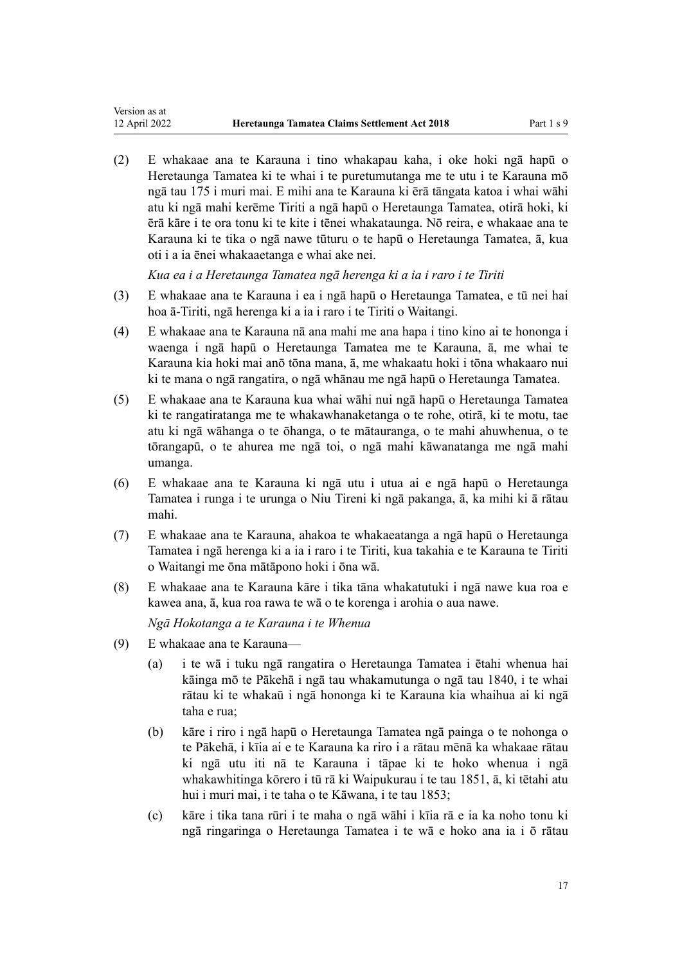(2) E whakaae ana te Karauna i tino whakapau kaha, i oke hoki ngā hapū o Heretaunga Tamatea ki te whai i te puretumutanga me te utu i te Karauna mō ngā tau 175 i muri mai. E mihi ana te Karauna ki ērā tāngata katoa i whai wāhi atu ki ngā mahi kerēme Tiriti a ngā hapū o Heretaunga Tamatea, otirā hoki, ki ērā kāre i te ora tonu ki te kite i tēnei whakataunga. Nō reira, e whakaae ana te Karauna ki te tika o ngā nawe tūturu o te hapū o Heretaunga Tamatea, ā, kua oti i a ia ēnei whakaaetanga e whai ake nei.

*Kua ea i a Heretaunga Tamatea ngā herenga ki a ia i raro i te Tiriti*

- (3) E whakaae ana te Karauna i ea i ngā hapū o Heretaunga Tamatea, e tū nei hai hoa ā-Tiriti, ngā herenga ki a ia i raro i te Tiriti o Waitangi.
- (4) E whakaae ana te Karauna nā ana mahi me ana hapa i tino kino ai te hononga i waenga i ngā hapū o Heretaunga Tamatea me te Karauna, ā, me whai te Karauna kia hoki mai anō tōna mana, ā, me whakaatu hoki i tōna whakaaro nui ki te mana o ngā rangatira, o ngā whānau me ngā hapū o Heretaunga Tamatea.
- (5) E whakaae ana te Karauna kua whai wāhi nui ngā hapū o Heretaunga Tamatea ki te rangatiratanga me te whakawhanaketanga o te rohe, otirā, ki te motu, tae atu ki ngā wāhanga o te ōhanga, o te mātauranga, o te mahi ahuwhenua, o te tōrangapū, o te ahurea me ngā toi, o ngā mahi kāwanatanga me ngā mahi umanga.
- (6) E whakaae ana te Karauna ki ngā utu i utua ai e ngā hapū o Heretaunga Tamatea i runga i te urunga o Niu Tireni ki ngā pakanga, ā, ka mihi ki ā rātau mahi.
- (7) E whakaae ana te Karauna, ahakoa te whakaeatanga a ngā hapū o Heretaunga Tamatea i ngā herenga ki a ia i raro i te Tiriti, kua takahia e te Karauna te Tiriti o Waitangi me ōna mātāpono hoki i ōna wā.
- (8) E whakaae ana te Karauna kāre i tika tāna whakatutuki i ngā nawe kua roa e kawea ana, ā, kua roa rawa te wā o te korenga i arohia o aua nawe.

*Ngā Hokotanga a te Karauna i te Whenua*

(9) E whakaae ana te Karauna—

Version as at

- (a) i te wā i tuku ngā rangatira o Heretaunga Tamatea i ētahi whenua hai kāinga mō te Pākehā i ngā tau whakamutunga o ngā tau 1840, i te whai rātau ki te whakaū i ngā hononga ki te Karauna kia whaihua ai ki ngā taha e rua;
- (b) kāre i riro i ngā hapū o Heretaunga Tamatea ngā painga o te nohonga o te Pākehā, i kīia ai e te Karauna ka riro i a rātau mēnā ka whakaae rātau ki ngā utu iti nā te Karauna i tāpae ki te hoko whenua i ngā whakawhitinga kōrero i tū rā ki Waipukurau i te tau 1851, ā, ki tētahi atu hui i muri mai, i te taha o te Kāwana, i te tau 1853;
- (c) kāre i tika tana rūri i te maha o ngā wāhi i kīia rā e ia ka noho tonu ki ngā ringaringa o Heretaunga Tamatea i te wā e hoko ana ia i ō rātau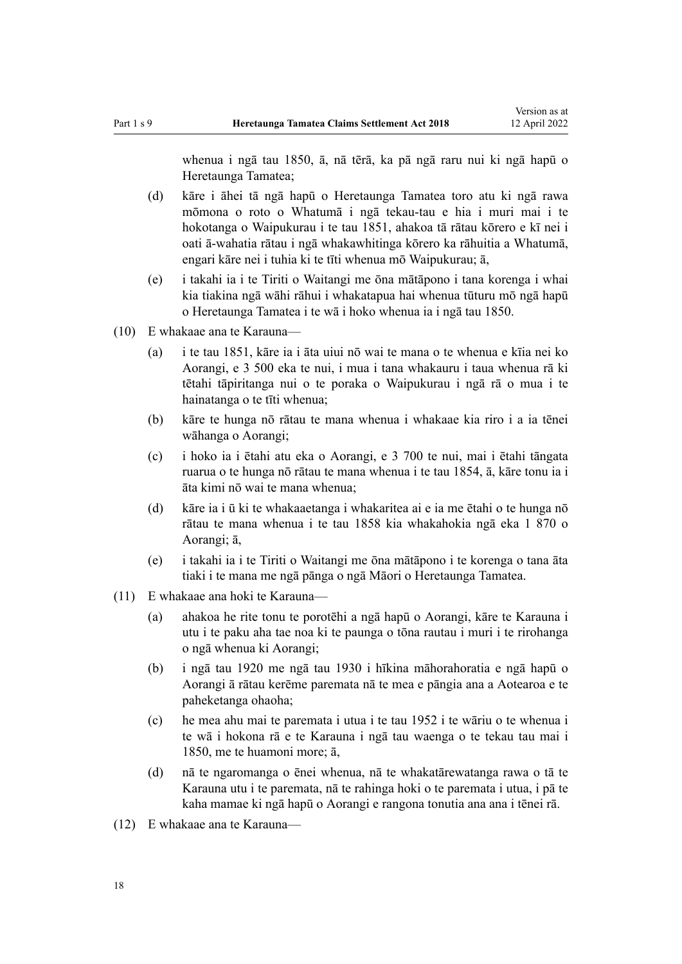whenua i ngā tau 1850, ā, nā tērā, ka pā ngā raru nui ki ngā hapū o Heretaunga Tamatea;

- (d) kāre i āhei tā ngā hapū o Heretaunga Tamatea toro atu ki ngā rawa mōmona o roto o Whatumā i ngā tekau-tau e hia i muri mai i te hokotanga o Waipukurau i te tau 1851, ahakoa tā rātau kōrero e kī nei i oati ā-wahatia rātau i ngā whakawhitinga kōrero ka rāhuitia a Whatumā, engari kāre nei i tuhia ki te tīti whenua mō Waipukurau; ā,
- (e) i takahi ia i te Tiriti o Waitangi me ōna mātāpono i tana korenga i whai kia tiakina ngā wāhi rāhui i whakatapua hai whenua tūturu mō ngā hapū o Heretaunga Tamatea i te wā i hoko whenua ia i ngā tau 1850.
- (10) E whakaae ana te Karauna—
	- (a) i te tau 1851, kāre ia i āta uiui nō wai te mana o te whenua e kīia nei ko Aorangi, e 3 500 eka te nui, i mua i tana whakauru i taua whenua rā ki tētahi tāpiritanga nui o te poraka o Waipukurau i ngā rā o mua i te hainatanga o te tīti whenua;
	- (b) kāre te hunga nō rātau te mana whenua i whakaae kia riro i a ia tēnei wāhanga o Aorangi;
	- (c) i hoko ia i ētahi atu eka o Aorangi, e 3 700 te nui, mai i ētahi tāngata ruarua o te hunga nō rātau te mana whenua i te tau 1854, ā, kāre tonu ia i āta kimi nō wai te mana whenua;
	- (d) kāre ia i ū ki te whakaaetanga i whakaritea ai e ia me ētahi o te hunga nō rātau te mana whenua i te tau 1858 kia whakahokia ngā eka 1 870 o Aorangi; ā,
	- (e) i takahi ia i te Tiriti o Waitangi me ōna mātāpono i te korenga o tana āta tiaki i te mana me ngā pānga o ngā Māori o Heretaunga Tamatea.
- (11) E whakaae ana hoki te Karauna—
	- (a) ahakoa he rite tonu te porotēhi a ngā hapū o Aorangi, kāre te Karauna i utu i te paku aha tae noa ki te paunga o tōna rautau i muri i te rirohanga o ngā whenua ki Aorangi;
	- (b) i ngā tau 1920 me ngā tau 1930 i hīkina māhorahoratia e ngā hapū o Aorangi ā rātau kerēme paremata nā te mea e pāngia ana a Aotearoa e te paheketanga ohaoha;
	- (c) he mea ahu mai te paremata i utua i te tau 1952 i te wāriu o te whenua i te wā i hokona rā e te Karauna i ngā tau waenga o te tekau tau mai i 1850, me te huamoni more; ā,
	- (d) nā te ngaromanga o ēnei whenua, nā te whakatārewatanga rawa o tā te Karauna utu i te paremata, nā te rahinga hoki o te paremata i utua, i pā te kaha mamae ki ngā hapū o Aorangi e rangona tonutia ana ana i tēnei rā.
- (12) E whakaae ana te Karauna—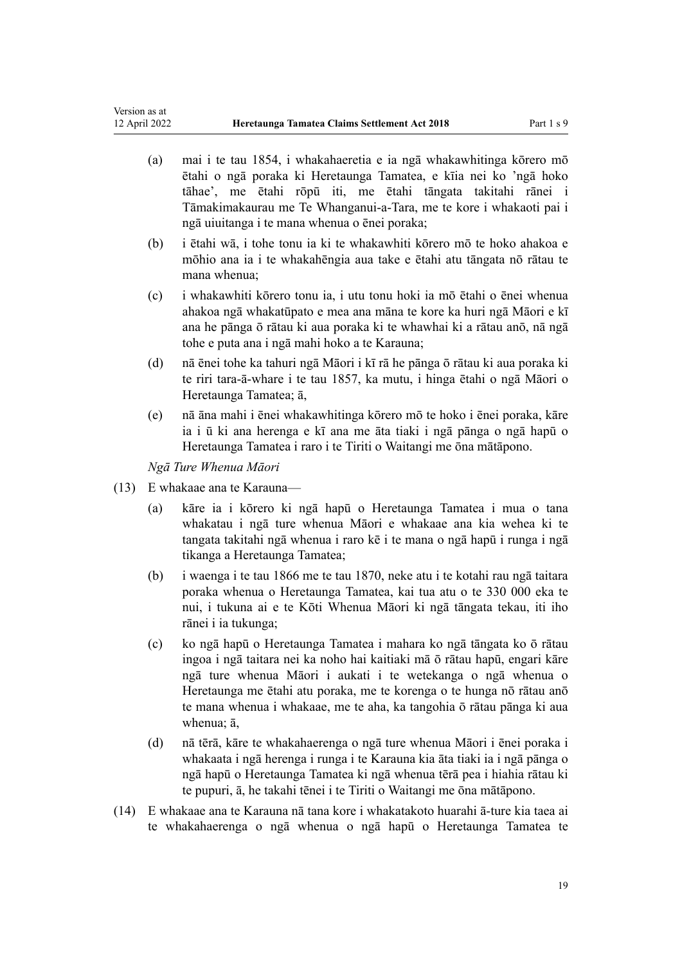- (a) mai i te tau 1854, i whakahaeretia e ia ngā whakawhitinga kōrero mō ētahi o ngā poraka ki Heretaunga Tamatea, e kīia nei ko 'ngā hoko tāhae', me ētahi rōpū iti, me ētahi tāngata takitahi rānei i Tāmakimakaurau me Te Whanganui-a-Tara, me te kore i whakaoti pai i ngā uiuitanga i te mana whenua o ēnei poraka;
- (b) i ētahi wā, i tohe tonu ia ki te whakawhiti kōrero mō te hoko ahakoa e mōhio ana ia i te whakahēngia aua take e ētahi atu tāngata nō rātau te mana whenua;
- (c) i whakawhiti kōrero tonu ia, i utu tonu hoki ia mō ētahi o ēnei whenua ahakoa ngā whakatūpato e mea ana māna te kore ka huri ngā Māori e kī ana he pānga ō rātau ki aua poraka ki te whawhai ki a rātau anō, nā ngā tohe e puta ana i ngā mahi hoko a te Karauna;
- (d) nā ēnei tohe ka tahuri ngā Māori i kī rā he pānga ō rātau ki aua poraka ki te riri tara-ā-whare i te tau 1857, ka mutu, i hinga ētahi o ngā Māori o Heretaunga Tamatea; ā,
- (e) nā āna mahi i ēnei whakawhitinga kōrero mō te hoko i ēnei poraka, kāre ia i ū ki ana herenga e kī ana me āta tiaki i ngā pānga o ngā hapū o Heretaunga Tamatea i raro i te Tiriti o Waitangi me ōna mātāpono.

*Ngā Ture Whenua Māori*

- (13) E whakaae ana te Karauna—
	- (a) kāre ia i kōrero ki ngā hapū o Heretaunga Tamatea i mua o tana whakatau i ngā ture whenua Māori e whakaae ana kia wehea ki te tangata takitahi ngā whenua i raro kē i te mana o ngā hapū i runga i ngā tikanga a Heretaunga Tamatea;
	- (b) i waenga i te tau 1866 me te tau 1870, neke atu i te kotahi rau ngā taitara poraka whenua o Heretaunga Tamatea, kai tua atu o te 330 000 eka te nui, i tukuna ai e te Kōti Whenua Māori ki ngā tāngata tekau, iti iho rānei i ia tukunga;
	- (c) ko ngā hapū o Heretaunga Tamatea i mahara ko ngā tāngata ko ō rātau ingoa i ngā taitara nei ka noho hai kaitiaki mā ō rātau hapū, engari kāre ngā ture whenua Māori i aukati i te wetekanga o ngā whenua o Heretaunga me ētahi atu poraka, me te korenga o te hunga nō rātau anō te mana whenua i whakaae, me te aha, ka tangohia ō rātau pānga ki aua whenua; ā,
	- (d) nā tērā, kāre te whakahaerenga o ngā ture whenua Māori i ēnei poraka i whakaata i ngā herenga i runga i te Karauna kia āta tiaki ia i ngā pānga o ngā hapū o Heretaunga Tamatea ki ngā whenua tērā pea i hiahia rātau ki te pupuri, ā, he takahi tēnei i te Tiriti o Waitangi me ōna mātāpono.
- (14) E whakaae ana te Karauna nā tana kore i whakatakoto huarahi ā-ture kia taea ai te whakahaerenga o ngā whenua o ngā hapū o Heretaunga Tamatea te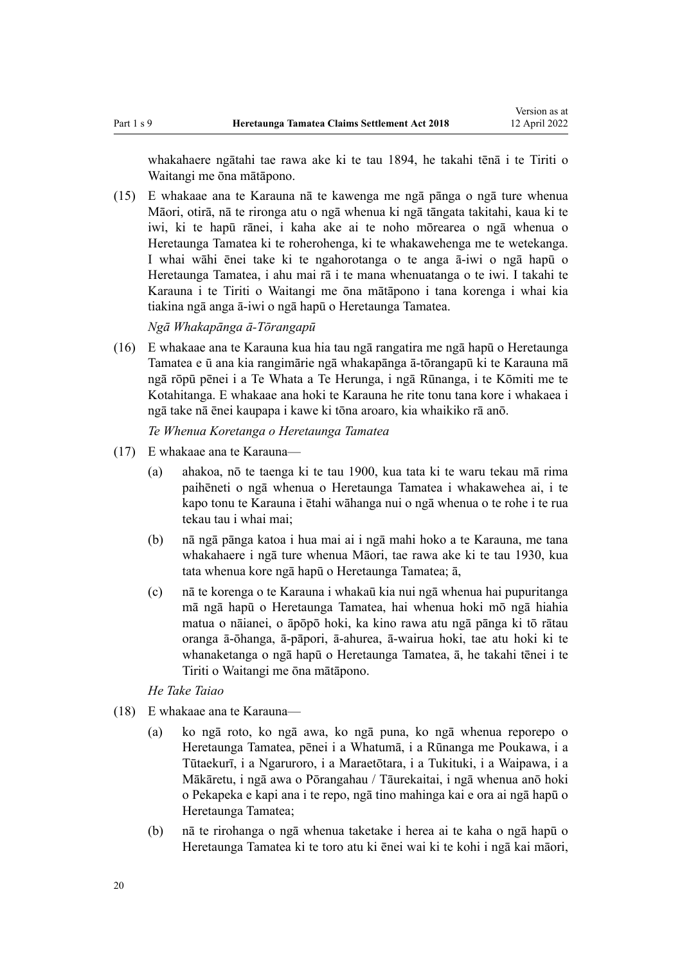whakahaere ngātahi tae rawa ake ki te tau 1894, he takahi tēnā i te Tiriti o Waitangi me ōna mātāpono.

(15) E whakaae ana te Karauna nā te kawenga me ngā pānga o ngā ture whenua Māori, otirā, nā te rironga atu o ngā whenua ki ngā tāngata takitahi, kaua ki te iwi, ki te hapū rānei, i kaha ake ai te noho mōrearea o ngā whenua o Heretaunga Tamatea ki te roherohenga, ki te whakawehenga me te wetekanga. I whai wāhi ēnei take ki te ngahorotanga o te anga ā-iwi o ngā hapū o Heretaunga Tamatea, i ahu mai rā i te mana whenuatanga o te iwi. I takahi te Karauna i te Tiriti o Waitangi me ōna mātāpono i tana korenga i whai kia tiakina ngā anga ā-iwi o ngā hapū o Heretaunga Tamatea.

*Ngā Whakapānga ā-Tōrangapū*

(16) E whakaae ana te Karauna kua hia tau ngā rangatira me ngā hapū o Heretaunga Tamatea e ū ana kia rangimārie ngā whakapānga ā-tōrangapū ki te Karauna mā ngā rōpū pēnei i a Te Whata a Te Herunga, i ngā Rūnanga, i te Kōmiti me te Kotahitanga. E whakaae ana hoki te Karauna he rite tonu tana kore i whakaea i ngā take nā ēnei kaupapa i kawe ki tōna aroaro, kia whaikiko rā anō.

*Te Whenua Koretanga o Heretaunga Tamatea*

- (17) E whakaae ana te Karauna—
	- (a) ahakoa, nō te taenga ki te tau 1900, kua tata ki te waru tekau mā rima paihēneti o ngā whenua o Heretaunga Tamatea i whakawehea ai, i te kapo tonu te Karauna i ētahi wāhanga nui o ngā whenua o te rohe i te rua tekau tau i whai mai;
	- (b) nā ngā pānga katoa i hua mai ai i ngā mahi hoko a te Karauna, me tana whakahaere i ngā ture whenua Māori, tae rawa ake ki te tau 1930, kua tata whenua kore ngā hapū o Heretaunga Tamatea; ā,
	- (c) nā te korenga o te Karauna i whakaū kia nui ngā whenua hai pupuritanga mā ngā hapū o Heretaunga Tamatea, hai whenua hoki mō ngā hiahia matua o nāianei, o āpōpō hoki, ka kino rawa atu ngā pānga ki tō rātau oranga ā-ōhanga, ā-pāpori, ā-ahurea, ā-wairua hoki, tae atu hoki ki te whanaketanga o ngā hapū o Heretaunga Tamatea, ā, he takahi tēnei i te Tiriti o Waitangi me ōna mātāpono.

*He Take Taiao*

- (18) E whakaae ana te Karauna—
	- (a) ko ngā roto, ko ngā awa, ko ngā puna, ko ngā whenua reporepo o Heretaunga Tamatea, pēnei i a Whatumā, i a Rūnanga me Poukawa, i a Tūtaekurī, i a Ngaruroro, i a Maraetōtara, i a Tukituki, i a Waipawa, i a Mākāretu, i ngā awa o Pōrangahau / Tāurekaitai, i ngā whenua anō hoki o Pekapeka e kapi ana i te repo, ngā tino mahinga kai e ora ai ngā hapū o Heretaunga Tamatea;
	- (b) nā te rirohanga o ngā whenua taketake i herea ai te kaha o ngā hapū o Heretaunga Tamatea ki te toro atu ki ēnei wai ki te kohi i ngā kai māori,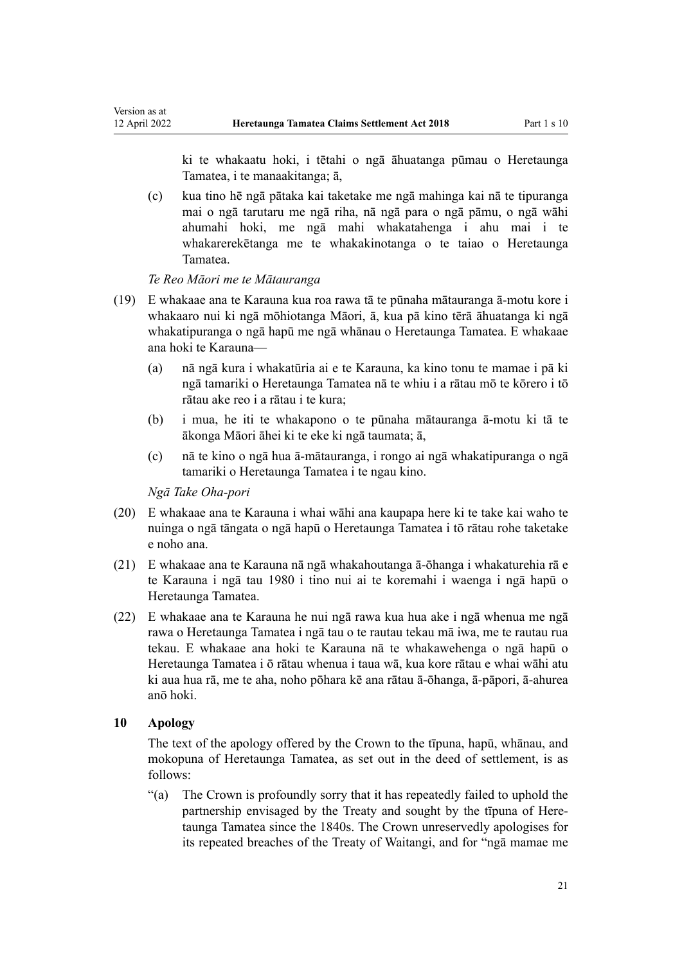ki te whakaatu hoki, i tētahi o ngā āhuatanga pūmau o Heretaunga Tamatea, i te manaakitanga; ā,

(c) kua tino hē ngā pātaka kai taketake me ngā mahinga kai nā te tipuranga mai o ngā tarutaru me ngā riha, nā ngā para o ngā pāmu, o ngā wāhi ahumahi hoki, me ngā mahi whakatahenga i ahu mai i te whakarerekētanga me te whakakinotanga o te taiao o Heretaunga Tamatea.

*Te Reo Māori me te Mātauranga*

<span id="page-20-0"></span>Version as at<br>12 April 2022

- (19) E whakaae ana te Karauna kua roa rawa tā te pūnaha mātauranga ā-motu kore i whakaaro nui ki ngā mōhiotanga Māori, ā, kua pā kino tērā āhuatanga ki ngā whakatipuranga o ngā hapū me ngā whānau o Heretaunga Tamatea. E whakaae ana hoki te Karauna—
	- (a) nā ngā kura i whakatūria ai e te Karauna, ka kino tonu te mamae i pā ki ngā tamariki o Heretaunga Tamatea nā te whiu i a rātau mō te kōrero i tō rātau ake reo i a rātau i te kura;
	- (b) i mua, he iti te whakapono o te pūnaha mātauranga ā-motu ki tā te ākonga Māori āhei ki te eke ki ngā taumata; ā,
	- (c) nā te kino o ngā hua ā-mātauranga, i rongo ai ngā whakatipuranga o ngā tamariki o Heretaunga Tamatea i te ngau kino.

*Ngā Take Oha-pori*

- (20) E whakaae ana te Karauna i whai wāhi ana kaupapa here ki te take kai waho te nuinga o ngā tāngata o ngā hapū o Heretaunga Tamatea i tō rātau rohe taketake e noho ana.
- (21) E whakaae ana te Karauna nā ngā whakahoutanga ā-ōhanga i whakaturehia rā e te Karauna i ngā tau 1980 i tino nui ai te koremahi i waenga i ngā hapū o Heretaunga Tamatea.
- (22) E whakaae ana te Karauna he nui ngā rawa kua hua ake i ngā whenua me ngā rawa o Heretaunga Tamatea i ngā tau o te rautau tekau mā iwa, me te rautau rua tekau. E whakaae ana hoki te Karauna nā te whakawehenga o ngā hapū o Heretaunga Tamatea i ō rātau whenua i taua wā, kua kore rātau e whai wāhi atu ki aua hua rā, me te aha, noho pōhara kē ana rātau ā-ōhanga, ā-pāpori, ā-ahurea anō hoki.

#### **10 Apology**

The text of the apology offered by the Crown to the tīpuna, hapū, whānau, and mokopuna of Heretaunga Tamatea, as set out in the deed of settlement, is as follows:

"(a) The Crown is profoundly sorry that it has repeatedly failed to uphold the partnership envisaged by the Treaty and sought by the tīpuna of Heretaunga Tamatea since the 1840s. The Crown unreservedly apologises for its repeated breaches of the [Treaty of Waitangi](http://legislation.govt.nz/pdflink.aspx?id=DLM435834), and for "ngā mamae me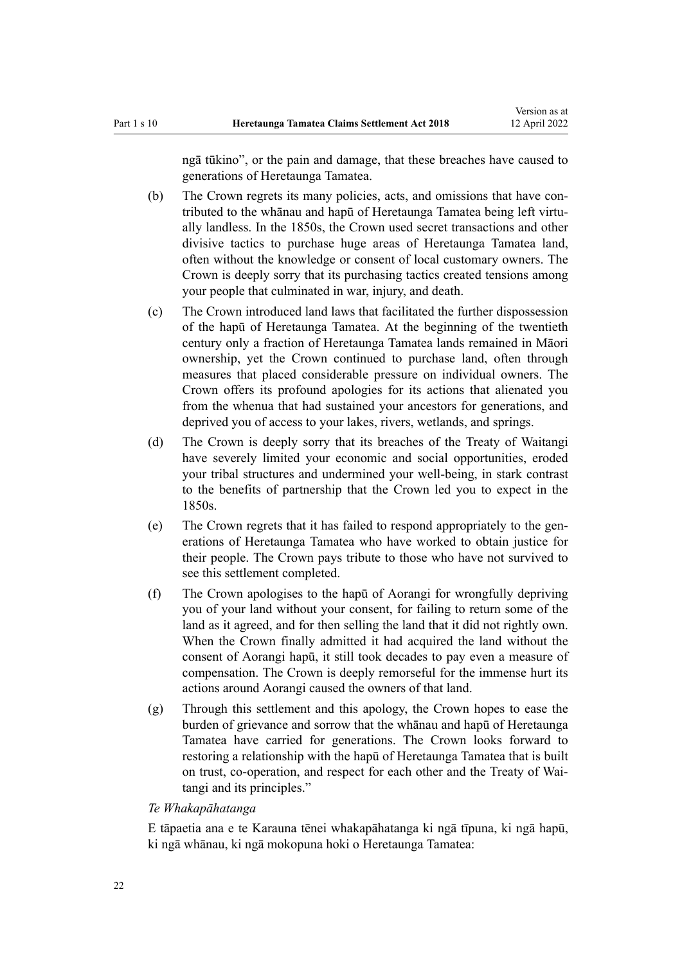ngā tūkino", or the pain and damage, that these breaches have caused to generations of Heretaunga Tamatea.

- (b) The Crown regrets its many policies, acts, and omissions that have contributed to the whānau and hapū of Heretaunga Tamatea being left virtu‐ ally landless. In the 1850s, the Crown used secret transactions and other divisive tactics to purchase huge areas of Heretaunga Tamatea land, often without the knowledge or consent of local customary owners. The Crown is deeply sorry that its purchasing tactics created tensions among your people that culminated in war, injury, and death.
- (c) The Crown introduced land laws that facilitated the further dispossession of the hapū of Heretaunga Tamatea. At the beginning of the twentieth century only a fraction of Heretaunga Tamatea lands remained in Māori ownership, yet the Crown continued to purchase land, often through measures that placed considerable pressure on individual owners. The Crown offers its profound apologies for its actions that alienated you from the whenua that had sustained your ancestors for generations, and deprived you of access to your lakes, rivers, wetlands, and springs.
- (d) The Crown is deeply sorry that its breaches of the [Treaty of Waitangi](http://legislation.govt.nz/pdflink.aspx?id=DLM435834) have severely limited your economic and social opportunities, eroded your tribal structures and undermined your well-being, in stark contrast to the benefits of partnership that the Crown led you to expect in the 1850s.
- (e) The Crown regrets that it has failed to respond appropriately to the generations of Heretaunga Tamatea who have worked to obtain justice for their people. The Crown pays tribute to those who have not survived to see this settlement completed.
- (f) The Crown apologises to the hapū of Aorangi for wrongfully depriving you of your land without your consent, for failing to return some of the land as it agreed, and for then selling the land that it did not rightly own. When the Crown finally admitted it had acquired the land without the consent of Aorangi hapū, it still took decades to pay even a measure of compensation. The Crown is deeply remorseful for the immense hurt its actions around Aorangi caused the owners of that land.
- (g) Through this settlement and this apology, the Crown hopes to ease the burden of grievance and sorrow that the whānau and hapū of Heretaunga Tamatea have carried for generations. The Crown looks forward to restoring a relationship with the hapū of Heretaunga Tamatea that is built on trust, co-operation, and respect for each other and the [Treaty of Wai‐](http://legislation.govt.nz/pdflink.aspx?id=DLM435834) [tangi](http://legislation.govt.nz/pdflink.aspx?id=DLM435834) and its principles."

## *Te Whakapāhatanga*

E tāpaetia ana e te Karauna tēnei whakapāhatanga ki ngā tīpuna, ki ngā hapū, ki ngā whānau, ki ngā mokopuna hoki o Heretaunga Tamatea: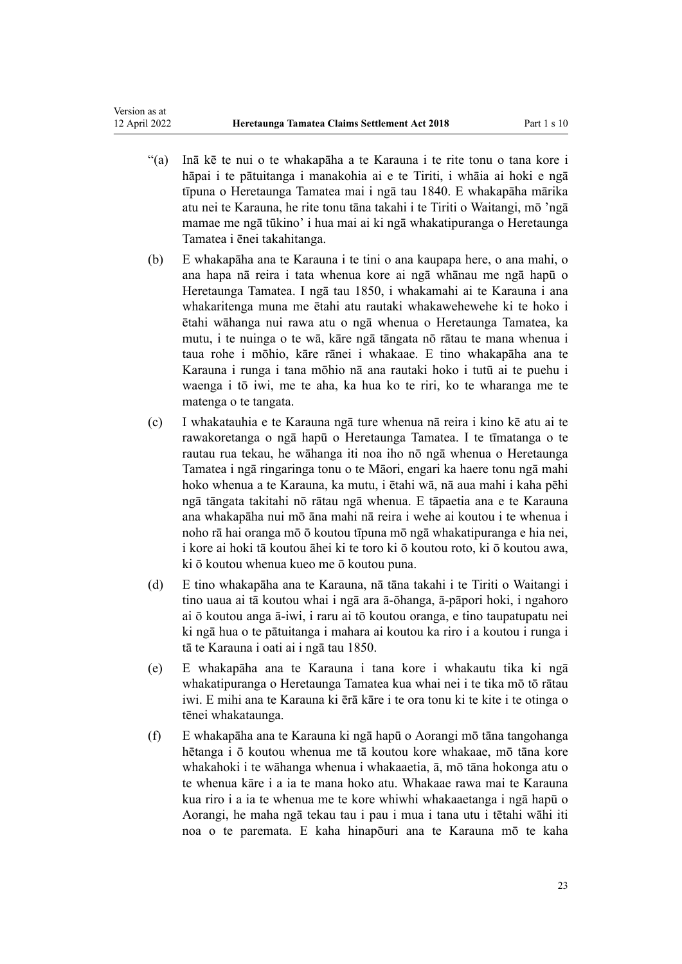- "(a) Inā kē te nui o te whakapāha a te Karauna i te rite tonu o tana kore i hāpai i te pātuitanga i manakohia ai e te Tiriti, i whāia ai hoki e ngā tīpuna o Heretaunga Tamatea mai i ngā tau 1840. E whakapāha mārika atu nei te Karauna, he rite tonu tāna takahi i te Tiriti o Waitangi, mō 'ngā mamae me ngā tūkino' i hua mai ai ki ngā whakatipuranga o Heretaunga Tamatea i ēnei takahitanga.
- (b) E whakapāha ana te Karauna i te tini o ana kaupapa here, o ana mahi, o ana hapa nā reira i tata whenua kore ai ngā whānau me ngā hapū o Heretaunga Tamatea. I ngā tau 1850, i whakamahi ai te Karauna i ana whakaritenga muna me ētahi atu rautaki whakawehewehe ki te hoko i ētahi wāhanga nui rawa atu o ngā whenua o Heretaunga Tamatea, ka mutu, i te nuinga o te wā, kāre ngā tāngata nō rātau te mana whenua i taua rohe i mōhio, kāre rānei i whakaae. E tino whakapāha ana te Karauna i runga i tana mōhio nā ana rautaki hoko i tutū ai te puehu i waenga i tō iwi, me te aha, ka hua ko te riri, ko te wharanga me te matenga o te tangata.
- (c) I whakatauhia e te Karauna ngā ture whenua nā reira i kino kē atu ai te rawakoretanga o ngā hapū o Heretaunga Tamatea. I te tīmatanga o te rautau rua tekau, he wāhanga iti noa iho nō ngā whenua o Heretaunga Tamatea i ngā ringaringa tonu o te Māori, engari ka haere tonu ngā mahi hoko whenua a te Karauna, ka mutu, i ētahi wā, nā aua mahi i kaha pēhi ngā tāngata takitahi nō rātau ngā whenua. E tāpaetia ana e te Karauna ana whakapāha nui mō āna mahi nā reira i wehe ai koutou i te whenua i noho rā hai oranga mō ō koutou tīpuna mō ngā whakatipuranga e hia nei, i kore ai hoki tā koutou āhei ki te toro ki ō koutou roto, ki ō koutou awa, ki ō koutou whenua kueo me ō koutou puna.
- (d) E tino whakapāha ana te Karauna, nā tāna takahi i te Tiriti o Waitangi i tino uaua ai tā koutou whai i ngā ara ā-ōhanga, ā-pāpori hoki, i ngahoro ai ō koutou anga ā-iwi, i raru ai tō koutou oranga, e tino taupatupatu nei ki ngā hua o te pātuitanga i mahara ai koutou ka riro i a koutou i runga i tā te Karauna i oati ai i ngā tau 1850.
- (e) E whakapāha ana te Karauna i tana kore i whakautu tika ki ngā whakatipuranga o Heretaunga Tamatea kua whai nei i te tika mō tō rātau iwi. E mihi ana te Karauna ki ērā kāre i te ora tonu ki te kite i te otinga o tēnei whakataunga.
- (f) E whakapāha ana te Karauna ki ngā hapū o Aorangi mō tāna tangohanga hētanga i ō koutou whenua me tā koutou kore whakaae, mō tāna kore whakahoki i te wāhanga whenua i whakaaetia, ā, mō tāna hokonga atu o te whenua kāre i a ia te mana hoko atu. Whakaae rawa mai te Karauna kua riro i a ia te whenua me te kore whiwhi whakaaetanga i ngā hapū o Aorangi, he maha ngā tekau tau i pau i mua i tana utu i tētahi wāhi iti noa o te paremata. E kaha hinapōuri ana te Karauna mō te kaha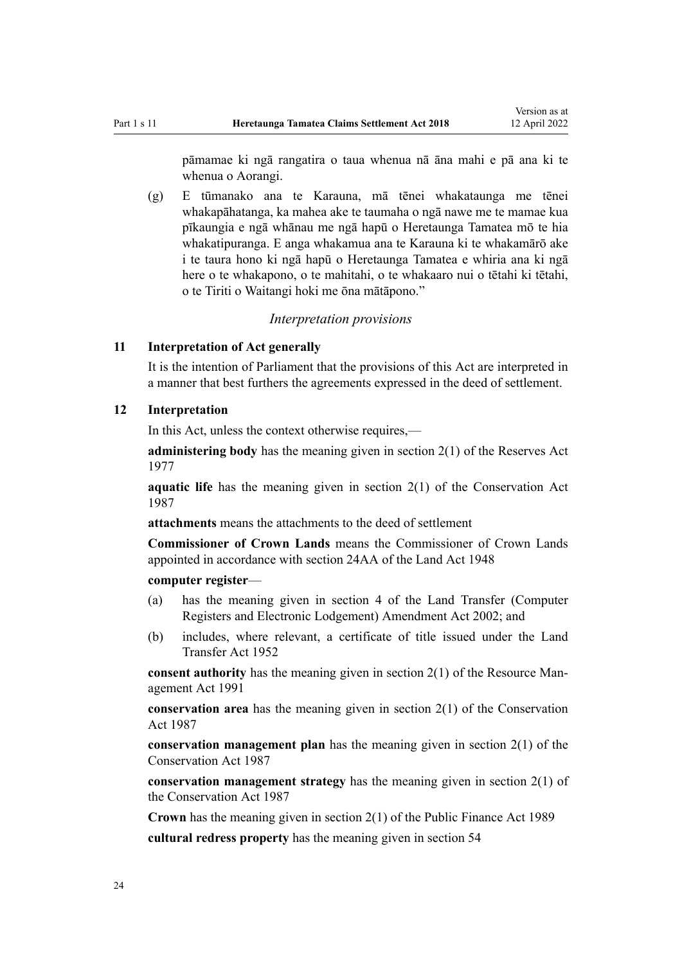<span id="page-23-0"></span>pāmamae ki ngā rangatira o taua whenua nā āna mahi e pā ana ki te whenua o Aorangi.

(g) E tūmanako ana te Karauna, mā tēnei whakataunga me tēnei whakapāhatanga, ka mahea ake te taumaha o ngā nawe me te mamae kua pīkaungia e ngā whānau me ngā hapū o Heretaunga Tamatea mō te hia whakatipuranga. E anga whakamua ana te Karauna ki te whakamārō ake i te taura hono ki ngā hapū o Heretaunga Tamatea e whiria ana ki ngā here o te whakapono, o te mahitahi, o te whakaaro nui o tētahi ki tētahi, o te Tiriti o Waitangi hoki me ōna mātāpono."

## *Interpretation provisions*

## **11 Interpretation of Act generally**

It is the intention of Parliament that the provisions of this Act are interpreted in a manner that best furthers the agreements expressed in the deed of settlement.

## **12 Interpretation**

In this Act, unless the context otherwise requires,—

**administering body** has the meaning given in [section 2\(1\)](http://legislation.govt.nz/pdflink.aspx?id=DLM444310) of the Reserves Act 1977

**aquatic life** has the meaning given in [section 2\(1\)](http://legislation.govt.nz/pdflink.aspx?id=DLM103616) of the Conservation Act 1987

**attachments** means the attachments to the deed of settlement

**Commissioner of Crown Lands** means the Commissioner of Crown Lands appointed in accordance with [section 24AA](http://legislation.govt.nz/pdflink.aspx?id=DLM251181) of the Land Act 1948

#### **computer register**—

- (a) has the meaning given in [section 4](http://legislation.govt.nz/pdflink.aspx?id=DLM140144) of the Land Transfer (Computer Registers and Electronic Lodgement) Amendment Act 2002; and
- (b) includes, where relevant, a certificate of title issued under the [Land](http://legislation.govt.nz/pdflink.aspx?id=DLM269031) [Transfer Act 1952](http://legislation.govt.nz/pdflink.aspx?id=DLM269031)

**consent authority** has the meaning given in [section 2\(1\)](http://legislation.govt.nz/pdflink.aspx?id=DLM230272) of the Resource Management Act 1991

**conservation area** has the meaning given in [section 2\(1\)](http://legislation.govt.nz/pdflink.aspx?id=DLM103616) of the Conservation Act 1987

**conservation management plan** has the meaning given in [section 2\(1\)](http://legislation.govt.nz/pdflink.aspx?id=DLM103616) of the Conservation Act 1987

**conservation management strategy** has the meaning given in [section 2\(1\)](http://legislation.govt.nz/pdflink.aspx?id=DLM103616) of the Conservation Act 1987

**Crown** has the meaning given in [section 2\(1\)](http://legislation.govt.nz/pdflink.aspx?id=DLM160819) of the Public Finance Act 1989

**cultural redress property** has the meaning given in [section 54](#page-42-0)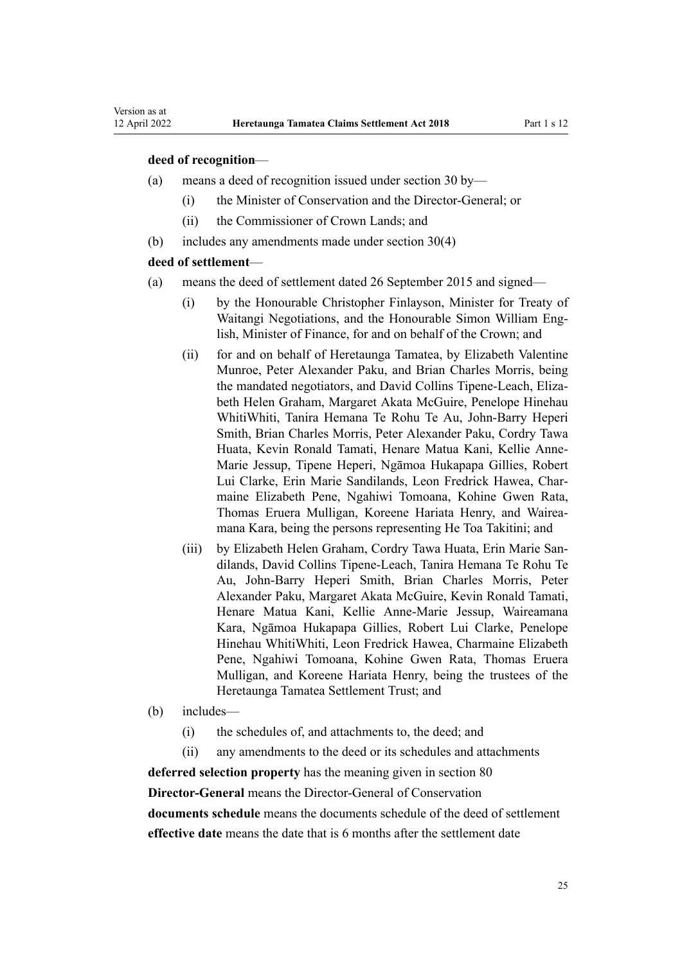#### **deed of recognition**—

- (a) means a deed of recognition issued under [section 30](#page-35-0) by—
	- (i) the Minister of Conservation and the Director-General; or
	- (ii) the Commissioner of Crown Lands; and
- (b) includes any amendments made under [section 30\(4\)](#page-35-0)

#### **deed of settlement**—

- (a) means the deed of settlement dated 26 September 2015 and signed—
	- (i) by the Honourable Christopher Finlayson, Minister for Treaty of Waitangi Negotiations, and the Honourable Simon William English, Minister of Finance, for and on behalf of the Crown; and
	- (ii) for and on behalf of Heretaunga Tamatea, by Elizabeth Valentine Munroe, Peter Alexander Paku, and Brian Charles Morris, being the mandated negotiators, and David Collins Tipene-Leach, Eliza‐ beth Helen Graham, Margaret Akata McGuire, Penelope Hinehau WhitiWhiti, Tanira Hemana Te Rohu Te Au, John-Barry Heperi Smith, Brian Charles Morris, Peter Alexander Paku, Cordry Tawa Huata, Kevin Ronald Tamati, Henare Matua Kani, Kellie Anne-Marie Jessup, Tipene Heperi, Ngāmoa Hukapapa Gillies, Robert Lui Clarke, Erin Marie Sandilands, Leon Fredrick Hawea, Char‐ maine Elizabeth Pene, Ngahiwi Tomoana, Kohine Gwen Rata, Thomas Eruera Mulligan, Koreene Hariata Henry, and Wairea‐ mana Kara, being the persons representing He Toa Takitini; and
	- (iii) by Elizabeth Helen Graham, Cordry Tawa Huata, Erin Marie San‐ dilands, David Collins Tipene-Leach, Tanira Hemana Te Rohu Te Au, John-Barry Heperi Smith, Brian Charles Morris, Peter Alexander Paku, Margaret Akata McGuire, Kevin Ronald Tamati, Henare Matua Kani, Kellie Anne-Marie Jessup, Waireamana Kara, Ngāmoa Hukapapa Gillies, Robert Lui Clarke, Penelope Hinehau WhitiWhiti, Leon Fredrick Hawea, Charmaine Elizabeth Pene, Ngahiwi Tomoana, Kohine Gwen Rata, Thomas Eruera Mulligan, and Koreene Hariata Henry, being the trustees of the Heretaunga Tamatea Settlement Trust; and
- (b) includes—
	- (i) the schedules of, and attachments to, the deed; and
	- (ii) any amendments to the deed or its schedules and attachments

**deferred selection property** has the meaning given in [section 80](#page-57-0) **Director-General** means the Director-General of Conservation **documents schedule** means the documents schedule of the deed of settlement

**effective date** means the date that is 6 months after the settlement date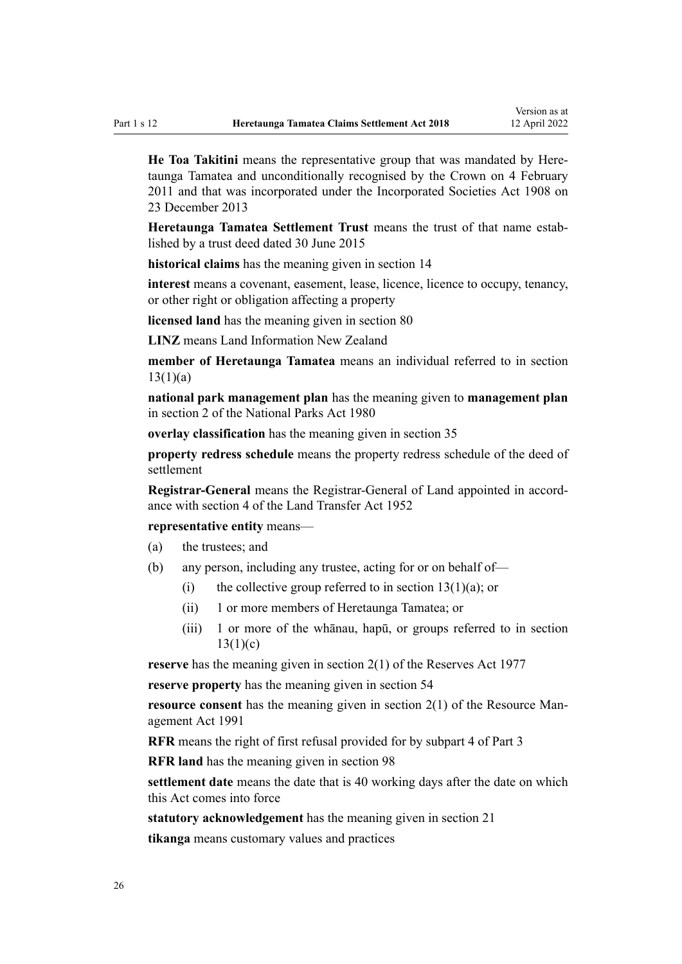**He Toa Takitini** means the representative group that was mandated by Here‐ taunga Tamatea and unconditionally recognised by the Crown on 4 February 2011 and that was incorporated under the [Incorporated Societies Act 1908](http://legislation.govt.nz/pdflink.aspx?id=DLM175774) on 23 December 2013

**Heretaunga Tamatea Settlement Trust** means the trust of that name estab‐ lished by a trust deed dated 30 June 2015

**historical claims** has the meaning given in [section 14](#page-27-0)

**interest** means a covenant, easement, lease, licence, licence to occupy, tenancy, or other right or obligation affecting a property

**licensed land** has the meaning given in [section 80](#page-57-0)

**LINZ** means Land Information New Zealand

**member of Heretaunga Tamatea** means an individual referred to in [section](#page-26-0)  $13(1)(a)$ 

**national park management plan** has the meaning given to **management plan** in [section 2](http://legislation.govt.nz/pdflink.aspx?id=DLM36968) of the National Parks Act 1980

**overlay classification** has the meaning given in [section 35](#page-36-0)

**property redress schedule** means the property redress schedule of the deed of settlement

**Registrar-General** means the Registrar-General of Land appointed in accord‐ ance with [section 4](http://legislation.govt.nz/pdflink.aspx?id=DLM270019) of the Land Transfer Act 1952

**representative entity** means—

- (a) the trustees; and
- (b) any person, including any trustee, acting for or on behalf of—
	- (i) the collective group referred to in section  $13(1)(a)$ ; or
	- (ii) 1 or more members of Heretaunga Tamatea; or
	- (iii) 1 or more of the whānau, hapū, or groups referred to in [section](#page-26-0)  $13(1)(c)$

**reserve** has the meaning given in [section 2\(1\)](http://legislation.govt.nz/pdflink.aspx?id=DLM444310) of the Reserves Act 1977

**reserve property** has the meaning given in [section 54](#page-42-0)

**resource consent** has the meaning given in [section 2\(1\)](http://legislation.govt.nz/pdflink.aspx?id=DLM230272) of the Resource Management Act 1991

**RFR** means the right of first refusal provided for by [subpart 4](#page-65-0) of Part 3

**RFR land** has the meaning given in [section 98](#page-66-0)

**settlement date** means the date that is 40 working days after the date on which this Act comes into force

**statutory acknowledgement** has the meaning given in [section 21](#page-31-0)

**tikanga** means customary values and practices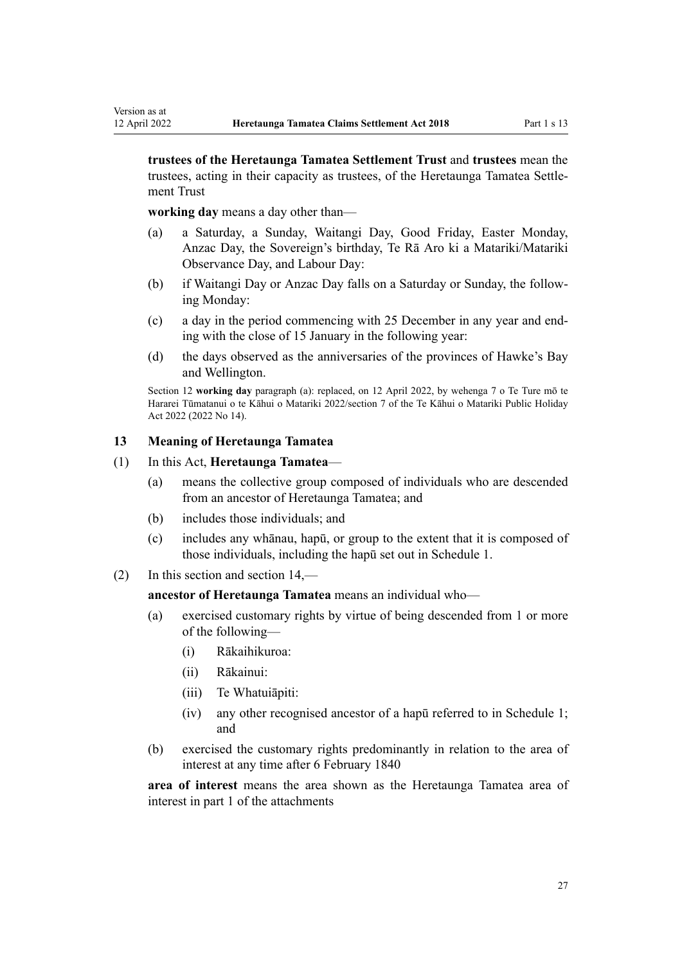**trustees of the Heretaunga Tamatea Settlement Trust** and **trustees** mean the trustees, acting in their capacity as trustees, of the Heretaunga Tamatea Settle‐ ment Trust

**working day** means a day other than—

<span id="page-26-0"></span>Version as at

- (a) a Saturday, a Sunday, Waitangi Day, Good Friday, Easter Monday, Anzac Day, the Sovereign's birthday, Te Rā Aro ki a Matariki/Matariki Observance Day, and Labour Day:
- (b) if Waitangi Day or Anzac Day falls on a Saturday or Sunday, the follow‐ ing Monday:
- (c) a day in the period commencing with 25 December in any year and end‐ ing with the close of 15 January in the following year:
- (d) the days observed as the anniversaries of the provinces of Hawke's Bay and Wellington.

Section 12 **working day** paragraph (a): replaced, on 12 April 2022, by [wehenga 7](http://legislation.govt.nz/pdflink.aspx?id=LMS557838) o Te Ture mō te Hararei Tūmatanui o te Kāhui o Matariki 2022/[section 7](http://legislation.govt.nz/pdflink.aspx?id=LMS557848) of the Te Kāhui o Matariki Public Holiday Act 2022 (2022 No 14).

#### **13 Meaning of Heretaunga Tamatea**

- (1) In this Act, **Heretaunga Tamatea**
	- (a) means the collective group composed of individuals who are descended from an ancestor of Heretaunga Tamatea; and
	- (b) includes those individuals; and
	- (c) includes any whānau, hapū, or group to the extent that it is composed of those individuals, including the hapū set out in [Schedule 1.](#page-76-0)
- (2) In this section and [section 14](#page-27-0),—

**ancestor of Heretaunga Tamatea** means an individual who—

- (a) exercised customary rights by virtue of being descended from 1 or more of the following—
	- (i) Rākaihikuroa:
	- (ii) Rākainui:
	- (iii) Te Whatuiāpiti:
	- (iv) any other recognised ancestor of a hapū referred to in [Schedule 1;](#page-76-0) and
- (b) exercised the customary rights predominantly in relation to the area of interest at any time after 6 February 1840

**area of interest** means the area shown as the Heretaunga Tamatea area of interest in part 1 of the attachments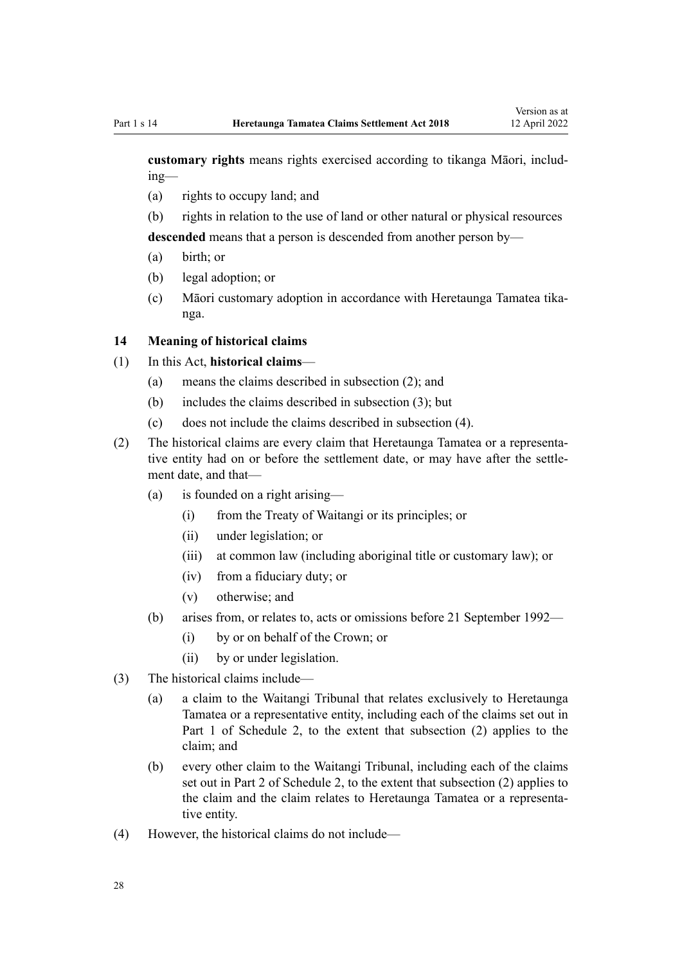<span id="page-27-0"></span>**customary rights** means rights exercised according to tikanga Māori, includ‐ ing—

- (a) rights to occupy land; and
- (b) rights in relation to the use of land or other natural or physical resources

**descended** means that a person is descended from another person by—

- (a) birth; or
- (b) legal adoption; or
- (c) Māori customary adoption in accordance with Heretaunga Tamatea tika‐ nga.

#### **14 Meaning of historical claims**

- (1) In this Act, **historical claims**
	- (a) means the claims described in subsection (2); and
	- (b) includes the claims described in subsection (3); but
	- (c) does not include the claims described in subsection (4).
- (2) The historical claims are every claim that Heretaunga Tamatea or a representa‐ tive entity had on or before the settlement date, or may have after the settle‐ ment date, and that—
	- (a) is founded on a right arising—
		- (i) from the [Treaty of Waitangi](http://legislation.govt.nz/pdflink.aspx?id=DLM435834) or its principles; or
		- (ii) under legislation; or
		- (iii) at common law (including aboriginal title or customary law); or
		- (iv) from a fiduciary duty; or
		- (v) otherwise; and
	- (b) arises from, or relates to, acts or omissions before 21 September 1992—
		- (i) by or on behalf of the Crown; or
		- (ii) by or under legislation.
- (3) The historical claims include—
	- (a) a claim to the Waitangi Tribunal that relates exclusively to Heretaunga Tamatea or a representative entity, including each of the claims set out in [Part 1](#page-78-0) of Schedule 2, to the extent that subsection (2) applies to the claim; and
	- (b) every other claim to the Waitangi Tribunal, including each of the claims set out in [Part 2](#page-79-0) of Schedule 2, to the extent that subsection (2) applies to the claim and the claim relates to Heretaunga Tamatea or a representative entity.
- (4) However, the historical claims do not include—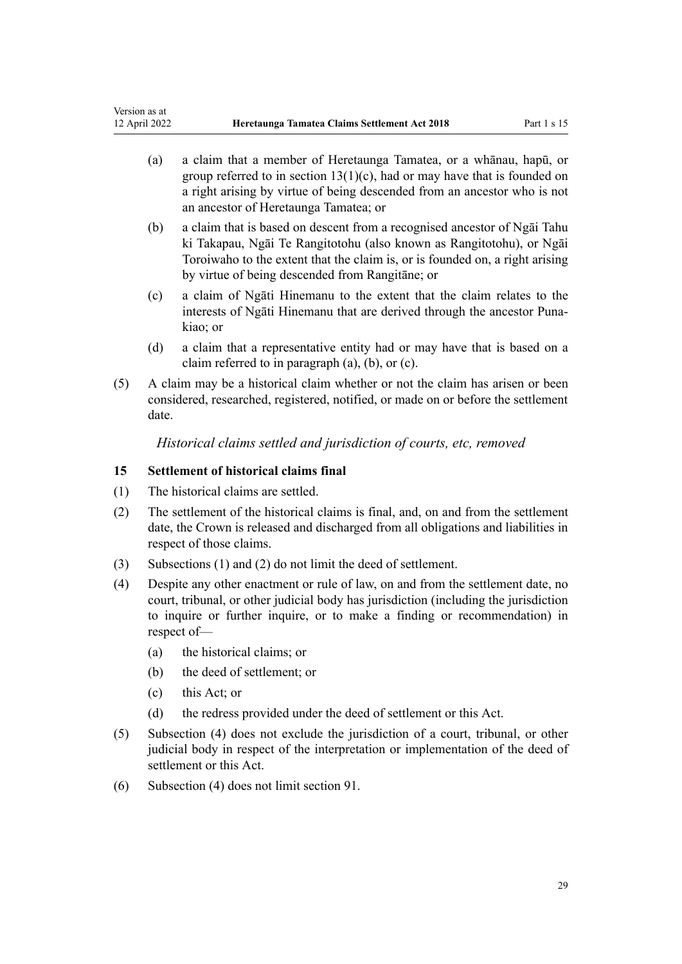- <span id="page-28-0"></span>(a) a claim that a member of Heretaunga Tamatea, or a whānau, hapū, or group referred to in section  $13(1)(c)$ , had or may have that is founded on a right arising by virtue of being descended from an ancestor who is not an ancestor of Heretaunga Tamatea; or
- (b) a claim that is based on descent from a recognised ancestor of Ngāi Tahu ki Takapau, Ngāi Te Rangitotohu (also known as Rangitotohu), or Ngāi Toroiwaho to the extent that the claim is, or is founded on, a right arising by virtue of being descended from Rangitāne; or
- (c) a claim of Ngāti Hinemanu to the extent that the claim relates to the interests of Ngāti Hinemanu that are derived through the ancestor Puna‐ kiao; or
- (d) a claim that a representative entity had or may have that is based on a claim referred to in paragraph (a), (b), or (c).
- (5) A claim may be a historical claim whether or not the claim has arisen or been considered, researched, registered, notified, or made on or before the settlement date.

*Historical claims settled and jurisdiction of courts, etc, removed*

## **15 Settlement of historical claims final**

- (1) The historical claims are settled.
- (2) The settlement of the historical claims is final, and, on and from the settlement date, the Crown is released and discharged from all obligations and liabilities in respect of those claims.
- (3) Subsections (1) and (2) do not limit the deed of settlement.
- (4) Despite any other enactment or rule of law, on and from the settlement date, no court, tribunal, or other judicial body has jurisdiction (including the jurisdiction to inquire or further inquire, or to make a finding or recommendation) in respect of—
	- (a) the historical claims; or
	- (b) the deed of settlement; or
	- (c) this Act; or
	- (d) the redress provided under the deed of settlement or this Act.
- (5) Subsection (4) does not exclude the jurisdiction of a court, tribunal, or other judicial body in respect of the interpretation or implementation of the deed of settlement or this Act.
- (6) Subsection (4) does not limit [section 91.](#page-63-0)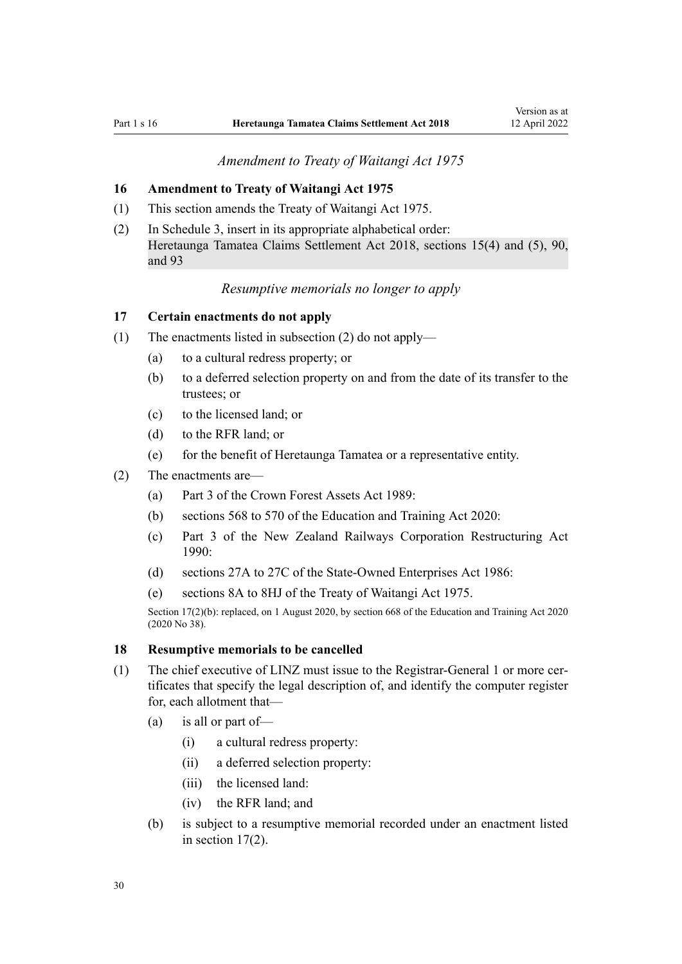## *Amendment to Treaty of Waitangi Act 1975*

## <span id="page-29-0"></span>**16 Amendment to Treaty of Waitangi Act 1975**

- (1) This section amends the [Treaty of Waitangi Act 1975](http://legislation.govt.nz/pdflink.aspx?id=DLM435367).
- (2) In [Schedule 3](http://legislation.govt.nz/pdflink.aspx?id=DLM1347539), insert in its appropriate alphabetical order: Heretaunga Tamatea Claims Settlement Act 2018, sections 15(4) and (5), 90, and 93

## *Resumptive memorials no longer to apply*

## **17 Certain enactments do not apply**

- (1) The enactments listed in subsection (2) do not apply—
	- (a) to a cultural redress property; or
	- (b) to a deferred selection property on and from the date of its transfer to the trustees; or
	- (c) to the licensed land; or
	- (d) to the RFR land; or
	- (e) for the benefit of Heretaunga Tamatea or a representative entity.
- (2) The enactments are—
	- (a) [Part 3](http://legislation.govt.nz/pdflink.aspx?id=DLM192356) of the Crown Forest Assets Act 1989:
	- (b) [sections 568 to 570](http://legislation.govt.nz/pdflink.aspx?id=LMS172546) of the Education and Training Act 2020:
	- (c) [Part 3](http://legislation.govt.nz/pdflink.aspx?id=DLM223144) of the New Zealand Railways Corporation Restructuring Act 1990:
	- (d) [sections 27A to 27C](http://legislation.govt.nz/pdflink.aspx?id=DLM98097) of the State-Owned Enterprises Act 1986:
	- (e) [sections 8A to 8HJ](http://legislation.govt.nz/pdflink.aspx?id=DLM435544) of the Treaty of Waitangi Act 1975.

Section 17(2)(b): replaced, on 1 August 2020, by [section 668](http://legislation.govt.nz/pdflink.aspx?id=LMS367713) of the Education and Training Act 2020 (2020 No 38).

#### **18 Resumptive memorials to be cancelled**

- (1) The chief executive of LINZ must issue to the Registrar-General 1 or more cer‐ tificates that specify the legal description of, and identify the computer register for, each allotment that—
	- (a) is all or part of—
		- (i) a cultural redress property:
		- (ii) a deferred selection property:
		- (iii) the licensed land:
		- (iv) the RFR land; and
	- (b) is subject to a resumptive memorial recorded under an enactment listed in section 17(2).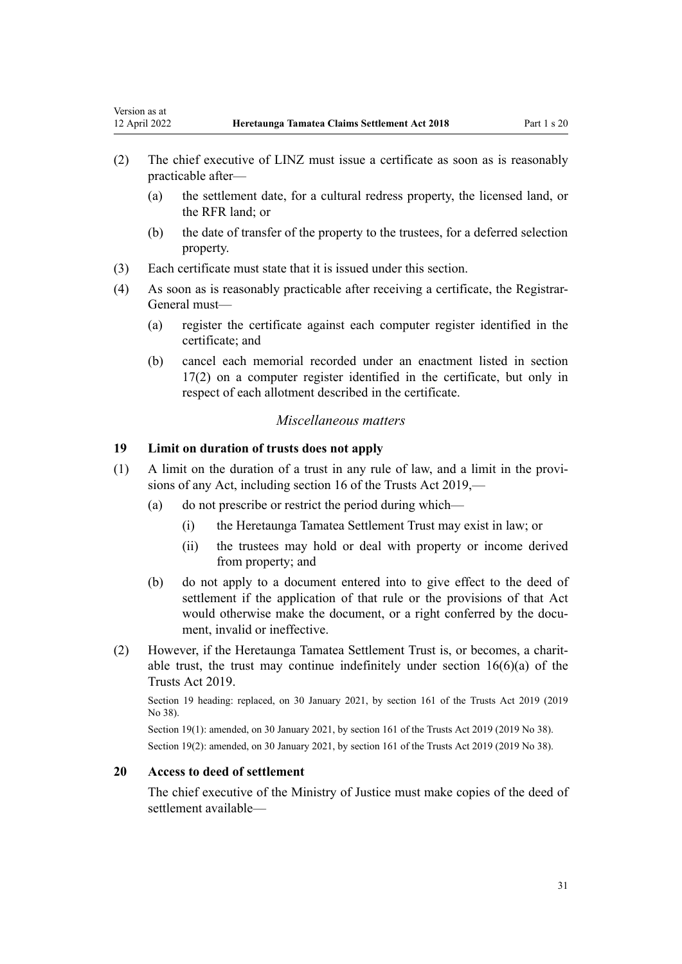- <span id="page-30-0"></span>(2) The chief executive of LINZ must issue a certificate as soon as is reasonably practicable after—
	- (a) the settlement date, for a cultural redress property, the licensed land, or the RFR land; or
	- (b) the date of transfer of the property to the trustees, for a deferred selection property.
- (3) Each certificate must state that it is issued under this section.
- (4) As soon as is reasonably practicable after receiving a certificate, the Registrar-General must—
	- (a) register the certificate against each computer register identified in the certificate; and
	- (b) cancel each memorial recorded under an enactment listed in [section](#page-29-0) [17\(2\)](#page-29-0) on a computer register identified in the certificate, but only in respect of each allotment described in the certificate.

#### *Miscellaneous matters*

## **19 Limit on duration of trusts does not apply**

- (1) A limit on the duration of a trust in any rule of law, and a limit in the provi‐ sions of any Act, including [section 16](http://legislation.govt.nz/pdflink.aspx?id=DLM7382883) of the Trusts Act 2019,—
	- (a) do not prescribe or restrict the period during which—
		- (i) the Heretaunga Tamatea Settlement Trust may exist in law; or
		- (ii) the trustees may hold or deal with property or income derived from property; and
	- (b) do not apply to a document entered into to give effect to the deed of settlement if the application of that rule or the provisions of that Act would otherwise make the document, or a right conferred by the document, invalid or ineffective.
- (2) However, if the Heretaunga Tamatea Settlement Trust is, or becomes, a charit‐ able trust, the trust may continue indefinitely under [section 16\(6\)\(a\)](http://legislation.govt.nz/pdflink.aspx?id=DLM7382883) of the Trusts Act 2019.

Section 19 heading: replaced, on 30 January 2021, by [section 161](http://legislation.govt.nz/pdflink.aspx?id=DLM7383110) of the Trusts Act 2019 (2019 No 38).

Section 19(1): amended, on 30 January 2021, by [section 161](http://legislation.govt.nz/pdflink.aspx?id=DLM7383110) of the Trusts Act 2019 (2019 No 38). Section 19(2): amended, on 30 January 2021, by [section 161](http://legislation.govt.nz/pdflink.aspx?id=DLM7383110) of the Trusts Act 2019 (2019 No 38).

## **20 Access to deed of settlement**

The chief executive of the Ministry of Justice must make copies of the deed of settlement available—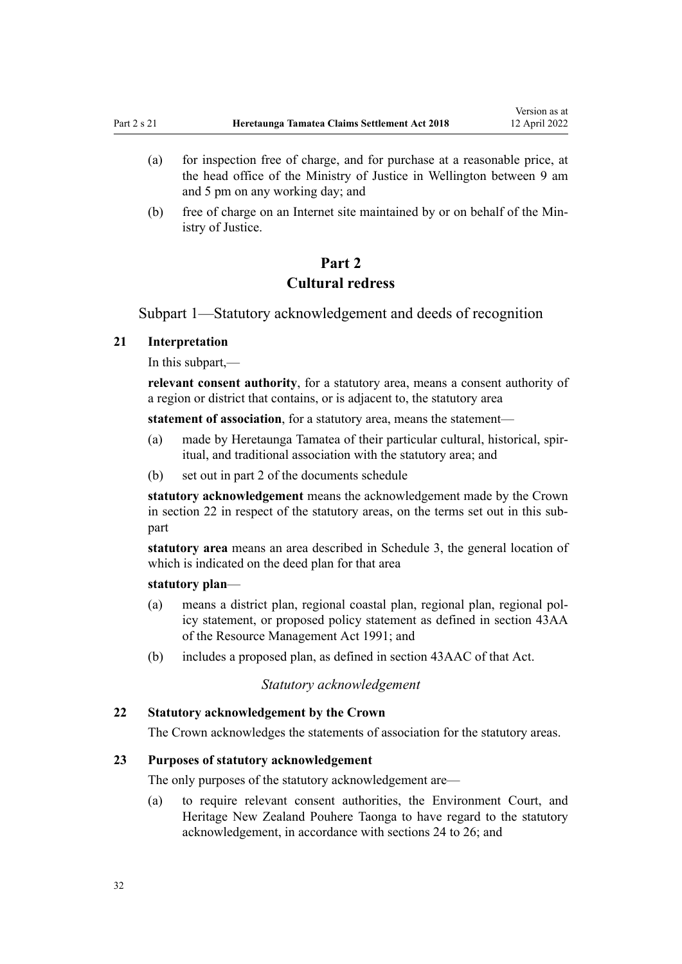- <span id="page-31-0"></span>(a) for inspection free of charge, and for purchase at a reasonable price, at the head office of the Ministry of Justice in Wellington between 9 am and 5 pm on any working day; and
- (b) free of charge on an Internet site maintained by or on behalf of the Min‐ istry of Justice.

## **Part 2**

## **Cultural redress**

Subpart 1—Statutory acknowledgement and deeds of recognition

#### **21 Interpretation**

In this subpart,—

**relevant consent authority**, for a statutory area, means a consent authority of a region or district that contains, or is adjacent to, the statutory area

**statement of association**, for a statutory area, means the statement—

- (a) made by Heretaunga Tamatea of their particular cultural, historical, spir‐ itual, and traditional association with the statutory area; and
- (b) set out in part 2 of the documents schedule

**statutory acknowledgement** means the acknowledgement made by the Crown in section 22 in respect of the statutory areas, on the terms set out in this subpart

**statutory area** means an area described in [Schedule 3](#page-81-0), the general location of which is indicated on the deed plan for that area

#### **statutory plan**—

- (a) means a district plan, regional coastal plan, regional plan, regional pol‐ icy statement, or proposed policy statement as defined in [section 43AA](http://legislation.govt.nz/pdflink.aspx?id=DLM2412743) of the Resource Management Act 1991; and
- (b) includes a proposed plan, as defined in [section 43AAC](http://legislation.govt.nz/pdflink.aspx?id=DLM2412769) of that Act.

#### *Statutory acknowledgement*

## **22 Statutory acknowledgement by the Crown**

The Crown acknowledges the statements of association for the statutory areas.

## **23 Purposes of statutory acknowledgement**

The only purposes of the statutory acknowledgement are—

(a) to require relevant consent authorities, the Environment Court, and Heritage New Zealand Pouhere Taonga to have regard to the statutory acknowledgement, in accordance with [sections 24 to 26;](#page-32-0) and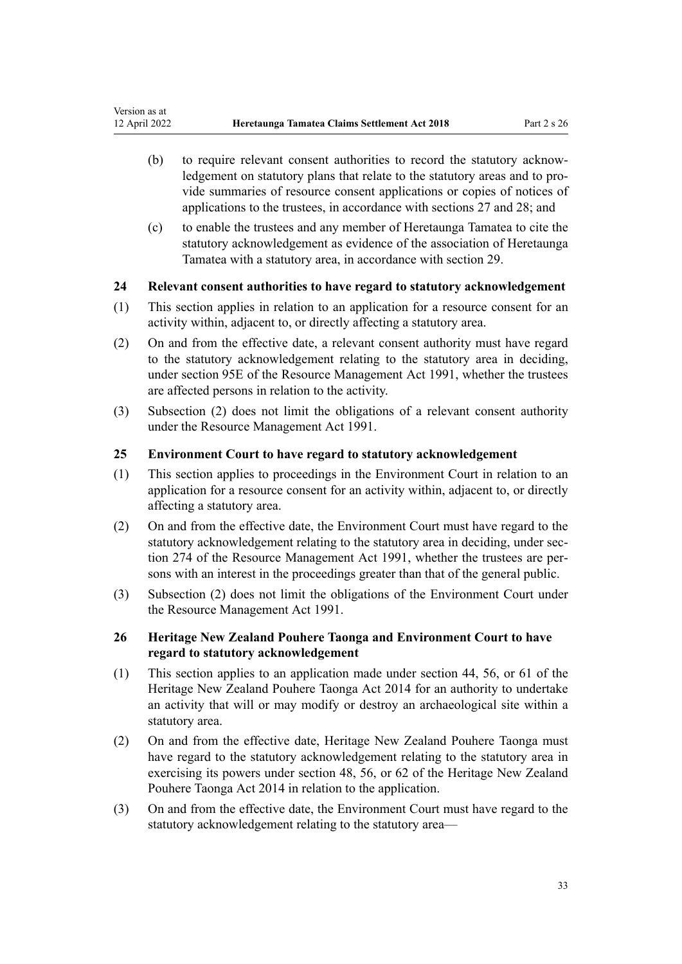- <span id="page-32-0"></span>(b) to require relevant consent authorities to record the statutory acknow‐ ledgement on statutory plans that relate to the statutory areas and to provide summaries of resource consent applications or copies of notices of applications to the trustees, in accordance with [sections 27](#page-33-0) and [28](#page-33-0); and
- (c) to enable the trustees and any member of Heretaunga Tamatea to cite the statutory acknowledgement as evidence of the association of Heretaunga Tamatea with a statutory area, in accordance with [section 29.](#page-34-0)

## **24 Relevant consent authorities to have regard to statutory acknowledgement**

- (1) This section applies in relation to an application for a resource consent for an activity within, adjacent to, or directly affecting a statutory area.
- (2) On and from the effective date, a relevant consent authority must have regard to the statutory acknowledgement relating to the statutory area in deciding, under [section 95E](http://legislation.govt.nz/pdflink.aspx?id=DLM2416413) of the Resource Management Act 1991, whether the trustees are affected persons in relation to the activity.
- (3) Subsection (2) does not limit the obligations of a relevant consent authority under the [Resource Management Act 1991](http://legislation.govt.nz/pdflink.aspx?id=DLM230264).

## **25 Environment Court to have regard to statutory acknowledgement**

- (1) This section applies to proceedings in the Environment Court in relation to an application for a resource consent for an activity within, adjacent to, or directly affecting a statutory area.
- (2) On and from the effective date, the Environment Court must have regard to the statutory acknowledgement relating to the statutory area in deciding, under [sec‐](http://legislation.govt.nz/pdflink.aspx?id=DLM237755) [tion 274](http://legislation.govt.nz/pdflink.aspx?id=DLM237755) of the Resource Management Act 1991, whether the trustees are per‐ sons with an interest in the proceedings greater than that of the general public.
- (3) Subsection (2) does not limit the obligations of the Environment Court under the [Resource Management Act 1991](http://legislation.govt.nz/pdflink.aspx?id=DLM230264).

## **26 Heritage New Zealand Pouhere Taonga and Environment Court to have regard to statutory acknowledgement**

- (1) This section applies to an application made under [section 44](http://legislation.govt.nz/pdflink.aspx?id=DLM4005562), [56](http://legislation.govt.nz/pdflink.aspx?id=DLM4005580), or [61](http://legislation.govt.nz/pdflink.aspx?id=DLM4005587) of the Heritage New Zealand Pouhere Taonga Act 2014 for an authority to undertake an activity that will or may modify or destroy an archaeological site within a statutory area.
- (2) On and from the effective date, Heritage New Zealand Pouhere Taonga must have regard to the statutory acknowledgement relating to the statutory area in exercising its powers under [section 48](http://legislation.govt.nz/pdflink.aspx?id=DLM4005568), [56,](http://legislation.govt.nz/pdflink.aspx?id=DLM4005580) or [62](http://legislation.govt.nz/pdflink.aspx?id=DLM4005588) of the Heritage New Zealand Pouhere Taonga Act 2014 in relation to the application.
- (3) On and from the effective date, the Environment Court must have regard to the statutory acknowledgement relating to the statutory area—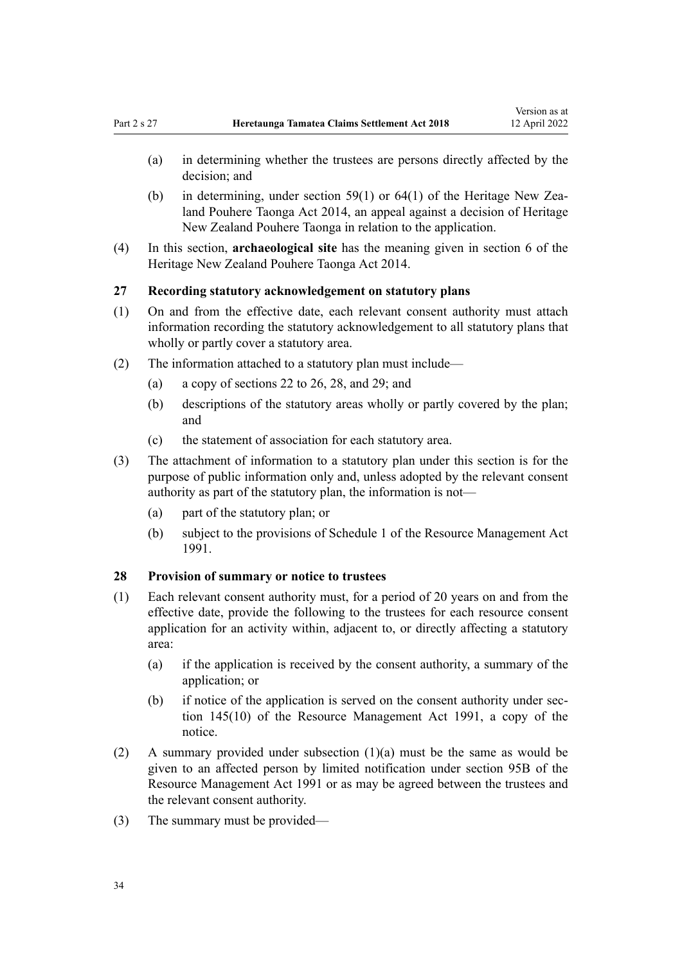- <span id="page-33-0"></span>(a) in determining whether the trustees are persons directly affected by the decision; and
- (b) in determining, under [section 59\(1\)](http://legislation.govt.nz/pdflink.aspx?id=DLM4005584) or  $64(1)$  of the Heritage New Zealand Pouhere Taonga Act 2014, an appeal against a decision of Heritage New Zealand Pouhere Taonga in relation to the application.
- (4) In this section, **archaeological site** has the meaning given in [section 6](http://legislation.govt.nz/pdflink.aspx?id=DLM4005423) of the Heritage New Zealand Pouhere Taonga Act 2014.

#### **27 Recording statutory acknowledgement on statutory plans**

- (1) On and from the effective date, each relevant consent authority must attach information recording the statutory acknowledgement to all statutory plans that wholly or partly cover a statutory area.
- (2) The information attached to a statutory plan must include—
	- (a) a copy of [sections 22 to 26](#page-31-0), 28, and [29](#page-34-0); and
	- (b) descriptions of the statutory areas wholly or partly covered by the plan; and
	- (c) the statement of association for each statutory area.
- (3) The attachment of information to a statutory plan under this section is for the purpose of public information only and, unless adopted by the relevant consent authority as part of the statutory plan, the information is not—
	- (a) part of the statutory plan; or
	- (b) subject to the provisions of [Schedule 1](http://legislation.govt.nz/pdflink.aspx?id=DLM240686) of the Resource Management Act 1991.

## **28 Provision of summary or notice to trustees**

- (1) Each relevant consent authority must, for a period of 20 years on and from the effective date, provide the following to the trustees for each resource consent application for an activity within, adjacent to, or directly affecting a statutory area:
	- (a) if the application is received by the consent authority, a summary of the application; or
	- (b) if notice of the application is served on the consent authority under sec[tion 145\(10\)](http://legislation.govt.nz/pdflink.aspx?id=DLM235409) of the Resource Management Act 1991, a copy of the notice.
- (2) A summary provided under subsection (1)(a) must be the same as would be given to an affected person by limited notification under [section 95B](http://legislation.govt.nz/pdflink.aspx?id=DLM2416410) of the Resource Management Act 1991 or as may be agreed between the trustees and the relevant consent authority.
- (3) The summary must be provided—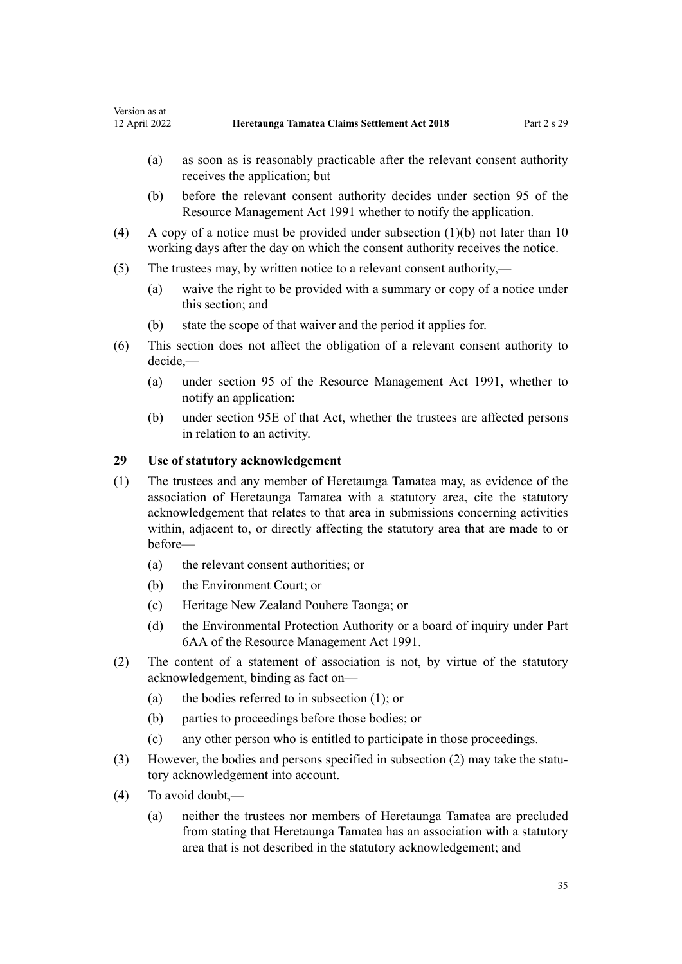- <span id="page-34-0"></span>(a) as soon as is reasonably practicable after the relevant consent authority receives the application; but
- (b) before the relevant consent authority decides under [section 95](http://legislation.govt.nz/pdflink.aspx?id=DLM234326) of the Resource Management Act 1991 whether to notify the application.
- (4) A copy of a notice must be provided under subsection (1)(b) not later than 10 working days after the day on which the consent authority receives the notice.
- (5) The trustees may, by written notice to a relevant consent authority,—
	- (a) waive the right to be provided with a summary or copy of a notice under this section; and
	- (b) state the scope of that waiver and the period it applies for.
- (6) This section does not affect the obligation of a relevant consent authority to decide,—
	- (a) under [section 95](http://legislation.govt.nz/pdflink.aspx?id=DLM234326) of the Resource Management Act 1991, whether to notify an application:
	- (b) under [section 95E](http://legislation.govt.nz/pdflink.aspx?id=DLM2416413) of that Act, whether the trustees are affected persons in relation to an activity.

## **29 Use of statutory acknowledgement**

- (1) The trustees and any member of Heretaunga Tamatea may, as evidence of the association of Heretaunga Tamatea with a statutory area, cite the statutory acknowledgement that relates to that area in submissions concerning activities within, adjacent to, or directly affecting the statutory area that are made to or before—
	- (a) the relevant consent authorities; or
	- (b) the Environment Court; or
	- (c) Heritage New Zealand Pouhere Taonga; or
	- (d) the Environmental Protection Authority or a board of inquiry under [Part](http://legislation.govt.nz/pdflink.aspx?id=DLM2418625) [6AA](http://legislation.govt.nz/pdflink.aspx?id=DLM2418625) of the Resource Management Act 1991.
- (2) The content of a statement of association is not, by virtue of the statutory acknowledgement, binding as fact on—
	- (a) the bodies referred to in subsection (1); or
	- (b) parties to proceedings before those bodies; or
	- (c) any other person who is entitled to participate in those proceedings.
- (3) However, the bodies and persons specified in subsection (2) may take the statutory acknowledgement into account.
- (4) To avoid doubt,—
	- (a) neither the trustees nor members of Heretaunga Tamatea are precluded from stating that Heretaunga Tamatea has an association with a statutory area that is not described in the statutory acknowledgement; and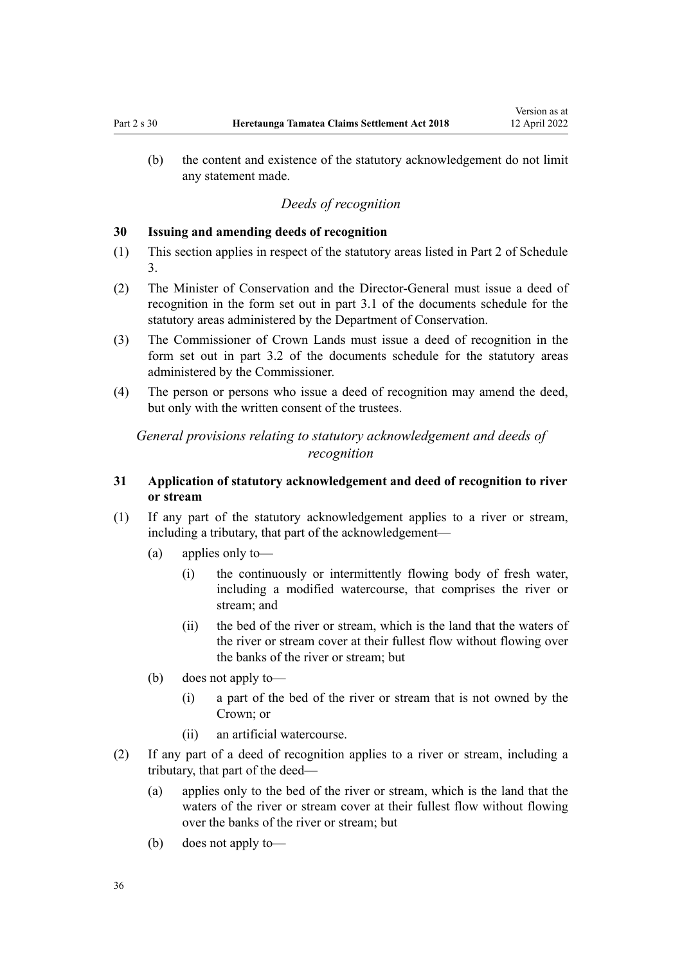<span id="page-35-0"></span>(b) the content and existence of the statutory acknowledgement do not limit any statement made.

## *Deeds of recognition*

#### **30 Issuing and amending deeds of recognition**

- (1) This section applies in respect of the statutory areas listed in [Part 2](#page-81-0) of Schedule 3.
- (2) The Minister of Conservation and the Director-General must issue a deed of recognition in the form set out in part 3.1 of the documents schedule for the statutory areas administered by the Department of Conservation.
- (3) The Commissioner of Crown Lands must issue a deed of recognition in the form set out in part 3.2 of the documents schedule for the statutory areas administered by the Commissioner.
- (4) The person or persons who issue a deed of recognition may amend the deed, but only with the written consent of the trustees.

## *General provisions relating to statutory acknowledgement and deeds of recognition*

## **31 Application of statutory acknowledgement and deed of recognition to river or stream**

- (1) If any part of the statutory acknowledgement applies to a river or stream, including a tributary, that part of the acknowledgement—
	- (a) applies only to—
		- (i) the continuously or intermittently flowing body of fresh water, including a modified watercourse, that comprises the river or stream; and
		- (ii) the bed of the river or stream, which is the land that the waters of the river or stream cover at their fullest flow without flowing over the banks of the river or stream; but
	- (b) does not apply to—
		- (i) a part of the bed of the river or stream that is not owned by the Crown; or
		- (ii) an artificial watercourse.
- (2) If any part of a deed of recognition applies to a river or stream, including a tributary, that part of the deed—
	- (a) applies only to the bed of the river or stream, which is the land that the waters of the river or stream cover at their fullest flow without flowing over the banks of the river or stream; but
	- (b) does not apply to—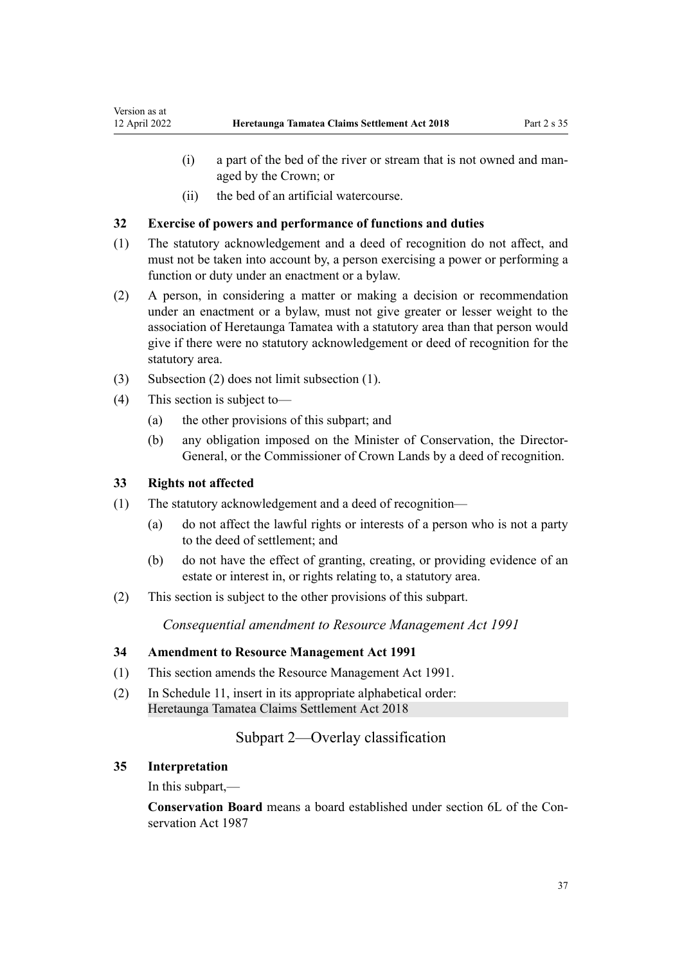- (i) a part of the bed of the river or stream that is not owned and man‐ aged by the Crown; or
- (ii) the bed of an artificial watercourse.

## **32 Exercise of powers and performance of functions and duties**

- (1) The statutory acknowledgement and a deed of recognition do not affect, and must not be taken into account by, a person exercising a power or performing a function or duty under an enactment or a bylaw.
- (2) A person, in considering a matter or making a decision or recommendation under an enactment or a bylaw, must not give greater or lesser weight to the association of Heretaunga Tamatea with a statutory area than that person would give if there were no statutory acknowledgement or deed of recognition for the statutory area.
- (3) Subsection (2) does not limit subsection (1).
- (4) This section is subject to—
	- (a) the other provisions of this subpart; and
	- (b) any obligation imposed on the Minister of Conservation, the Director-General, or the Commissioner of Crown Lands by a deed of recognition.

#### **33 Rights not affected**

- (1) The statutory acknowledgement and a deed of recognition—
	- (a) do not affect the lawful rights or interests of a person who is not a party to the deed of settlement; and
	- (b) do not have the effect of granting, creating, or providing evidence of an estate or interest in, or rights relating to, a statutory area.
- (2) This section is subject to the other provisions of this subpart.

*Consequential amendment to Resource Management Act 1991*

#### **34 Amendment to Resource Management Act 1991**

- (1) This section amends the [Resource Management Act 1991.](http://legislation.govt.nz/pdflink.aspx?id=DLM230264)
- (2) In [Schedule 11,](http://legislation.govt.nz/pdflink.aspx?id=DLM242504) insert in its appropriate alphabetical order: Heretaunga Tamatea Claims Settlement Act 2018

# Subpart 2—Overlay classification

#### **35 Interpretation**

In this subpart,—

**Conservation Board** means a board established under [section 6L](http://legislation.govt.nz/pdflink.aspx?id=DLM104213) of the Con‐ servation Act 1987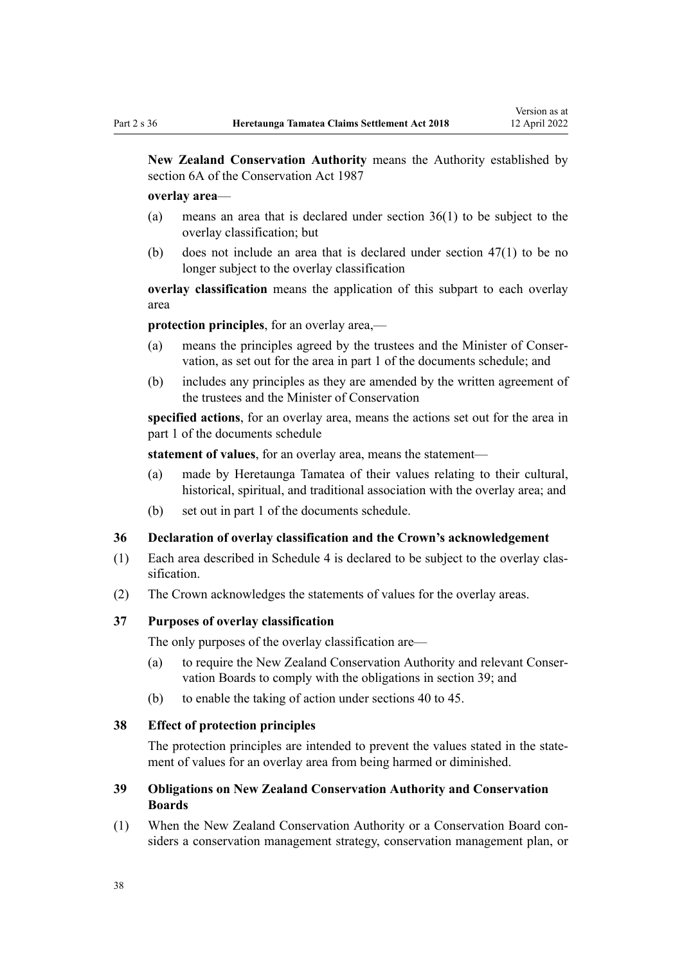<span id="page-37-0"></span>**New Zealand Conservation Authority** means the Authority established by [section 6A](http://legislation.govt.nz/pdflink.aspx?id=DLM104086) of the Conservation Act 1987

#### **overlay area**—

- (a) means an area that is declared under section 36(1) to be subject to the overlay classification; but
- (b) does not include an area that is declared under [section 47\(1\)](#page-41-0) to be no longer subject to the overlay classification

**overlay classification** means the application of this subpart to each overlay area

**protection principles**, for an overlay area,—

- (a) means the principles agreed by the trustees and the Minister of Conser‐ vation, as set out for the area in part 1 of the documents schedule; and
- (b) includes any principles as they are amended by the written agreement of the trustees and the Minister of Conservation

**specified actions**, for an overlay area, means the actions set out for the area in part 1 of the documents schedule

**statement of values**, for an overlay area, means the statement—

- (a) made by Heretaunga Tamatea of their values relating to their cultural, historical, spiritual, and traditional association with the overlay area; and
- (b) set out in part 1 of the documents schedule.

#### **36 Declaration of overlay classification and the Crown's acknowledgement**

- (1) Each area described in [Schedule 4](#page-83-0) is declared to be subject to the overlay clas‐ sification.
- (2) The Crown acknowledges the statements of values for the overlay areas.

#### **37 Purposes of overlay classification**

The only purposes of the overlay classification are—

- (a) to require the New Zealand Conservation Authority and relevant Conser‐ vation Boards to comply with the obligations in section 39; and
- (b) to enable the taking of action under [sections 40 to 45.](#page-38-0)

#### **38 Effect of protection principles**

The protection principles are intended to prevent the values stated in the statement of values for an overlay area from being harmed or diminished.

# **39 Obligations on New Zealand Conservation Authority and Conservation Boards**

(1) When the New Zealand Conservation Authority or a Conservation Board con‐ siders a conservation management strategy, conservation management plan, or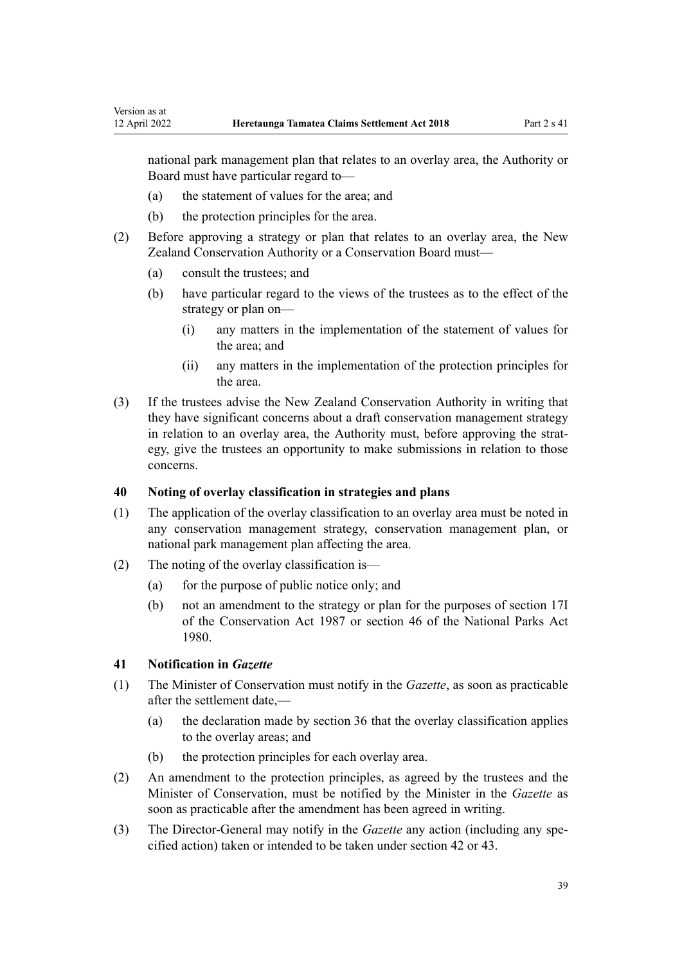<span id="page-38-0"></span>national park management plan that relates to an overlay area, the Authority or Board must have particular regard to—

- (a) the statement of values for the area; and
- (b) the protection principles for the area.
- (2) Before approving a strategy or plan that relates to an overlay area, the New Zealand Conservation Authority or a Conservation Board must—
	- (a) consult the trustees; and
	- (b) have particular regard to the views of the trustees as to the effect of the strategy or plan on—
		- (i) any matters in the implementation of the statement of values for the area; and
		- (ii) any matters in the implementation of the protection principles for the area.
- (3) If the trustees advise the New Zealand Conservation Authority in writing that they have significant concerns about a draft conservation management strategy in relation to an overlay area, the Authority must, before approving the strategy, give the trustees an opportunity to make submissions in relation to those concerns.

#### **40 Noting of overlay classification in strategies and plans**

- (1) The application of the overlay classification to an overlay area must be noted in any conservation management strategy, conservation management plan, or national park management plan affecting the area.
- (2) The noting of the overlay classification is—
	- (a) for the purpose of public notice only; and
	- (b) not an amendment to the strategy or plan for the purposes of [section 17I](http://legislation.govt.nz/pdflink.aspx?id=DLM104615) of the Conservation Act 1987 or [section 46](http://legislation.govt.nz/pdflink.aspx?id=DLM38204) of the National Parks Act 1980.

#### **41 Notification in** *Gazette*

- (1) The Minister of Conservation must notify in the *Gazette*, as soon as practicable after the settlement date,—
	- (a) the declaration made by [section 36](#page-37-0) that the overlay classification applies to the overlay areas; and
	- (b) the protection principles for each overlay area.
- (2) An amendment to the protection principles, as agreed by the trustees and the Minister of Conservation, must be notified by the Minister in the *Gazette* as soon as practicable after the amendment has been agreed in writing.
- (3) The Director-General may notify in the *Gazette* any action (including any spe‐ cified action) taken or intended to be taken under [section 42](#page-39-0) or [43.](#page-39-0)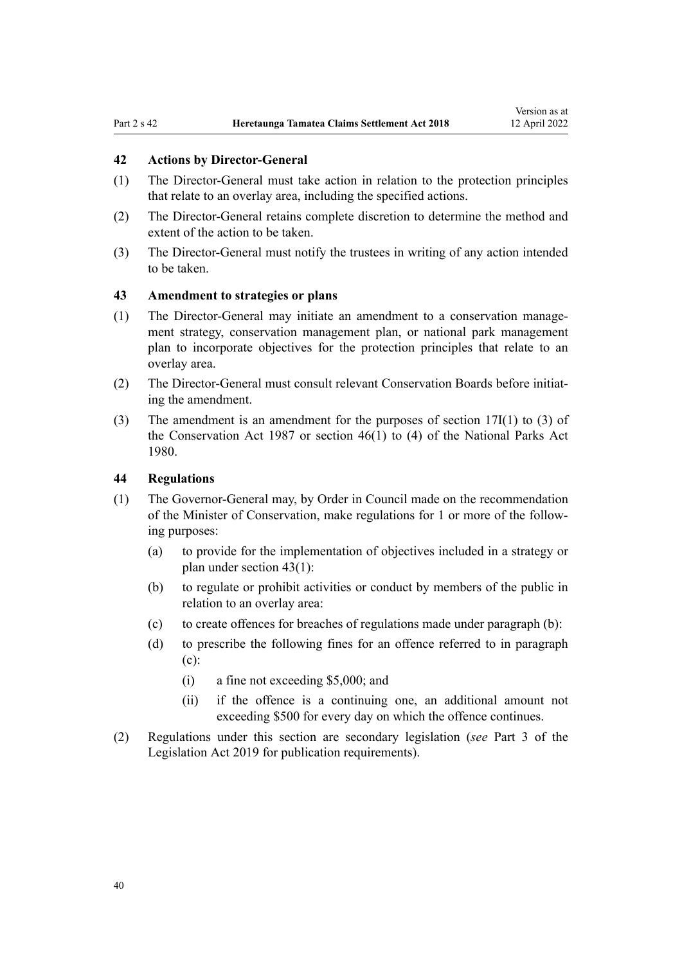#### <span id="page-39-0"></span>**42 Actions by Director-General**

- (1) The Director-General must take action in relation to the protection principles that relate to an overlay area, including the specified actions.
- (2) The Director-General retains complete discretion to determine the method and extent of the action to be taken.
- (3) The Director-General must notify the trustees in writing of any action intended to be taken.

## **43 Amendment to strategies or plans**

- (1) The Director-General may initiate an amendment to a conservation manage‐ ment strategy, conservation management plan, or national park management plan to incorporate objectives for the protection principles that relate to an overlay area.
- (2) The Director-General must consult relevant Conservation Boards before initiat‐ ing the amendment.
- (3) The amendment is an amendment for the purposes of [section 17I\(1\) to \(3\)](http://legislation.govt.nz/pdflink.aspx?id=DLM104615) of the Conservation Act 1987 or [section 46\(1\) to \(4\)](http://legislation.govt.nz/pdflink.aspx?id=DLM38204) of the National Parks Act 1980.

#### **44 Regulations**

- (1) The Governor-General may, by Order in Council made on the recommendation of the Minister of Conservation, make regulations for 1 or more of the follow‐ ing purposes:
	- (a) to provide for the implementation of objectives included in a strategy or plan under section 43(1):
	- (b) to regulate or prohibit activities or conduct by members of the public in relation to an overlay area:
	- (c) to create offences for breaches of regulations made under paragraph (b):
	- (d) to prescribe the following fines for an offence referred to in paragraph (c):
		- (i) a fine not exceeding \$5,000; and
		- (ii) if the offence is a continuing one, an additional amount not exceeding \$500 for every day on which the offence continues.
- (2) Regulations under this section are secondary legislation (*see* [Part 3](http://legislation.govt.nz/pdflink.aspx?id=DLM7298343) of the Legislation Act 2019 for publication requirements).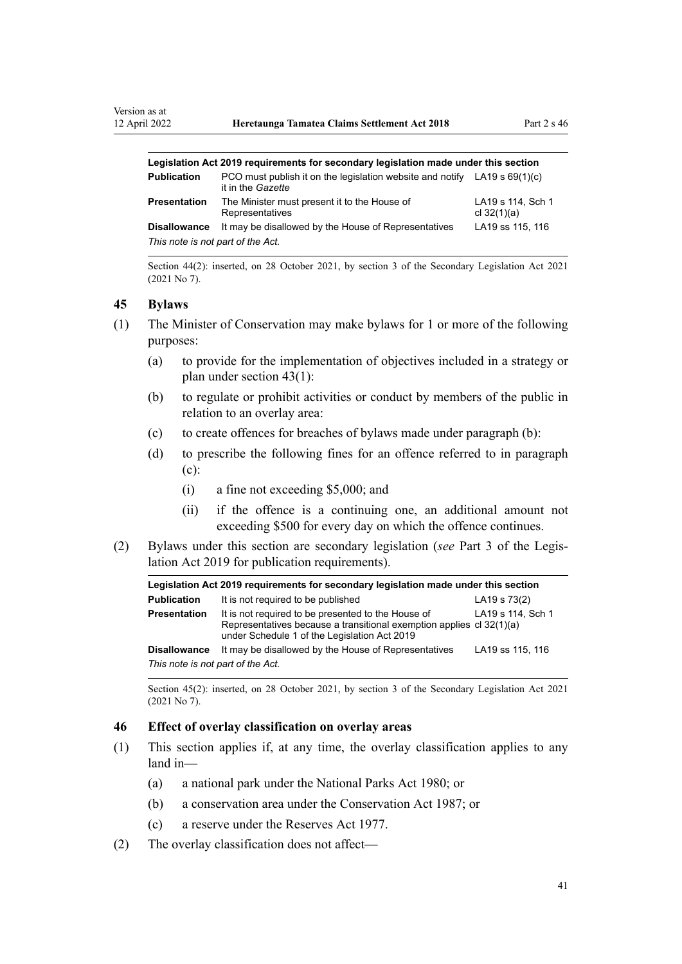| Legislation Act 2019 reguirements for secondary legislation made under this section |                                                                                                  |                                    |  |
|-------------------------------------------------------------------------------------|--------------------------------------------------------------------------------------------------|------------------------------------|--|
| <b>Publication</b>                                                                  | PCO must publish it on the legislation website and notify LA19 s $69(1)(c)$<br>it in the Gazette |                                    |  |
| Presentation                                                                        | The Minister must present it to the House of<br>Representatives                                  | LA19 s 114, Sch 1<br>cl $32(1)(a)$ |  |
| <b>Disallowance</b>                                                                 | It may be disallowed by the House of Representatives                                             | LA19 ss 115, 116                   |  |
| This note is not part of the Act.                                                   |                                                                                                  |                                    |  |

Section 44(2): inserted, on 28 October 2021, by [section 3](http://legislation.govt.nz/pdflink.aspx?id=LMS268932) of the Secondary Legislation Act 2021 (2021 No 7).

#### **45 Bylaws**

- (1) The Minister of Conservation may make bylaws for 1 or more of the following purposes:
	- (a) to provide for the implementation of objectives included in a strategy or plan under [section 43\(1\)](#page-39-0):
	- (b) to regulate or prohibit activities or conduct by members of the public in relation to an overlay area:
	- (c) to create offences for breaches of bylaws made under paragraph (b):
	- (d) to prescribe the following fines for an offence referred to in paragraph (c):
		- (i) a fine not exceeding \$5,000; and
		- (ii) if the offence is a continuing one, an additional amount not exceeding \$500 for every day on which the offence continues.
- (2) Bylaws under this section are secondary legislation (*see* [Part 3](http://legislation.govt.nz/pdflink.aspx?id=DLM7298343) of the Legis‐ lation Act 2019 for publication requirements).

| Legislation Act 2019 requirements for secondary legislation made under this section |                                                                                                                                                                            |                   |  |
|-------------------------------------------------------------------------------------|----------------------------------------------------------------------------------------------------------------------------------------------------------------------------|-------------------|--|
| <b>Publication</b>                                                                  | It is not required to be published                                                                                                                                         | LA19 s 73(2)      |  |
| <b>Presentation</b>                                                                 | It is not required to be presented to the House of<br>Representatives because a transitional exemption applies cl 32(1)(a)<br>under Schedule 1 of the Legislation Act 2019 | LA19 s 114, Sch 1 |  |
| <b>Disallowance</b>                                                                 | It may be disallowed by the House of Representatives                                                                                                                       | LA19 ss 115, 116  |  |
| This note is not part of the Act.                                                   |                                                                                                                                                                            |                   |  |

Section 45(2): inserted, on 28 October 2021, by [section 3](http://legislation.govt.nz/pdflink.aspx?id=LMS268932) of the Secondary Legislation Act 2021 (2021 No 7).

#### **46 Effect of overlay classification on overlay areas**

- (1) This section applies if, at any time, the overlay classification applies to any land in—
	- (a) a national park under the [National Parks Act 1980;](http://legislation.govt.nz/pdflink.aspx?id=DLM36962) or
	- (b) a conservation area under the [Conservation Act 1987;](http://legislation.govt.nz/pdflink.aspx?id=DLM103609) or
	- (c) a reserve under the [Reserves Act 1977](http://legislation.govt.nz/pdflink.aspx?id=DLM444304).
- (2) The overlay classification does not affect—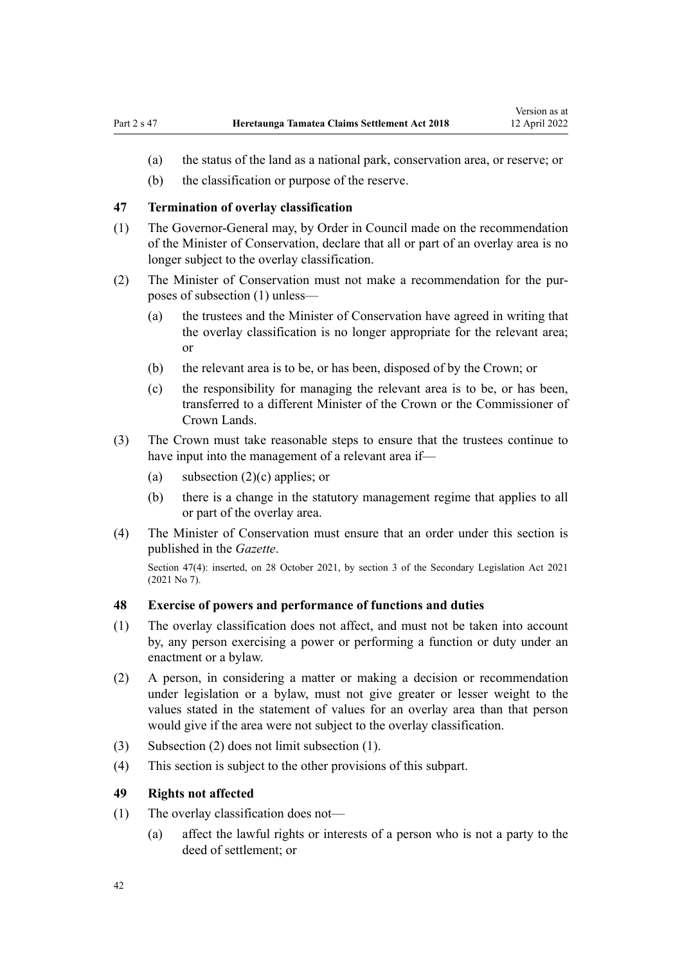- <span id="page-41-0"></span>(a) the status of the land as a national park, conservation area, or reserve; or
- (b) the classification or purpose of the reserve.

## **47 Termination of overlay classification**

- (1) The Governor-General may, by Order in Council made on the recommendation of the Minister of Conservation, declare that all or part of an overlay area is no longer subject to the overlay classification.
- (2) The Minister of Conservation must not make a recommendation for the pur‐ poses of subsection (1) unless—
	- (a) the trustees and the Minister of Conservation have agreed in writing that the overlay classification is no longer appropriate for the relevant area; or
	- (b) the relevant area is to be, or has been, disposed of by the Crown; or
	- (c) the responsibility for managing the relevant area is to be, or has been, transferred to a different Minister of the Crown or the Commissioner of Crown Lands.
- (3) The Crown must take reasonable steps to ensure that the trustees continue to have input into the management of a relevant area if—
	- (a) subsection  $(2)(c)$  applies; or
	- (b) there is a change in the statutory management regime that applies to all or part of the overlay area.
- (4) The Minister of Conservation must ensure that an order under this section is published in the *Gazette*.

Section 47(4): inserted, on 28 October 2021, by [section 3](http://legislation.govt.nz/pdflink.aspx?id=LMS268932) of the Secondary Legislation Act 2021 (2021 No 7).

#### **48 Exercise of powers and performance of functions and duties**

- (1) The overlay classification does not affect, and must not be taken into account by, any person exercising a power or performing a function or duty under an enactment or a bylaw.
- (2) A person, in considering a matter or making a decision or recommendation under legislation or a bylaw, must not give greater or lesser weight to the values stated in the statement of values for an overlay area than that person would give if the area were not subject to the overlay classification.
- (3) Subsection (2) does not limit subsection (1).
- (4) This section is subject to the other provisions of this subpart.

#### **49 Rights not affected**

- (1) The overlay classification does not—
	- (a) affect the lawful rights or interests of a person who is not a party to the deed of settlement; or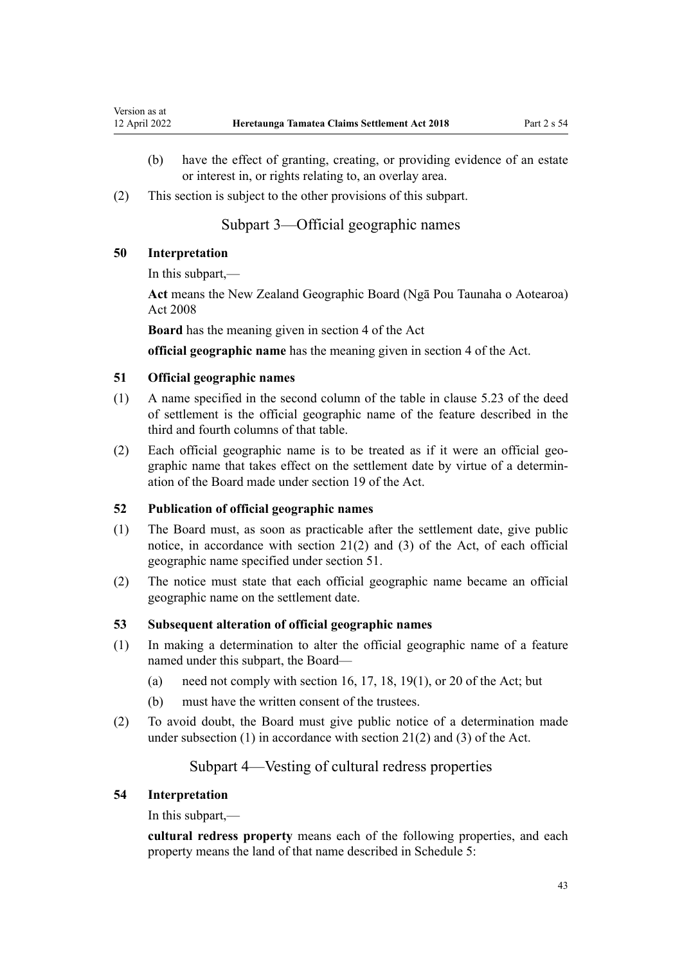- (b) have the effect of granting, creating, or providing evidence of an estate or interest in, or rights relating to, an overlay area.
- (2) This section is subject to the other provisions of this subpart.

# Subpart 3—Official geographic names

#### **50 Interpretation**

In this subpart,—

**Act** means the [New Zealand Geographic Board \(Ngā Pou Taunaha o Aotearoa\)](http://legislation.govt.nz/pdflink.aspx?id=DLM1065400) [Act 2008](http://legislation.govt.nz/pdflink.aspx?id=DLM1065400)

**Board** has the meaning given in [section 4](http://legislation.govt.nz/pdflink.aspx?id=DLM1065420) of the Act

**official geographic name** has the meaning given in [section 4](http://legislation.govt.nz/pdflink.aspx?id=DLM1065420) of the Act.

## **51 Official geographic names**

- (1) A name specified in the second column of the table in clause 5.23 of the deed of settlement is the official geographic name of the feature described in the third and fourth columns of that table.
- (2) Each official geographic name is to be treated as if it were an official geo‐ graphic name that takes effect on the settlement date by virtue of a determin‐ ation of the Board made under [section 19](http://legislation.govt.nz/pdflink.aspx?id=DLM1065495) of the Act.

# **52 Publication of official geographic names**

- (1) The Board must, as soon as practicable after the settlement date, give public notice, in accordance with [section 21\(2\) and \(3\)](http://legislation.govt.nz/pdflink.aspx?id=DLM1065497) of the Act, of each official geographic name specified under section 51.
- (2) The notice must state that each official geographic name became an official geographic name on the settlement date.

#### **53 Subsequent alteration of official geographic names**

- (1) In making a determination to alter the official geographic name of a feature named under this subpart, the Board
	- (a) need not comply with [section 16](http://legislation.govt.nz/pdflink.aspx?id=DLM1065492), [17](http://legislation.govt.nz/pdflink.aspx?id=DLM1065493), [18,](http://legislation.govt.nz/pdflink.aspx?id=DLM1065494) [19\(1\)](http://legislation.govt.nz/pdflink.aspx?id=DLM1065495), or [20](http://legislation.govt.nz/pdflink.aspx?id=DLM1065496) of the Act; but
	- (b) must have the written consent of the trustees.
- (2) To avoid doubt, the Board must give public notice of a determination made under subsection (1) in accordance with [section 21\(2\) and \(3\)](http://legislation.govt.nz/pdflink.aspx?id=DLM1065497) of the Act.

# Subpart 4—Vesting of cultural redress properties

#### **54 Interpretation**

In this subpart,—

**cultural redress property** means each of the following properties, and each property means the land of that name described in [Schedule 5:](#page-84-0)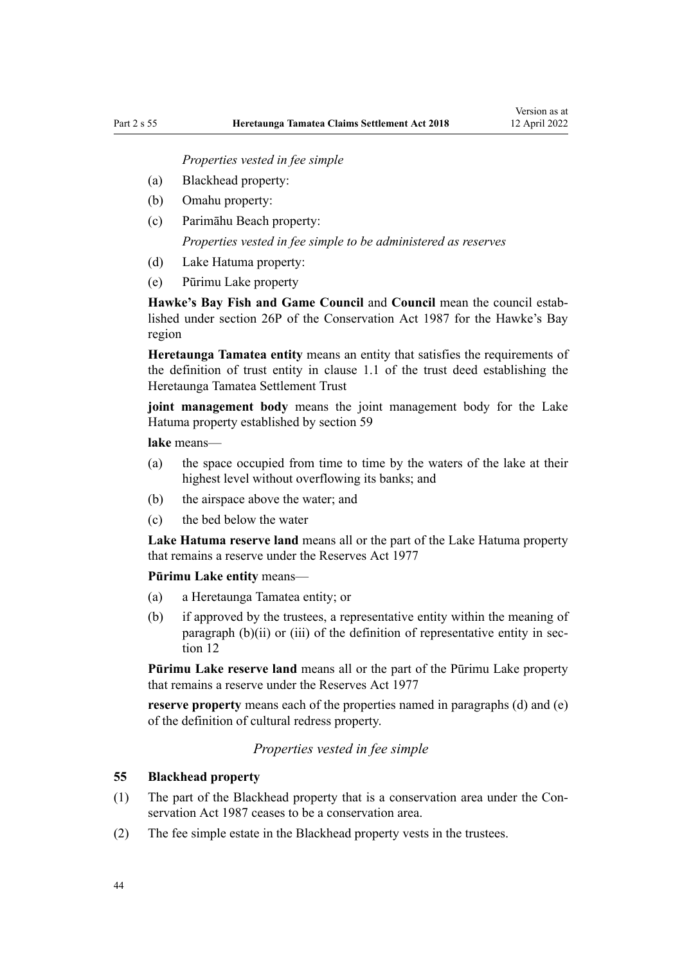*Properties vested in fee simple*

- (a) Blackhead property:
- (b) Omahu property:
- (c) Parimāhu Beach property: *Properties vested in fee simple to be administered as reserves*
- (d) Lake Hatuma property:
- (e) Pūrimu Lake property

**Hawke's Bay Fish and Game Council** and **Council** mean the council estab‐ lished under [section 26P](http://legislation.govt.nz/pdflink.aspx?id=DLM105723) of the Conservation Act 1987 for the Hawke's Bay region

**Heretaunga Tamatea entity** means an entity that satisfies the requirements of the definition of trust entity in clause 1.1 of the trust deed establishing the Heretaunga Tamatea Settlement Trust

**joint management body** means the joint management body for the Lake Hatuma property established by [section 59](#page-44-0)

**lake** means—

- (a) the space occupied from time to time by the waters of the lake at their highest level without overflowing its banks; and
- (b) the airspace above the water; and
- (c) the bed below the water

**Lake Hatuma reserve land** means all or the part of the Lake Hatuma property that remains a reserve under the [Reserves Act 1977](http://legislation.govt.nz/pdflink.aspx?id=DLM444304)

**Pūrimu Lake entity** means—

- (a) a Heretaunga Tamatea entity; or
- (b) if approved by the trustees, a representative entity within the meaning of paragraph (b)(ii) or (iii) of the definition of representative entity in sec[tion 12](#page-23-0)

**Pūrimu Lake reserve land** means all or the part of the Pūrimu Lake property that remains a reserve under the [Reserves Act 1977](http://legislation.govt.nz/pdflink.aspx?id=DLM444304)

**reserve property** means each of the properties named in paragraphs (d) and (e) of the definition of cultural redress property.

*Properties vested in fee simple*

## **55 Blackhead property**

- (1) The part of the Blackhead property that is a conservation area under the [Con‐](http://legislation.govt.nz/pdflink.aspx?id=DLM103609) [servation Act 1987](http://legislation.govt.nz/pdflink.aspx?id=DLM103609) ceases to be a conservation area.
- (2) The fee simple estate in the Blackhead property vests in the trustees.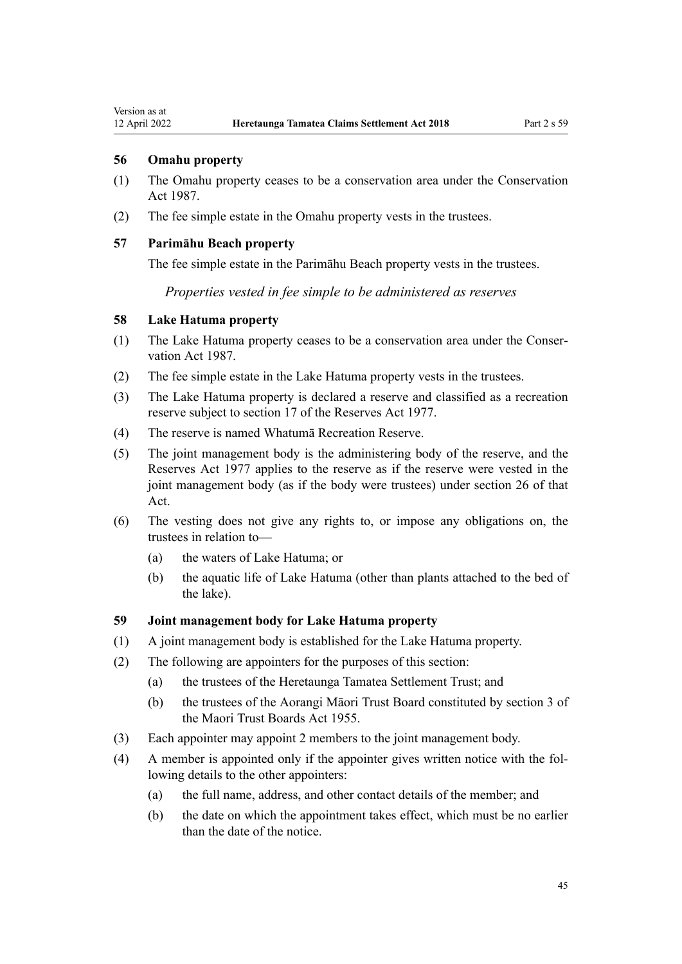## <span id="page-44-0"></span>**56 Omahu property**

- (1) The Omahu property ceases to be a conservation area under the Conservation Act 1987.
- (2) The fee simple estate in the Omahu property vests in the trustees.

## **57 Parimāhu Beach property**

The fee simple estate in the Parimāhu Beach property vests in the trustees.

*Properties vested in fee simple to be administered as reserves*

## **58 Lake Hatuma property**

- (1) The Lake Hatuma property ceases to be a conservation area under the [Conser‐](http://legislation.govt.nz/pdflink.aspx?id=DLM103609) [vation Act 1987](http://legislation.govt.nz/pdflink.aspx?id=DLM103609).
- (2) The fee simple estate in the Lake Hatuma property vests in the trustees.
- (3) The Lake Hatuma property is declared a reserve and classified as a recreation reserve subject to [section 17](http://legislation.govt.nz/pdflink.aspx?id=DLM444605) of the Reserves Act 1977.
- (4) The reserve is named Whatumā Recreation Reserve.
- (5) The joint management body is the administering body of the reserve, and the [Reserves Act 1977](http://legislation.govt.nz/pdflink.aspx?id=DLM444304) applies to the reserve as if the reserve were vested in the joint management body (as if the body were trustees) under [section 26](http://legislation.govt.nz/pdflink.aspx?id=DLM444650) of that Act.
- (6) The vesting does not give any rights to, or impose any obligations on, the trustees in relation to—
	- (a) the waters of Lake Hatuma; or
	- (b) the aquatic life of Lake Hatuma (other than plants attached to the bed of the lake).

## **59 Joint management body for Lake Hatuma property**

- (1) A joint management body is established for the Lake Hatuma property.
- (2) The following are appointers for the purposes of this section:
	- (a) the trustees of the Heretaunga Tamatea Settlement Trust; and
	- (b) the trustees of the Aorangi Māori Trust Board constituted by [section 3](http://legislation.govt.nz/pdflink.aspx?id=DLM289334) of the Maori Trust Boards Act 1955.
- (3) Each appointer may appoint 2 members to the joint management body.
- (4) A member is appointed only if the appointer gives written notice with the fol‐ lowing details to the other appointers:
	- (a) the full name, address, and other contact details of the member; and
	- (b) the date on which the appointment takes effect, which must be no earlier than the date of the notice.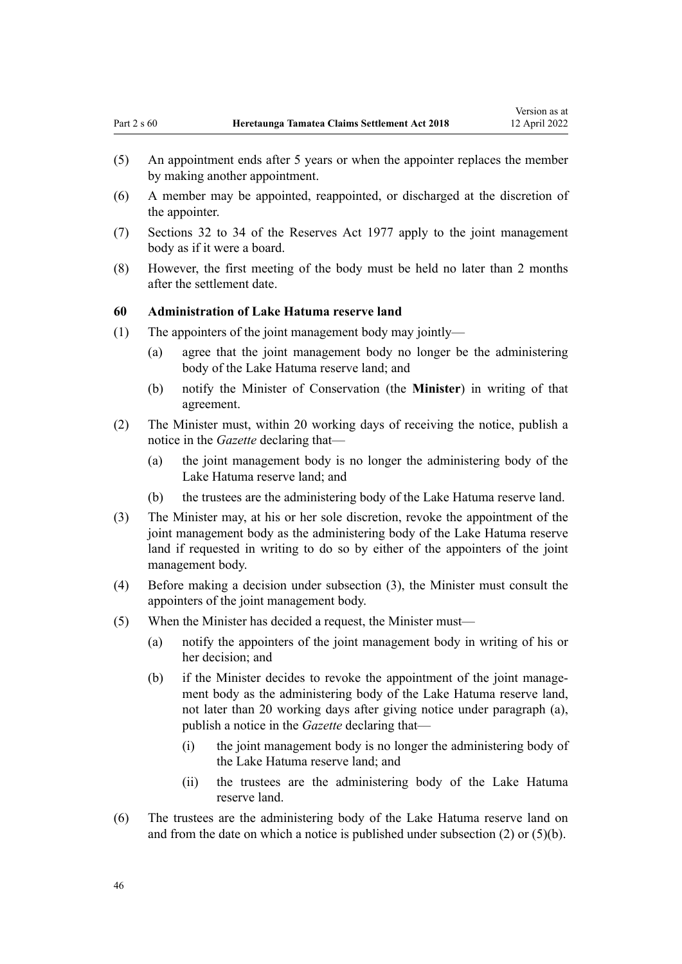- (5) An appointment ends after 5 years or when the appointer replaces the member by making another appointment.
- (6) A member may be appointed, reappointed, or discharged at the discretion of the appointer.
- (7) [Sections 32 to 34](http://legislation.govt.nz/pdflink.aspx?id=DLM444659) of the Reserves Act 1977 apply to the joint management body as if it were a board.
- (8) However, the first meeting of the body must be held no later than 2 months after the settlement date.

#### **60 Administration of Lake Hatuma reserve land**

- (1) The appointers of the joint management body may jointly—
	- (a) agree that the joint management body no longer be the administering body of the Lake Hatuma reserve land; and
	- (b) notify the Minister of Conservation (the **Minister**) in writing of that agreement.
- (2) The Minister must, within 20 working days of receiving the notice, publish a notice in the *Gazette* declaring that—
	- (a) the joint management body is no longer the administering body of the Lake Hatuma reserve land; and
	- (b) the trustees are the administering body of the Lake Hatuma reserve land.
- (3) The Minister may, at his or her sole discretion, revoke the appointment of the joint management body as the administering body of the Lake Hatuma reserve land if requested in writing to do so by either of the appointers of the joint management body.
- (4) Before making a decision under subsection (3), the Minister must consult the appointers of the joint management body.
- (5) When the Minister has decided a request, the Minister must—
	- (a) notify the appointers of the joint management body in writing of his or her decision; and
	- (b) if the Minister decides to revoke the appointment of the joint management body as the administering body of the Lake Hatuma reserve land, not later than 20 working days after giving notice under paragraph (a), publish a notice in the *Gazette* declaring that—
		- (i) the joint management body is no longer the administering body of the Lake Hatuma reserve land; and
		- (ii) the trustees are the administering body of the Lake Hatuma reserve land.
- (6) The trustees are the administering body of the Lake Hatuma reserve land on and from the date on which a notice is published under subsection (2) or (5)(b).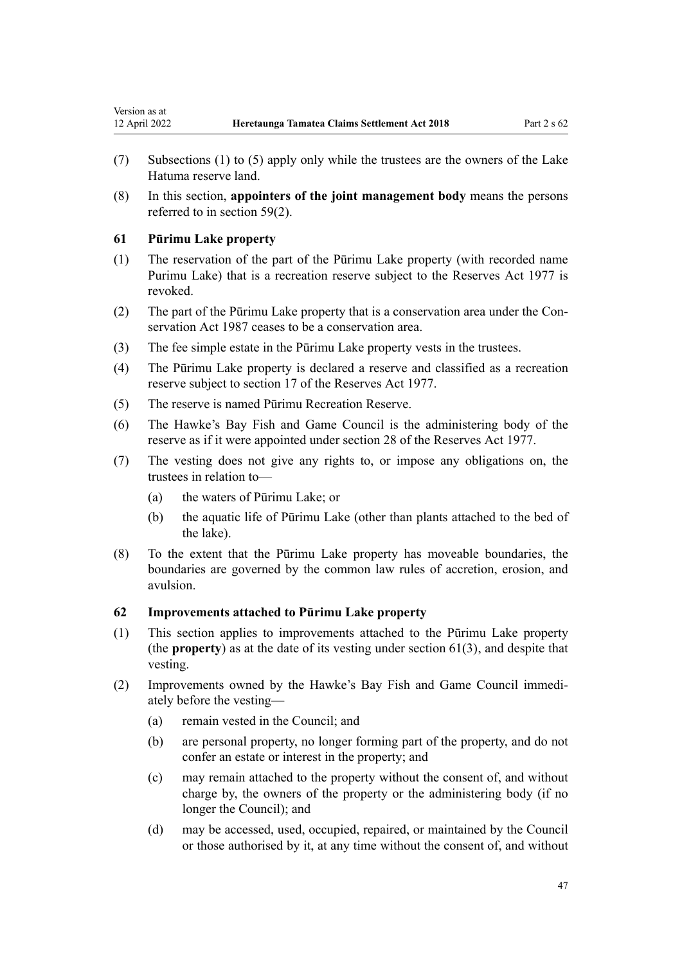- <span id="page-46-0"></span>(7) Subsections (1) to (5) apply only while the trustees are the owners of the Lake Hatuma reserve land.
- (8) In this section, **appointers of the joint management body** means the persons referred to in [section 59\(2\)](#page-44-0).

#### **61 Pūrimu Lake property**

- (1) The reservation of the part of the Pūrimu Lake property (with recorded name Purimu Lake) that is a recreation reserve subject to the [Reserves Act 1977](http://legislation.govt.nz/pdflink.aspx?id=DLM444304) is revoked.
- (2) The part of the Pūrimu Lake property that is a conservation area under the [Con‐](http://legislation.govt.nz/pdflink.aspx?id=DLM103609) [servation Act 1987](http://legislation.govt.nz/pdflink.aspx?id=DLM103609) ceases to be a conservation area.
- (3) The fee simple estate in the Pūrimu Lake property vests in the trustees.
- (4) The Pūrimu Lake property is declared a reserve and classified as a recreation reserve subject to [section 17](http://legislation.govt.nz/pdflink.aspx?id=DLM444605) of the Reserves Act 1977.
- (5) The reserve is named Pūrimu Recreation Reserve.
- (6) The Hawke's Bay Fish and Game Council is the administering body of the reserve as if it were appointed under [section 28](http://legislation.govt.nz/pdflink.aspx?id=DLM444655) of the Reserves Act 1977.
- (7) The vesting does not give any rights to, or impose any obligations on, the trustees in relation to—
	- (a) the waters of Pūrimu Lake; or
	- (b) the aquatic life of Pūrimu Lake (other than plants attached to the bed of the lake).
- (8) To the extent that the Pūrimu Lake property has moveable boundaries, the boundaries are governed by the common law rules of accretion, erosion, and avulsion.

## **62 Improvements attached to Pūrimu Lake property**

- (1) This section applies to improvements attached to the Pūrimu Lake property (the **property**) as at the date of its vesting under section 61(3), and despite that vesting.
- (2) Improvements owned by the Hawke's Bay Fish and Game Council immedi‐ ately before the vesting—
	- (a) remain vested in the Council; and
	- (b) are personal property, no longer forming part of the property, and do not confer an estate or interest in the property; and
	- (c) may remain attached to the property without the consent of, and without charge by, the owners of the property or the administering body (if no longer the Council); and
	- (d) may be accessed, used, occupied, repaired, or maintained by the Council or those authorised by it, at any time without the consent of, and without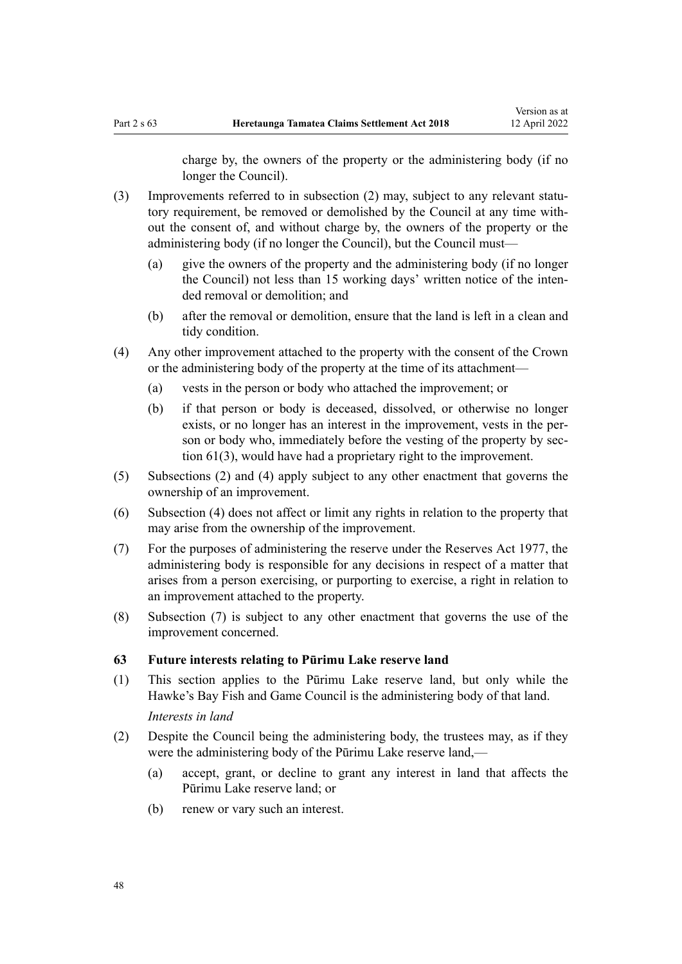charge by, the owners of the property or the administering body (if no longer the Council).

- $(3)$  Improvements referred to in subsection  $(2)$  may, subject to any relevant statutory requirement, be removed or demolished by the Council at any time without the consent of, and without charge by, the owners of the property or the administering body (if no longer the Council), but the Council must—
	- (a) give the owners of the property and the administering body (if no longer the Council) not less than 15 working days' written notice of the inten‐ ded removal or demolition; and
	- (b) after the removal or demolition, ensure that the land is left in a clean and tidy condition.
- (4) Any other improvement attached to the property with the consent of the Crown or the administering body of the property at the time of its attachment—
	- (a) vests in the person or body who attached the improvement; or
	- (b) if that person or body is deceased, dissolved, or otherwise no longer exists, or no longer has an interest in the improvement, vests in the person or body who, immediately before the vesting of the property by sec[tion 61\(3\),](#page-46-0) would have had a proprietary right to the improvement.
- (5) Subsections (2) and (4) apply subject to any other enactment that governs the ownership of an improvement.
- (6) Subsection (4) does not affect or limit any rights in relation to the property that may arise from the ownership of the improvement.
- (7) For the purposes of administering the reserve under the [Reserves Act 1977](http://legislation.govt.nz/pdflink.aspx?id=DLM444304), the administering body is responsible for any decisions in respect of a matter that arises from a person exercising, or purporting to exercise, a right in relation to an improvement attached to the property.
- (8) Subsection (7) is subject to any other enactment that governs the use of the improvement concerned.

#### **63 Future interests relating to Pūrimu Lake reserve land**

- (1) This section applies to the Pūrimu Lake reserve land, but only while the Hawke's Bay Fish and Game Council is the administering body of that land. *Interests in land*
- (2) Despite the Council being the administering body, the trustees may, as if they were the administering body of the Pūrimu Lake reserve land,—
	- (a) accept, grant, or decline to grant any interest in land that affects the Pūrimu Lake reserve land; or
	- (b) renew or vary such an interest.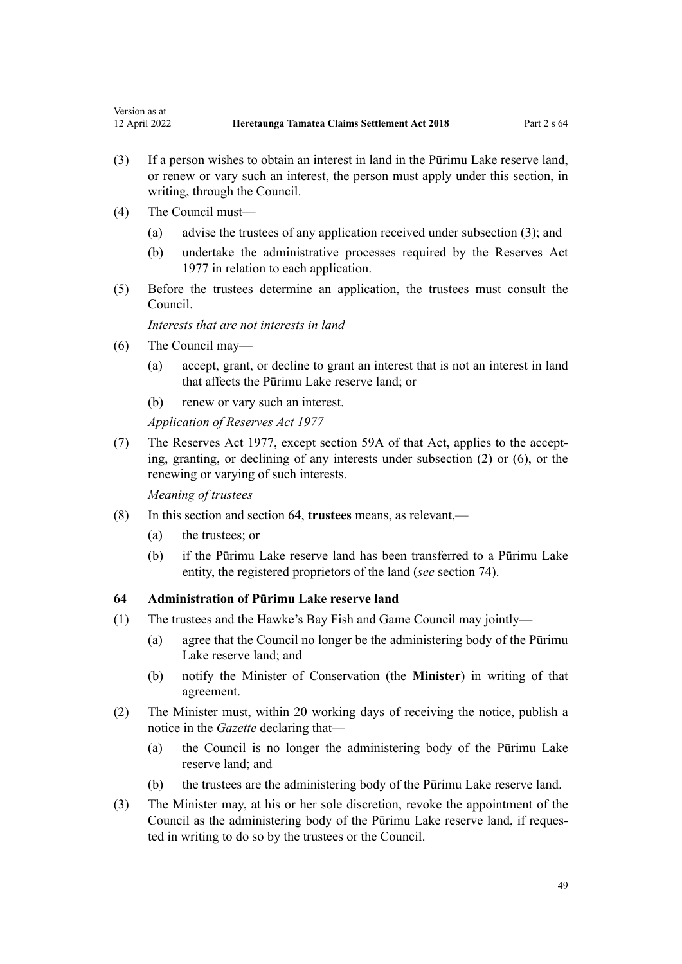- (3) If a person wishes to obtain an interest in land in the Pūrimu Lake reserve land, or renew or vary such an interest, the person must apply under this section, in writing, through the Council.
- (4) The Council must—
	- (a) advise the trustees of any application received under subsection (3); and
	- (b) undertake the administrative processes required by the [Reserves Act](http://legislation.govt.nz/pdflink.aspx?id=DLM444304) [1977](http://legislation.govt.nz/pdflink.aspx?id=DLM444304) in relation to each application.
- (5) Before the trustees determine an application, the trustees must consult the Council.

*Interests that are not interests in land*

- (6) The Council may—
	- (a) accept, grant, or decline to grant an interest that is not an interest in land that affects the Pūrimu Lake reserve land; or
	- (b) renew or vary such an interest.

*Application of Reserves Act 1977*

(7) The [Reserves Act 1977](http://legislation.govt.nz/pdflink.aspx?id=DLM444304), except [section 59A](http://legislation.govt.nz/pdflink.aspx?id=DLM444760) of that Act, applies to the accept‐ ing, granting, or declining of any interests under subsection (2) or (6), or the renewing or varying of such interests.

*Meaning of trustees*

- (8) In this section and section 64, **trustees** means, as relevant,—
	- (a) the trustees; or
	- (b) if the Pūrimu Lake reserve land has been transferred to a Pūrimu Lake entity, the registered proprietors of the land (*see* [section 74](#page-54-0)).

# **64 Administration of Pūrimu Lake reserve land**

- (1) The trustees and the Hawke's Bay Fish and Game Council may jointly—
	- (a) agree that the Council no longer be the administering body of the Pūrimu Lake reserve land; and
	- (b) notify the Minister of Conservation (the **Minister**) in writing of that agreement.
- (2) The Minister must, within 20 working days of receiving the notice, publish a notice in the *Gazette* declaring that—
	- (a) the Council is no longer the administering body of the Pūrimu Lake reserve land; and
	- (b) the trustees are the administering body of the Pūrimu Lake reserve land.
- (3) The Minister may, at his or her sole discretion, revoke the appointment of the Council as the administering body of the Pūrimu Lake reserve land, if reques‐ ted in writing to do so by the trustees or the Council.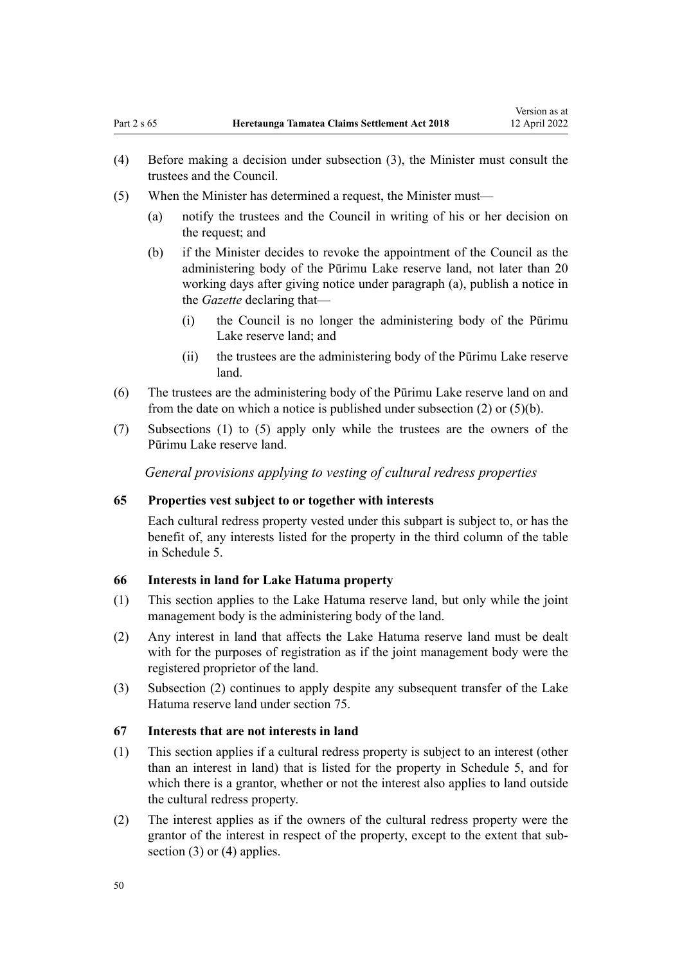- <span id="page-49-0"></span>(4) Before making a decision under subsection (3), the Minister must consult the trustees and the Council.
- (5) When the Minister has determined a request, the Minister must—
	- (a) notify the trustees and the Council in writing of his or her decision on the request; and
	- (b) if the Minister decides to revoke the appointment of the Council as the administering body of the Pūrimu Lake reserve land, not later than 20 working days after giving notice under paragraph (a), publish a notice in the *Gazette* declaring that—
		- (i) the Council is no longer the administering body of the Pūrimu Lake reserve land; and
		- (ii) the trustees are the administering body of the Pūrimu Lake reserve land.
- (6) The trustees are the administering body of the Pūrimu Lake reserve land on and from the date on which a notice is published under subsection (2) or (5)(b).
- (7) Subsections (1) to (5) apply only while the trustees are the owners of the Pūrimu Lake reserve land.

*General provisions applying to vesting of cultural redress properties*

## **65 Properties vest subject to or together with interests**

Each cultural redress property vested under this subpart is subject to, or has the benefit of, any interests listed for the property in the third column of the table in [Schedule 5.](#page-84-0)

## **66 Interests in land for Lake Hatuma property**

- (1) This section applies to the Lake Hatuma reserve land, but only while the joint management body is the administering body of the land.
- (2) Any interest in land that affects the Lake Hatuma reserve land must be dealt with for the purposes of registration as if the joint management body were the registered proprietor of the land.
- (3) Subsection (2) continues to apply despite any subsequent transfer of the Lake Hatuma reserve land under [section 75](#page-55-0).

#### **67 Interests that are not interests in land**

- (1) This section applies if a cultural redress property is subject to an interest (other than an interest in land) that is listed for the property in [Schedule 5,](#page-84-0) and for which there is a grantor, whether or not the interest also applies to land outside the cultural redress property.
- (2) The interest applies as if the owners of the cultural redress property were the grantor of the interest in respect of the property, except to the extent that subsection  $(3)$  or  $(4)$  applies.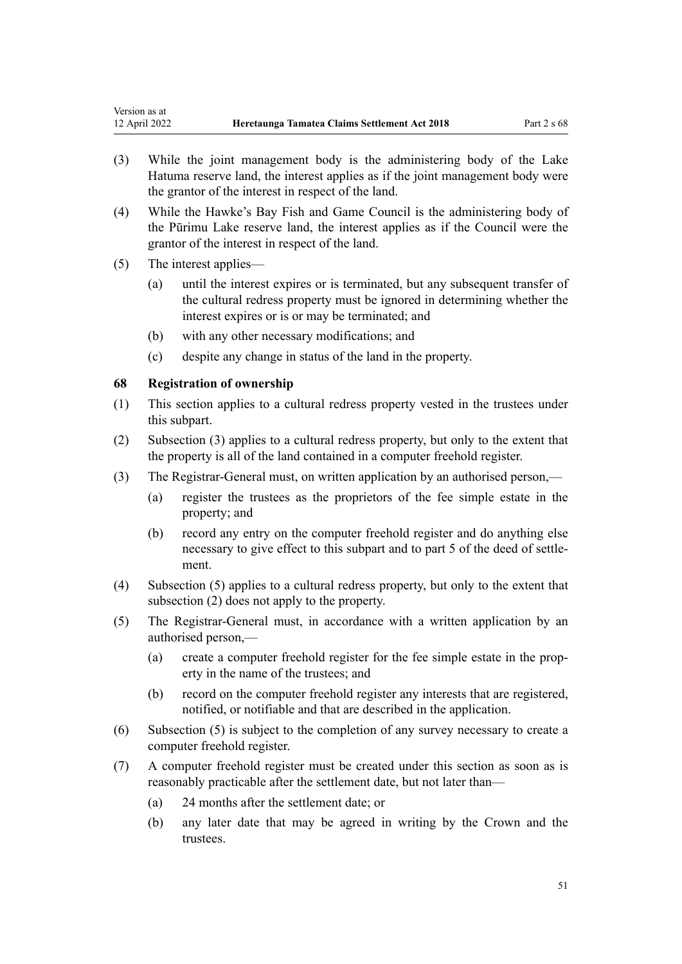- (3) While the joint management body is the administering body of the Lake Hatuma reserve land, the interest applies as if the joint management body were the grantor of the interest in respect of the land.
- (4) While the Hawke's Bay Fish and Game Council is the administering body of the Pūrimu Lake reserve land, the interest applies as if the Council were the grantor of the interest in respect of the land.
- (5) The interest applies—

Version as at

- (a) until the interest expires or is terminated, but any subsequent transfer of the cultural redress property must be ignored in determining whether the interest expires or is or may be terminated; and
- (b) with any other necessary modifications; and
- (c) despite any change in status of the land in the property.

## **68 Registration of ownership**

- (1) This section applies to a cultural redress property vested in the trustees under this subpart.
- (2) Subsection (3) applies to a cultural redress property, but only to the extent that the property is all of the land contained in a computer freehold register.
- (3) The Registrar-General must, on written application by an authorised person,—
	- (a) register the trustees as the proprietors of the fee simple estate in the property; and
	- (b) record any entry on the computer freehold register and do anything else necessary to give effect to this subpart and to part 5 of the deed of settle‐ ment.
- (4) Subsection (5) applies to a cultural redress property, but only to the extent that subsection (2) does not apply to the property.
- (5) The Registrar-General must, in accordance with a written application by an authorised person,—
	- (a) create a computer freehold register for the fee simple estate in the prop‐ erty in the name of the trustees; and
	- (b) record on the computer freehold register any interests that are registered, notified, or notifiable and that are described in the application.
- (6) Subsection (5) is subject to the completion of any survey necessary to create a computer freehold register.
- (7) A computer freehold register must be created under this section as soon as is reasonably practicable after the settlement date, but not later than—
	- (a) 24 months after the settlement date; or
	- (b) any later date that may be agreed in writing by the Crown and the trustees.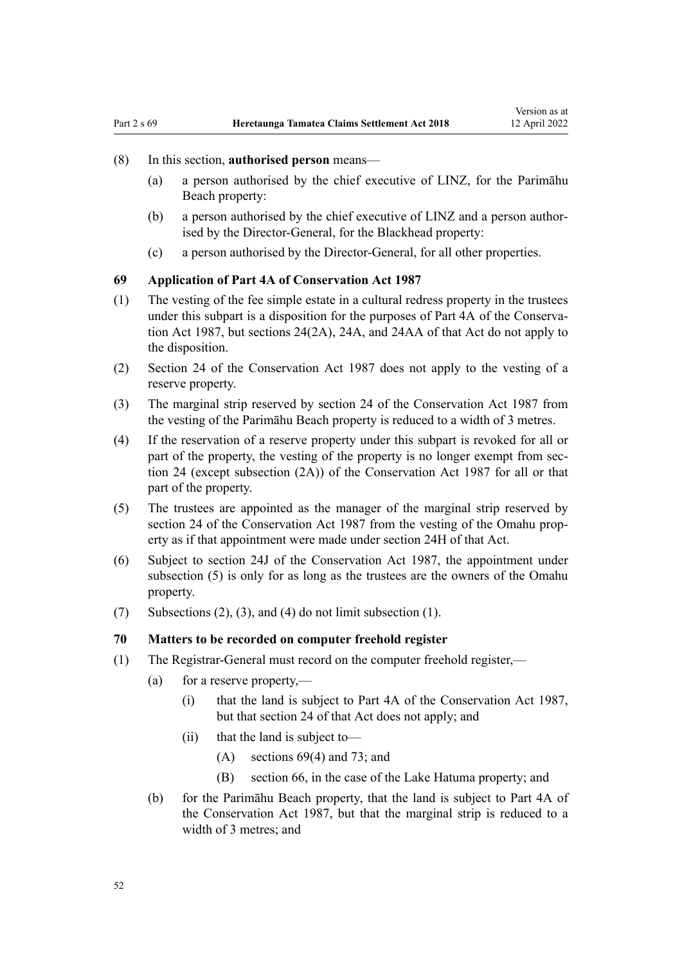#### <span id="page-51-0"></span>(8) In this section, **authorised person** means—

- (a) a person authorised by the chief executive of LINZ, for the Parimāhu Beach property:
- (b) a person authorised by the chief executive of LINZ and a person author‐ ised by the Director-General, for the Blackhead property:
- (c) a person authorised by the Director-General, for all other properties.

#### **69 Application of Part 4A of Conservation Act 1987**

- (1) The vesting of the fee simple estate in a cultural redress property in the trustees under this subpart is a disposition for the purposes of [Part 4A](http://legislation.govt.nz/pdflink.aspx?id=DLM104697) of the Conservation Act 1987, but [sections 24\(2A\)](http://legislation.govt.nz/pdflink.aspx?id=DLM104699), [24A](http://legislation.govt.nz/pdflink.aspx?id=DLM104910), and [24AA](http://legislation.govt.nz/pdflink.aspx?id=DLM104914) of that Act do not apply to the disposition.
- (2) [Section 24](http://legislation.govt.nz/pdflink.aspx?id=DLM104699) of the Conservation Act 1987 does not apply to the vesting of a reserve property.
- (3) The marginal strip reserved by [section 24](http://legislation.govt.nz/pdflink.aspx?id=DLM104699) of the Conservation Act 1987 from the vesting of the Parimāhu Beach property is reduced to a width of 3 metres.
- (4) If the reservation of a reserve property under this subpart is revoked for all or part of the property, the vesting of the property is no longer exempt from sec[tion 24](http://legislation.govt.nz/pdflink.aspx?id=DLM104699) (except subsection (2A)) of the Conservation Act 1987 for all or that part of the property.
- (5) The trustees are appointed as the manager of the marginal strip reserved by [section 24](http://legislation.govt.nz/pdflink.aspx?id=DLM104699) of the Conservation Act 1987 from the vesting of the Omahu property as if that appointment were made under [section 24H](http://legislation.govt.nz/pdflink.aspx?id=DLM104939) of that Act.
- (6) Subject to [section 24J](http://legislation.govt.nz/pdflink.aspx?id=DLM104944) of the Conservation Act 1987, the appointment under subsection (5) is only for as long as the trustees are the owners of the Omahu property.
- (7) Subsections (2), (3), and (4) do not limit subsection (1).

#### **70 Matters to be recorded on computer freehold register**

- (1) The Registrar-General must record on the computer freehold register,—
	- (a) for a reserve property,—
		- (i) that the land is subject to [Part 4A](http://legislation.govt.nz/pdflink.aspx?id=DLM104697) of the Conservation Act 1987, but that [section 24](http://legislation.govt.nz/pdflink.aspx?id=DLM104699) of that Act does not apply; and
		- (ii) that the land is subject to—
			- (A) sections 69(4) and [73;](#page-53-0) and
			- (B) [section 66](#page-49-0), in the case of the Lake Hatuma property; and
	- (b) for the Parimāhu Beach property, that the land is subject to [Part 4A](http://legislation.govt.nz/pdflink.aspx?id=DLM104697) of the Conservation Act 1987, but that the marginal strip is reduced to a width of 3 metres; and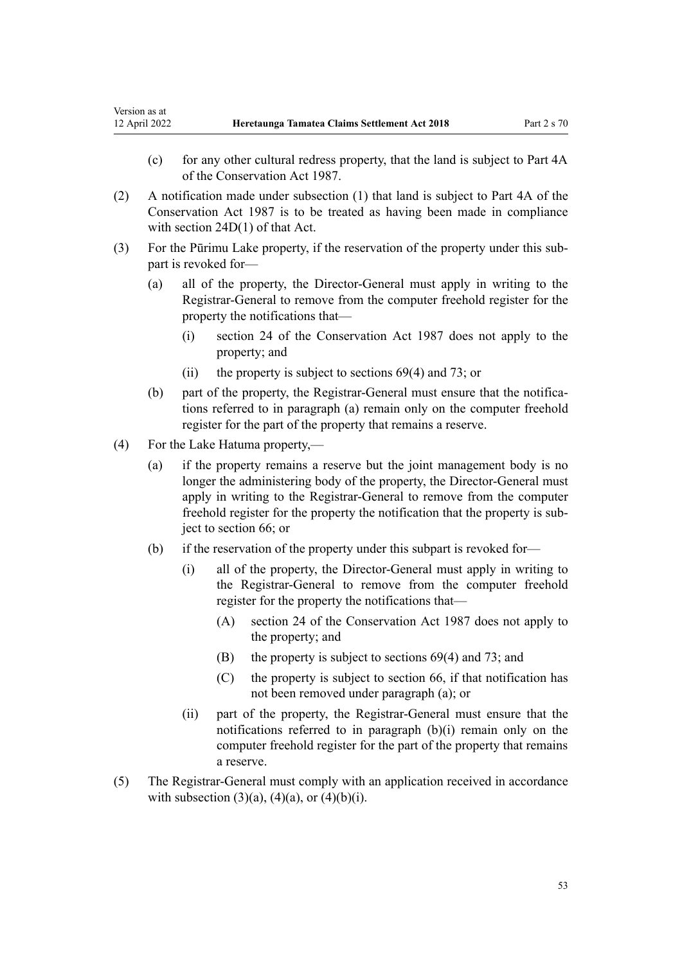- (c) for any other cultural redress property, that the land is subject to [Part 4A](http://legislation.govt.nz/pdflink.aspx?id=DLM104697) of the Conservation Act 1987.
- (2) A notification made under subsection (1) that land is subject to [Part 4A](http://legislation.govt.nz/pdflink.aspx?id=DLM104697) of the Conservation Act 1987 is to be treated as having been made in compliance with [section 24D\(1\)](http://legislation.govt.nz/pdflink.aspx?id=DLM104928) of that Act.
- (3) For the Pūrimu Lake property, if the reservation of the property under this sub‐ part is revoked for—
	- (a) all of the property, the Director-General must apply in writing to the Registrar-General to remove from the computer freehold register for the property the notifications that—
		- (i) [section 24](http://legislation.govt.nz/pdflink.aspx?id=DLM104699) of the Conservation Act 1987 does not apply to the property; and
		- (ii) the property is subject to [sections 69\(4\)](#page-51-0) and [73](#page-53-0); or
	- (b) part of the property, the Registrar-General must ensure that the notifications referred to in paragraph (a) remain only on the computer freehold register for the part of the property that remains a reserve.
- (4) For the Lake Hatuma property,—
	- (a) if the property remains a reserve but the joint management body is no longer the administering body of the property, the Director-General must apply in writing to the Registrar-General to remove from the computer freehold register for the property the notification that the property is subject to [section 66](#page-49-0); or
	- (b) if the reservation of the property under this subpart is revoked for—
		- (i) all of the property, the Director-General must apply in writing to the Registrar-General to remove from the computer freehold register for the property the notifications that—
			- (A) [section 24](http://legislation.govt.nz/pdflink.aspx?id=DLM104699) of the Conservation Act 1987 does not apply to the property; and
			- (B) the property is subject to [sections 69\(4\)](#page-51-0) and [73](#page-53-0); and
			- (C) the property is subject to [section 66,](#page-49-0) if that notification has not been removed under paragraph (a); or
		- (ii) part of the property, the Registrar-General must ensure that the notifications referred to in paragraph (b)(i) remain only on the computer freehold register for the part of the property that remains a reserve.
- (5) The Registrar-General must comply with an application received in accordance with subsection  $(3)(a)$ ,  $(4)(a)$ , or  $(4)(b)(i)$ .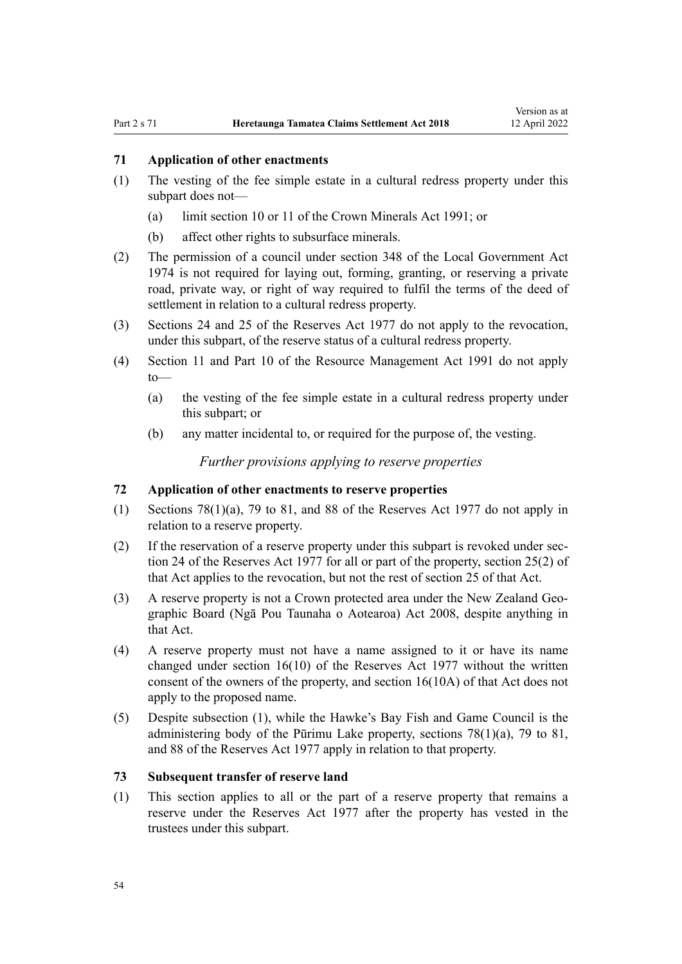## <span id="page-53-0"></span>**71 Application of other enactments**

- (1) The vesting of the fee simple estate in a cultural redress property under this subpart does not—
	- (a) limit [section 10](http://legislation.govt.nz/pdflink.aspx?id=DLM246310) or [11](http://legislation.govt.nz/pdflink.aspx?id=DLM246311) of the Crown Minerals Act 1991; or
	- (b) affect other rights to subsurface minerals.
- (2) The permission of a council under [section 348](http://legislation.govt.nz/pdflink.aspx?id=DLM420676) of the Local Government Act 1974 is not required for laying out, forming, granting, or reserving a private road, private way, or right of way required to fulfil the terms of the deed of settlement in relation to a cultural redress property.
- (3) [Sections 24](http://legislation.govt.nz/pdflink.aspx?id=DLM444632) and [25](http://legislation.govt.nz/pdflink.aspx?id=DLM444648) of the Reserves Act 1977 do not apply to the revocation, under this subpart, of the reserve status of a cultural redress property.
- (4) [Section 11](http://legislation.govt.nz/pdflink.aspx?id=DLM231942) and [Part 10](http://legislation.govt.nz/pdflink.aspx?id=DLM236786) of the Resource Management Act 1991 do not apply to—
	- (a) the vesting of the fee simple estate in a cultural redress property under this subpart; or
	- (b) any matter incidental to, or required for the purpose of, the vesting.

*Further provisions applying to reserve properties*

## **72 Application of other enactments to reserve properties**

- (1) [Sections 78\(1\)\(a\),](http://legislation.govt.nz/pdflink.aspx?id=DLM444920) [79 to 81](http://legislation.govt.nz/pdflink.aspx?id=DLM444929), and [88](http://legislation.govt.nz/pdflink.aspx?id=DLM444949) of the Reserves Act 1977 do not apply in relation to a reserve property.
- $(2)$  If the reservation of a reserve property under this subpart is revoked under sec[tion 24](http://legislation.govt.nz/pdflink.aspx?id=DLM444632) of the Reserves Act 1977 for all or part of the property, [section 25\(2\)](http://legislation.govt.nz/pdflink.aspx?id=DLM444648) of that Act applies to the revocation, but not the rest of section 25 of that Act.
- (3) A reserve property is not a Crown protected area under the [New Zealand Geo‐](http://legislation.govt.nz/pdflink.aspx?id=DLM1065400) [graphic Board \(Ngā Pou Taunaha o Aotearoa\) Act 2008](http://legislation.govt.nz/pdflink.aspx?id=DLM1065400), despite anything in that Act.
- (4) A reserve property must not have a name assigned to it or have its name changed under [section 16\(10\)](http://legislation.govt.nz/pdflink.aspx?id=DLM444492) of the Reserves Act 1977 without the written consent of the owners of the property, and section 16(10A) of that Act does not apply to the proposed name.
- (5) Despite subsection (1), while the Hawke's Bay Fish and Game Council is the administering body of the Pūrimu Lake property, sections  $78(1)(a)$ , [79 to 81](http://legislation.govt.nz/pdflink.aspx?id=DLM444929), and [88](http://legislation.govt.nz/pdflink.aspx?id=DLM444949) of the Reserves Act 1977 apply in relation to that property.

#### **73 Subsequent transfer of reserve land**

(1) This section applies to all or the part of a reserve property that remains a reserve under the [Reserves Act 1977](http://legislation.govt.nz/pdflink.aspx?id=DLM444304) after the property has vested in the trustees under this subpart.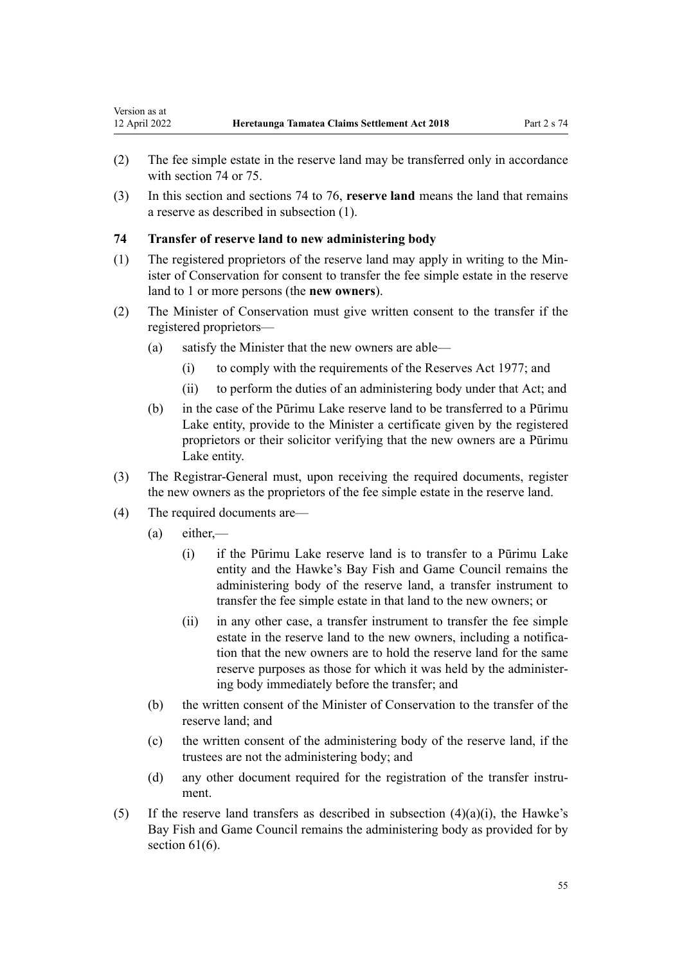- <span id="page-54-0"></span>(2) The fee simple estate in the reserve land may be transferred only in accordance with section 74 or [75](#page-55-0).
- (3) In this section and sections 74 to 76, **reserve land** means the land that remains a reserve as described in subsection (1).

# **74 Transfer of reserve land to new administering body**

- (1) The registered proprietors of the reserve land may apply in writing to the Min‐ ister of Conservation for consent to transfer the fee simple estate in the reserve land to 1 or more persons (the **new owners**).
- (2) The Minister of Conservation must give written consent to the transfer if the registered proprietors—
	- (a) satisfy the Minister that the new owners are able—
		- (i) to comply with the requirements of the [Reserves Act 1977;](http://legislation.govt.nz/pdflink.aspx?id=DLM444304) and
		- (ii) to perform the duties of an administering body under that Act; and
	- (b) in the case of the Pūrimu Lake reserve land to be transferred to a Pūrimu Lake entity, provide to the Minister a certificate given by the registered proprietors or their solicitor verifying that the new owners are a Pūrimu Lake entity.
- (3) The Registrar-General must, upon receiving the required documents, register the new owners as the proprietors of the fee simple estate in the reserve land.
- (4) The required documents are—
	- (a) either,—
		- (i) if the Pūrimu Lake reserve land is to transfer to a Pūrimu Lake entity and the Hawke's Bay Fish and Game Council remains the administering body of the reserve land, a transfer instrument to transfer the fee simple estate in that land to the new owners; or
		- (ii) in any other case, a transfer instrument to transfer the fee simple estate in the reserve land to the new owners, including a notification that the new owners are to hold the reserve land for the same reserve purposes as those for which it was held by the administer‐ ing body immediately before the transfer; and
	- (b) the written consent of the Minister of Conservation to the transfer of the reserve land; and
	- (c) the written consent of the administering body of the reserve land, if the trustees are not the administering body; and
	- (d) any other document required for the registration of the transfer instrument.
- (5) If the reserve land transfers as described in subsection  $(4)(a)(i)$ , the Hawke's Bay Fish and Game Council remains the administering body as provided for by section  $61(6)$ .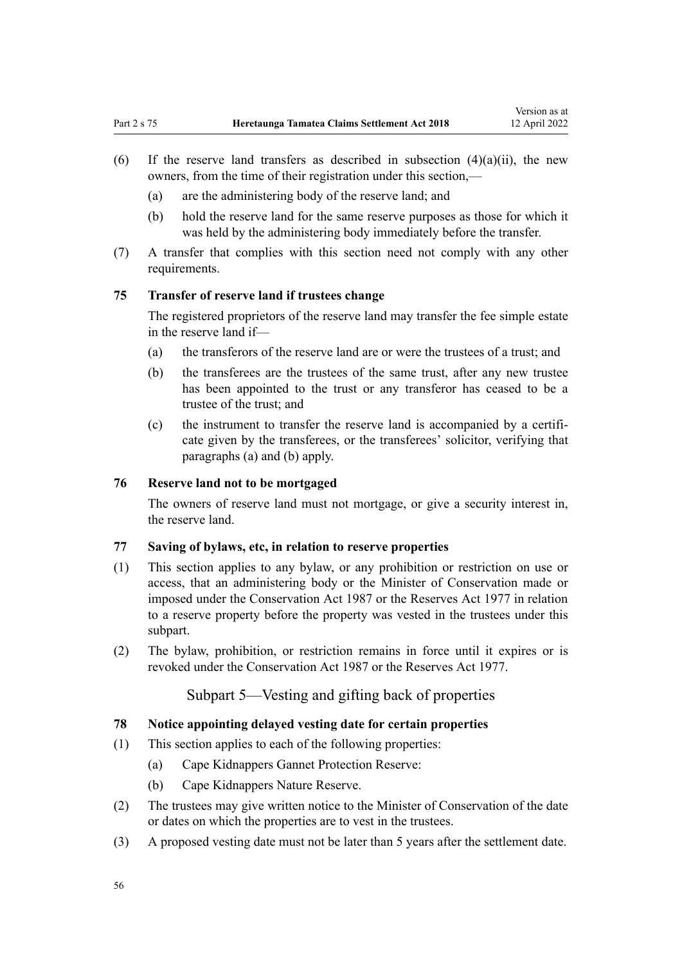- <span id="page-55-0"></span>(6) If the reserve land transfers as described in subsection  $(4)(a)(ii)$ , the new owners, from the time of their registration under this section,—
	- (a) are the administering body of the reserve land; and
	- (b) hold the reserve land for the same reserve purposes as those for which it was held by the administering body immediately before the transfer.
- (7) A transfer that complies with this section need not comply with any other requirements.

# **75 Transfer of reserve land if trustees change**

The registered proprietors of the reserve land may transfer the fee simple estate in the reserve land if—

- (a) the transferors of the reserve land are or were the trustees of a trust; and
- (b) the transferees are the trustees of the same trust, after any new trustee has been appointed to the trust or any transferor has ceased to be a trustee of the trust; and
- (c) the instrument to transfer the reserve land is accompanied by a certifi‐ cate given by the transferees, or the transferees' solicitor, verifying that paragraphs (a) and (b) apply.

## **76 Reserve land not to be mortgaged**

The owners of reserve land must not mortgage, or give a security interest in, the reserve land.

#### **77 Saving of bylaws, etc, in relation to reserve properties**

- (1) This section applies to any bylaw, or any prohibition or restriction on use or access, that an administering body or the Minister of Conservation made or imposed under the [Conservation Act 1987](http://legislation.govt.nz/pdflink.aspx?id=DLM103609) or the [Reserves Act 1977](http://legislation.govt.nz/pdflink.aspx?id=DLM444304) in relation to a reserve property before the property was vested in the trustees under this subpart.
- (2) The bylaw, prohibition, or restriction remains in force until it expires or is revoked under the [Conservation Act 1987](http://legislation.govt.nz/pdflink.aspx?id=DLM103609) or the [Reserves Act 1977.](http://legislation.govt.nz/pdflink.aspx?id=DLM444304)

# Subpart 5—Vesting and gifting back of properties

#### **78 Notice appointing delayed vesting date for certain properties**

- (1) This section applies to each of the following properties:
	- (a) Cape Kidnappers Gannet Protection Reserve:
	- (b) Cape Kidnappers Nature Reserve.
- (2) The trustees may give written notice to the Minister of Conservation of the date or dates on which the properties are to vest in the trustees.
- (3) A proposed vesting date must not be later than 5 years after the settlement date.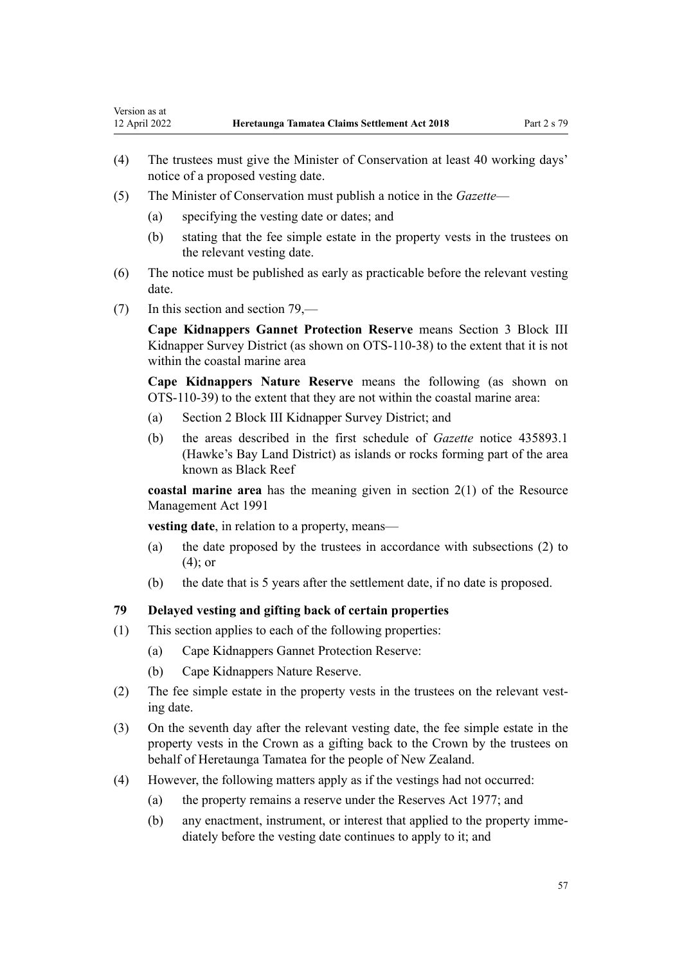- (4) The trustees must give the Minister of Conservation at least 40 working days' notice of a proposed vesting date.
- (5) The Minister of Conservation must publish a notice in the *Gazette*
	- (a) specifying the vesting date or dates; and
	- (b) stating that the fee simple estate in the property vests in the trustees on the relevant vesting date.
- (6) The notice must be published as early as practicable before the relevant vesting date.
- (7) In this section and section 79,—

Version as at<br>12 April 2022

**Cape Kidnappers Gannet Protection Reserve** means Section 3 Block III Kidnapper Survey District (as shown on OTS-110-38) to the extent that it is not within the coastal marine area

**Cape Kidnappers Nature Reserve** means the following (as shown on OTS-110-39) to the extent that they are not within the coastal marine area:

- (a) Section 2 Block III Kidnapper Survey District; and
- (b) the areas described in the first schedule of *Gazette* notice 435893.1 (Hawke's Bay Land District) as islands or rocks forming part of the area known as Black Reef

**coastal marine area** has the meaning given in [section 2\(1\)](http://legislation.govt.nz/pdflink.aspx?id=DLM230272) of the Resource Management Act 1991

**vesting date**, in relation to a property, means—

- (a) the date proposed by the trustees in accordance with subsections (2) to (4); or
- (b) the date that is 5 years after the settlement date, if no date is proposed.

# **79 Delayed vesting and gifting back of certain properties**

- (1) This section applies to each of the following properties:
	- (a) Cape Kidnappers Gannet Protection Reserve:
	- (b) Cape Kidnappers Nature Reserve.
- (2) The fee simple estate in the property vests in the trustees on the relevant vesting date.
- (3) On the seventh day after the relevant vesting date, the fee simple estate in the property vests in the Crown as a gifting back to the Crown by the trustees on behalf of Heretaunga Tamatea for the people of New Zealand.
- (4) However, the following matters apply as if the vestings had not occurred:
	- (a) the property remains a reserve under the [Reserves Act 1977](http://legislation.govt.nz/pdflink.aspx?id=DLM444304); and
	- (b) any enactment, instrument, or interest that applied to the property imme‐ diately before the vesting date continues to apply to it; and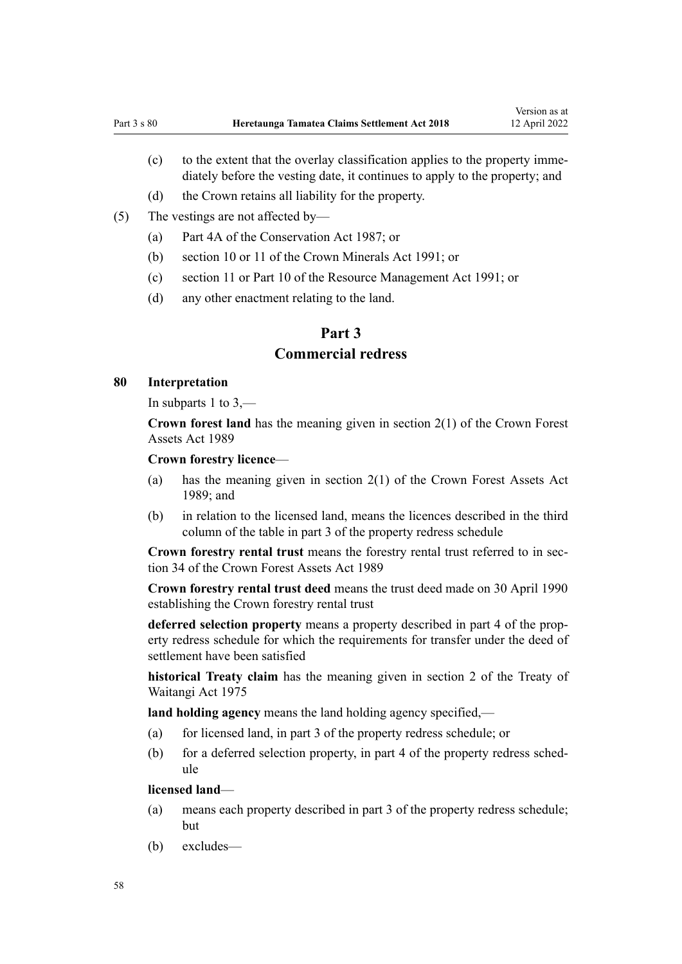- (c) to the extent that the overlay classification applies to the property imme‐ diately before the vesting date, it continues to apply to the property; and
- (d) the Crown retains all liability for the property.
- (5) The vestings are not affected by—
	- (a) [Part 4A](http://legislation.govt.nz/pdflink.aspx?id=DLM104697) of the Conservation Act 1987; or
	- (b) [section 10](http://legislation.govt.nz/pdflink.aspx?id=DLM246310) or [11](http://legislation.govt.nz/pdflink.aspx?id=DLM246311) of the Crown Minerals Act 1991; or
	- (c) [section 11](http://legislation.govt.nz/pdflink.aspx?id=DLM231942) or [Part 10](http://legislation.govt.nz/pdflink.aspx?id=DLM236786) of the Resource Management Act 1991; or
	- (d) any other enactment relating to the land.

# **Part 3**

# **Commercial redress**

## **80 Interpretation**

In [subparts 1 to 3](#page-58-0),—

**Crown forest land** has the meaning given in [section 2\(1\)](http://legislation.govt.nz/pdflink.aspx?id=DLM191774) of the Crown Forest Assets Act 1989

#### **Crown forestry licence**—

- (a) has the meaning given in [section 2\(1\)](http://legislation.govt.nz/pdflink.aspx?id=DLM191774) of the Crown Forest Assets Act 1989; and
- (b) in relation to the licensed land, means the licences described in the third column of the table in part 3 of the property redress schedule

**Crown forestry rental trust** means the forestry rental trust referred to in [sec‐](http://legislation.govt.nz/pdflink.aspx?id=DLM192355) [tion 34](http://legislation.govt.nz/pdflink.aspx?id=DLM192355) of the Crown Forest Assets Act 1989

**Crown forestry rental trust deed** means the trust deed made on 30 April 1990 establishing the Crown forestry rental trust

**deferred selection property** means a property described in part 4 of the prop‐ erty redress schedule for which the requirements for transfer under the deed of settlement have been satisfied

**historical Treaty claim** has the meaning given in [section 2](http://legislation.govt.nz/pdflink.aspx?id=DLM435375) of the Treaty of Waitangi Act 1975

**land holding agency** means the land holding agency specified,—

- (a) for licensed land, in part 3 of the property redress schedule; or
- (b) for a deferred selection property, in part 4 of the property redress schedule

#### **licensed land**—

- (a) means each property described in part 3 of the property redress schedule; but
- (b) excludes—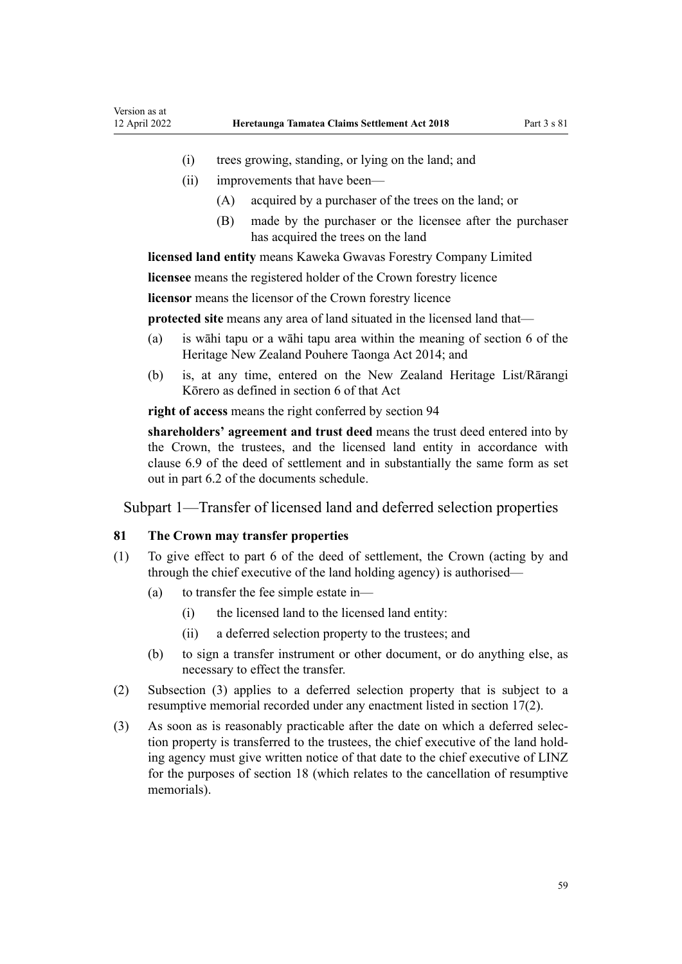- <span id="page-58-0"></span>(i) trees growing, standing, or lying on the land; and
- (ii) improvements that have been—
	- (A) acquired by a purchaser of the trees on the land; or
	- (B) made by the purchaser or the licensee after the purchaser has acquired the trees on the land

**licensed land entity** means Kaweka Gwavas Forestry Company Limited

**licensee** means the registered holder of the Crown forestry licence

**licensor** means the licensor of the Crown forestry licence

**protected site** means any area of land situated in the licensed land that—

- (a) is wāhi tapu or a wāhi tapu area within the meaning of [section 6](http://legislation.govt.nz/pdflink.aspx?id=DLM4005423) of the Heritage New Zealand Pouhere Taonga Act 2014; and
- (b) is, at any time, entered on the New Zealand Heritage List/Rārangi Kōrero as defined in [section 6](http://legislation.govt.nz/pdflink.aspx?id=DLM4005423) of that Act

**right of access** means the right conferred by [section 94](#page-64-0)

**shareholders' agreement and trust deed** means the trust deed entered into by the Crown, the trustees, and the licensed land entity in accordance with clause 6.9 of the deed of settlement and in substantially the same form as set out in part 6.2 of the documents schedule.

Subpart 1—Transfer of licensed land and deferred selection properties

# **81 The Crown may transfer properties**

- (1) To give effect to part 6 of the deed of settlement, the Crown (acting by and through the chief executive of the land holding agency) is authorised—
	- (a) to transfer the fee simple estate in—
		- (i) the licensed land to the licensed land entity:
		- (ii) a deferred selection property to the trustees; and
	- (b) to sign a transfer instrument or other document, or do anything else, as necessary to effect the transfer.
- (2) Subsection (3) applies to a deferred selection property that is subject to a resumptive memorial recorded under any enactment listed in [section 17\(2\).](#page-29-0)
- (3) As soon as is reasonably practicable after the date on which a deferred selec‐ tion property is transferred to the trustees, the chief executive of the land hold‐ ing agency must give written notice of that date to the chief executive of LINZ for the purposes of [section 18](#page-29-0) (which relates to the cancellation of resumptive memorials).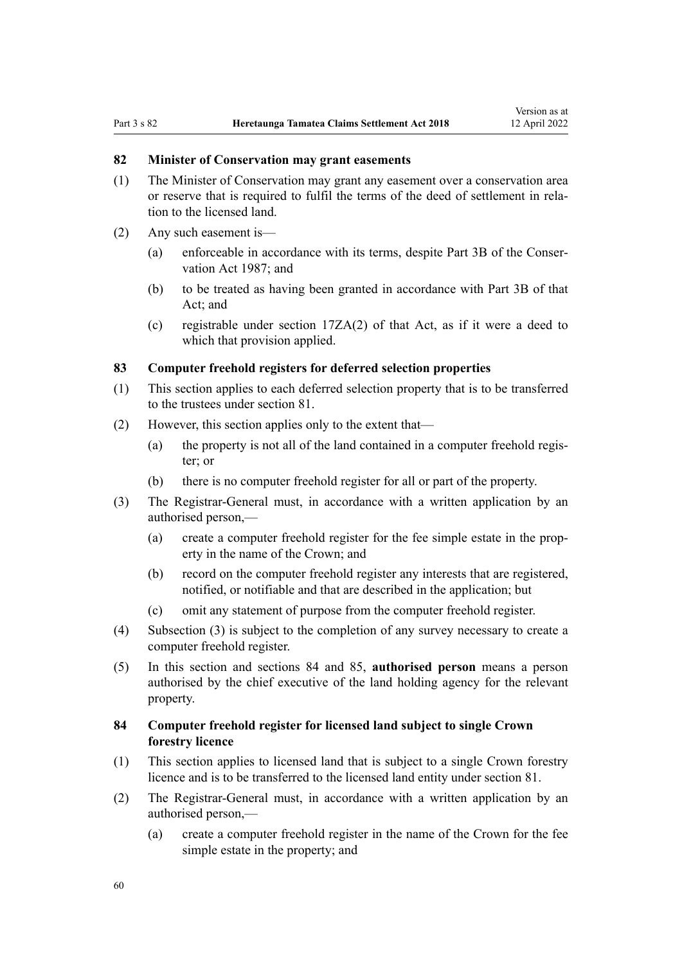#### <span id="page-59-0"></span>**82 Minister of Conservation may grant easements**

- (1) The Minister of Conservation may grant any easement over a conservation area or reserve that is required to fulfil the terms of the deed of settlement in rela‐ tion to the licensed land.
- (2) Any such easement is—
	- (a) enforceable in accordance with its terms, despite [Part 3B](http://legislation.govt.nz/pdflink.aspx?id=DLM104633) of the Conser‐ vation Act 1987; and
	- (b) to be treated as having been granted in accordance with [Part 3B](http://legislation.govt.nz/pdflink.aspx?id=DLM104633) of that Act; and
	- (c) registrable under [section 17ZA\(2\)](http://legislation.govt.nz/pdflink.aspx?id=DLM104660) of that Act, as if it were a deed to which that provision applied.

## **83 Computer freehold registers for deferred selection properties**

- (1) This section applies to each deferred selection property that is to be transferred to the trustees under section 81.
- (2) However, this section applies only to the extent that—
	- (a) the property is not all of the land contained in a computer freehold regis‐ ter; or
	- (b) there is no computer freehold register for all or part of the property.
- (3) The Registrar-General must, in accordance with a written application by an authorised person,—
	- (a) create a computer freehold register for the fee simple estate in the prop‐ erty in the name of the Crown; and
	- (b) record on the computer freehold register any interests that are registered, notified, or notifiable and that are described in the application; but
	- (c) omit any statement of purpose from the computer freehold register.
- (4) Subsection (3) is subject to the completion of any survey necessary to create a computer freehold register.
- (5) In this section and sections 84 and [85,](#page-60-0) **authorised person** means a person authorised by the chief executive of the land holding agency for the relevant property.

## **84 Computer freehold register for licensed land subject to single Crown forestry licence**

- (1) This section applies to licensed land that is subject to a single Crown forestry licence and is to be transferred to the licensed land entity under [section 81.](#page-58-0)
- (2) The Registrar-General must, in accordance with a written application by an authorised person,—
	- (a) create a computer freehold register in the name of the Crown for the fee simple estate in the property; and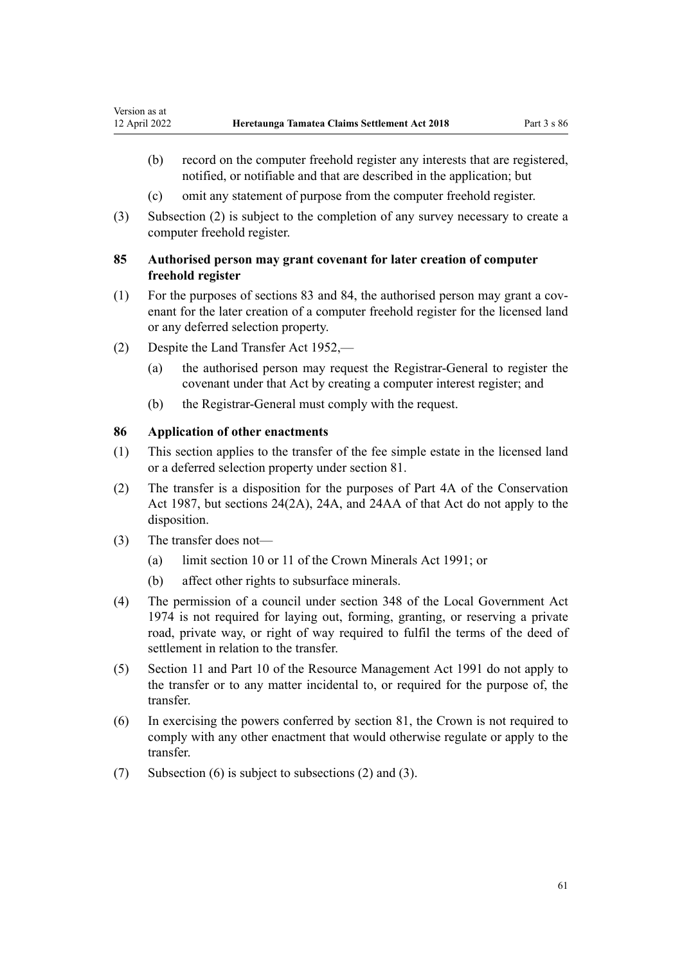- <span id="page-60-0"></span>(b) record on the computer freehold register any interests that are registered, notified, or notifiable and that are described in the application; but
- (c) omit any statement of purpose from the computer freehold register.
- (3) Subsection (2) is subject to the completion of any survey necessary to create a computer freehold register.

# **85 Authorised person may grant covenant for later creation of computer freehold register**

- $(1)$  For the purposes of [sections 83](#page-59-0) and [84,](#page-59-0) the authorised person may grant a covenant for the later creation of a computer freehold register for the licensed land or any deferred selection property.
- (2) Despite the [Land Transfer Act 1952,](http://legislation.govt.nz/pdflink.aspx?id=DLM269031)
	- (a) the authorised person may request the Registrar-General to register the covenant under that Act by creating a computer interest register; and
	- (b) the Registrar-General must comply with the request.

## **86 Application of other enactments**

- (1) This section applies to the transfer of the fee simple estate in the licensed land or a deferred selection property under [section 81](#page-58-0).
- (2) The transfer is a disposition for the purposes of [Part 4A](http://legislation.govt.nz/pdflink.aspx?id=DLM104697) of the Conservation Act 1987, but [sections 24\(2A\)](http://legislation.govt.nz/pdflink.aspx?id=DLM104699), [24A](http://legislation.govt.nz/pdflink.aspx?id=DLM104910), and [24AA](http://legislation.govt.nz/pdflink.aspx?id=DLM104914) of that Act do not apply to the disposition.
- (3) The transfer does not—
	- (a) limit [section 10](http://legislation.govt.nz/pdflink.aspx?id=DLM246310) or [11](http://legislation.govt.nz/pdflink.aspx?id=DLM246311) of the Crown Minerals Act 1991; or
	- (b) affect other rights to subsurface minerals.
- (4) The permission of a council under [section 348](http://legislation.govt.nz/pdflink.aspx?id=DLM420676) of the Local Government Act 1974 is not required for laying out, forming, granting, or reserving a private road, private way, or right of way required to fulfil the terms of the deed of settlement in relation to the transfer.
- (5) [Section 11](http://legislation.govt.nz/pdflink.aspx?id=DLM231942) and [Part 10](http://legislation.govt.nz/pdflink.aspx?id=DLM236786) of the Resource Management Act 1991 do not apply to the transfer or to any matter incidental to, or required for the purpose of, the transfer.
- (6) In exercising the powers conferred by [section 81](#page-58-0), the Crown is not required to comply with any other enactment that would otherwise regulate or apply to the transfer.
- (7) Subsection (6) is subject to subsections (2) and (3).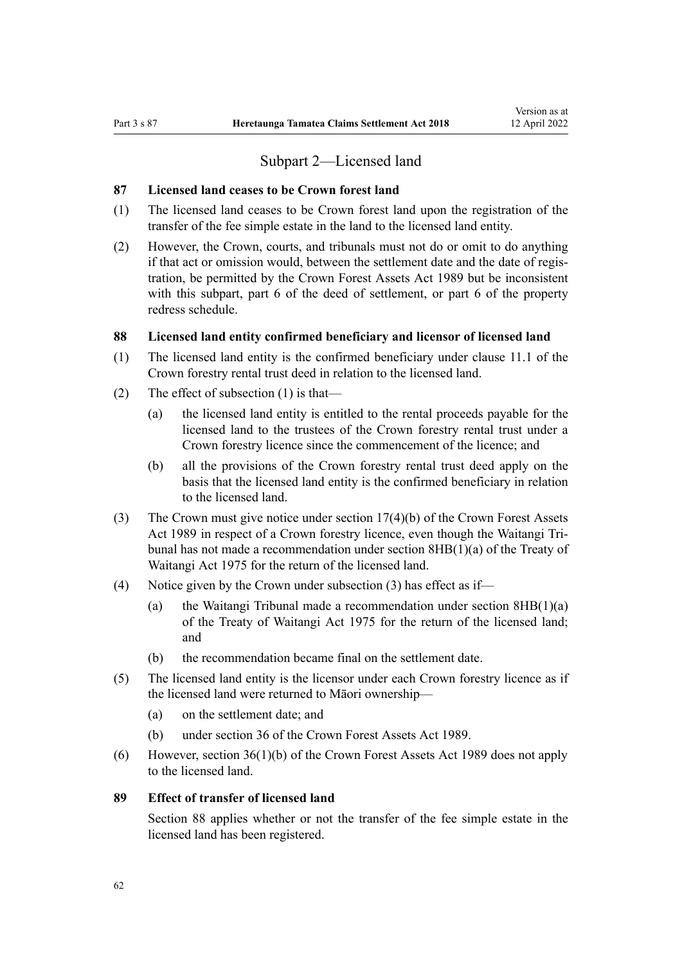# Subpart 2—Licensed land

#### **87 Licensed land ceases to be Crown forest land**

- (1) The licensed land ceases to be Crown forest land upon the registration of the transfer of the fee simple estate in the land to the licensed land entity.
- (2) However, the Crown, courts, and tribunals must not do or omit to do anything if that act or omission would, between the settlement date and the date of regis‐ tration, be permitted by the [Crown Forest Assets Act 1989](http://legislation.govt.nz/pdflink.aspx?id=DLM191768) but be inconsistent with this subpart, part 6 of the deed of settlement, or part 6 of the property redress schedule.

#### **88 Licensed land entity confirmed beneficiary and licensor of licensed land**

- (1) The licensed land entity is the confirmed beneficiary under clause 11.1 of the Crown forestry rental trust deed in relation to the licensed land.
- (2) The effect of subsection (1) is that—
	- (a) the licensed land entity is entitled to the rental proceeds payable for the licensed land to the trustees of the Crown forestry rental trust under a Crown forestry licence since the commencement of the licence; and
	- (b) all the provisions of the Crown forestry rental trust deed apply on the basis that the licensed land entity is the confirmed beneficiary in relation to the licensed land.
- (3) The Crown must give notice under [section 17\(4\)\(b\)](http://legislation.govt.nz/pdflink.aspx?id=DLM192331) of the Crown Forest Assets Act 1989 in respect of a Crown forestry licence, even though the Waitangi Tribunal has not made a recommendation under [section 8HB\(1\)\(a\)](http://legislation.govt.nz/pdflink.aspx?id=DLM435597) of the Treaty of Waitangi Act 1975 for the return of the licensed land.
- (4) Notice given by the Crown under subsection (3) has effect as if—
	- (a) the Waitangi Tribunal made a recommendation under [section 8HB\(1\)\(a\)](http://legislation.govt.nz/pdflink.aspx?id=DLM435597) of the Treaty of Waitangi Act 1975 for the return of the licensed land; and
	- (b) the recommendation became final on the settlement date.
- (5) The licensed land entity is the licensor under each Crown forestry licence as if the licensed land were returned to Māori ownership—
	- (a) on the settlement date; and
	- (b) under [section 36](http://legislation.govt.nz/pdflink.aspx?id=DLM192358) of the Crown Forest Assets Act 1989.
- (6) However, [section 36\(1\)\(b\)](http://legislation.govt.nz/pdflink.aspx?id=DLM192358) of the Crown Forest Assets Act 1989 does not apply to the licensed land.

## **89 Effect of transfer of licensed land**

Section 88 applies whether or not the transfer of the fee simple estate in the licensed land has been registered.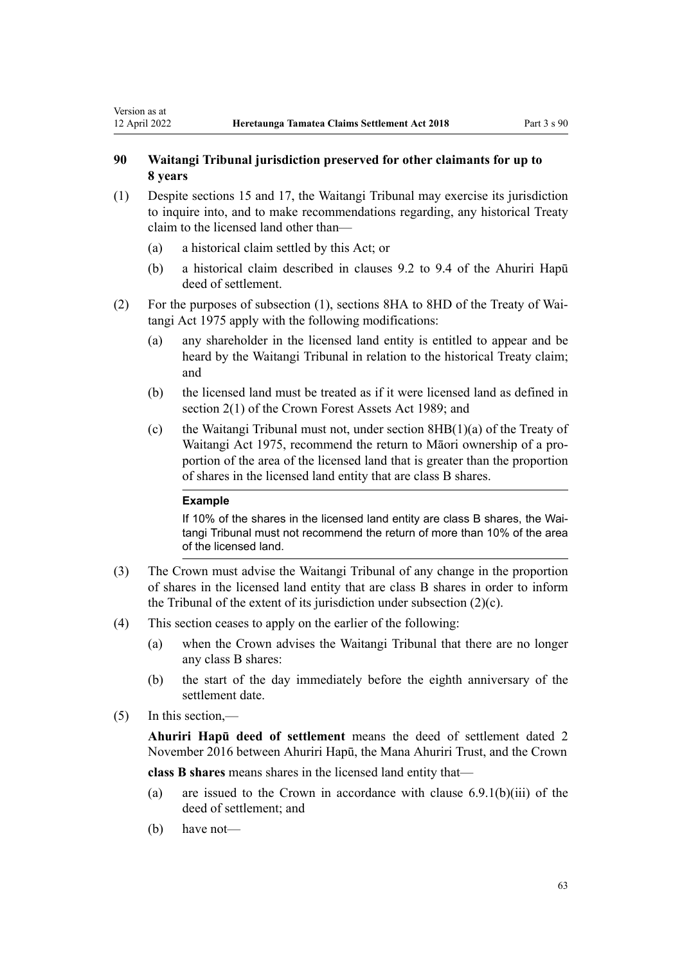# <span id="page-62-0"></span>**90 Waitangi Tribunal jurisdiction preserved for other claimants for up to 8 years**

- (1) Despite [sections 15](#page-28-0) and [17](#page-29-0), the Waitangi Tribunal may exercise its jurisdiction to inquire into, and to make recommendations regarding, any historical Treaty claim to the licensed land other than—
	- (a) a historical claim settled by this Act; or
	- (b) a historical claim described in clauses 9.2 to 9.4 of the Ahuriri Hapū deed of settlement.
- (2) For the purposes of subsection (1), [sections 8HA to 8HD](http://legislation.govt.nz/pdflink.aspx?id=DLM435590) of the Treaty of Wai‐ tangi Act 1975 apply with the following modifications:
	- (a) any shareholder in the licensed land entity is entitled to appear and be heard by the Waitangi Tribunal in relation to the historical Treaty claim; and
	- (b) the licensed land must be treated as if it were licensed land as defined in [section 2\(1\)](http://legislation.govt.nz/pdflink.aspx?id=DLM191774) of the Crown Forest Assets Act 1989; and
	- (c) the Waitangi Tribunal must not, under [section 8HB\(1\)\(a\)](http://legislation.govt.nz/pdflink.aspx?id=DLM435597) of the Treaty of Waitangi Act 1975, recommend the return to Māori ownership of a pro‐ portion of the area of the licensed land that is greater than the proportion of shares in the licensed land entity that are class B shares.

#### **Example**

If 10% of the shares in the licensed land entity are class B shares, the Waitangi Tribunal must not recommend the return of more than 10% of the area of the licensed land.

- (3) The Crown must advise the Waitangi Tribunal of any change in the proportion of shares in the licensed land entity that are class B shares in order to inform the Tribunal of the extent of its jurisdiction under subsection (2)(c).
- (4) This section ceases to apply on the earlier of the following:
	- (a) when the Crown advises the Waitangi Tribunal that there are no longer any class B shares:
	- (b) the start of the day immediately before the eighth anniversary of the settlement date.
- (5) In this section,—

**Ahuriri Hapū deed of settlement** means the deed of settlement dated 2 November 2016 between Ahuriri Hapū, the Mana Ahuriri Trust, and the Crown

**class B shares** means shares in the licensed land entity that—

- (a) are issued to the Crown in accordance with clause  $6.9.1(b)(iii)$  of the deed of settlement; and
- (b) have not—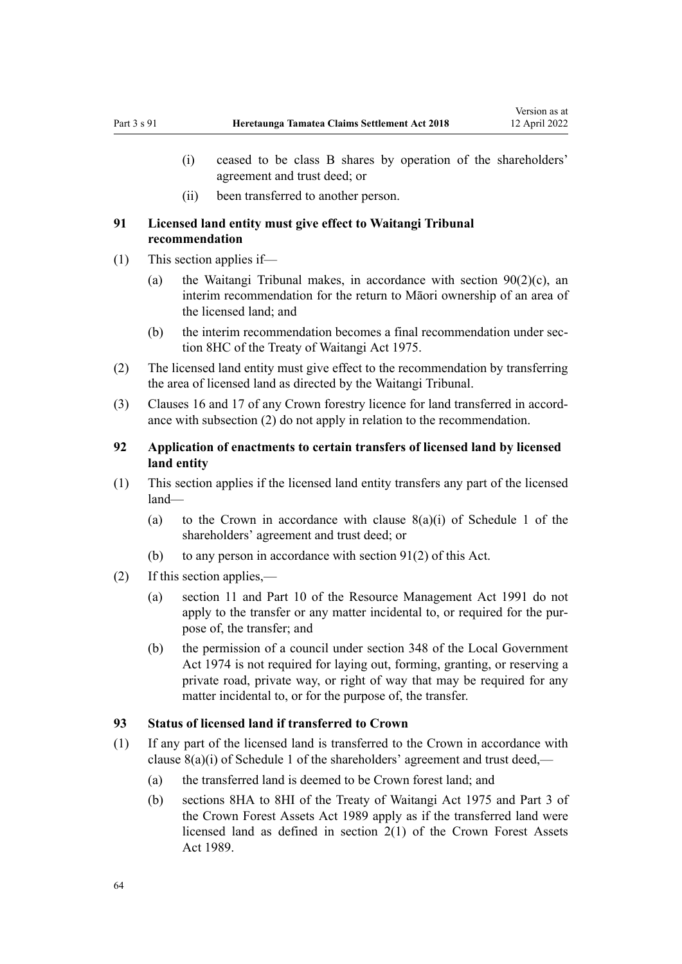- <span id="page-63-0"></span>(i) ceased to be class B shares by operation of the shareholders' agreement and trust deed; or
- (ii) been transferred to another person.

## **91 Licensed land entity must give effect to Waitangi Tribunal recommendation**

- (1) This section applies if—
	- (a) the Waitangi Tribunal makes, in accordance with section  $90(2)(c)$ , an interim recommendation for the return to Māori ownership of an area of the licensed land; and
	- (b) the interim recommendation becomes a final recommendation under sec[tion 8HC](http://legislation.govt.nz/pdflink.aspx?id=DLM435802) of the Treaty of Waitangi Act 1975.
- (2) The licensed land entity must give effect to the recommendation by transferring the area of licensed land as directed by the Waitangi Tribunal.
- (3) Clauses 16 and 17 of any Crown forestry licence for land transferred in accord‐ ance with subsection (2) do not apply in relation to the recommendation.

## **92 Application of enactments to certain transfers of licensed land by licensed land entity**

- (1) This section applies if the licensed land entity transfers any part of the licensed land—
	- (a) to the Crown in accordance with clause  $8(a)(i)$  of Schedule 1 of the shareholders' agreement and trust deed; or
	- (b) to any person in accordance with section  $91(2)$  of this Act.
- (2) If this section applies,—
	- (a) [section 11](http://legislation.govt.nz/pdflink.aspx?id=DLM231942) and [Part 10](http://legislation.govt.nz/pdflink.aspx?id=DLM236786) of the Resource Management Act 1991 do not apply to the transfer or any matter incidental to, or required for the purpose of, the transfer; and
	- (b) the permission of a council under [section 348](http://legislation.govt.nz/pdflink.aspx?id=DLM420676) of the Local Government Act 1974 is not required for laying out, forming, granting, or reserving a private road, private way, or right of way that may be required for any matter incidental to, or for the purpose of, the transfer.

## **93 Status of licensed land if transferred to Crown**

- (1) If any part of the licensed land is transferred to the Crown in accordance with clause 8(a)(i) of Schedule 1 of the shareholders' agreement and trust deed,—
	- (a) the transferred land is deemed to be Crown forest land; and
	- (b) [sections 8HA to 8HI](http://legislation.govt.nz/pdflink.aspx?id=DLM435590) of the Treaty of Waitangi Act 1975 and [Part 3](http://legislation.govt.nz/pdflink.aspx?id=DLM192356) of the Crown Forest Assets Act 1989 apply as if the transferred land were licensed land as defined in [section 2\(1\)](http://legislation.govt.nz/pdflink.aspx?id=DLM191774) of the Crown Forest Assets Act 1989.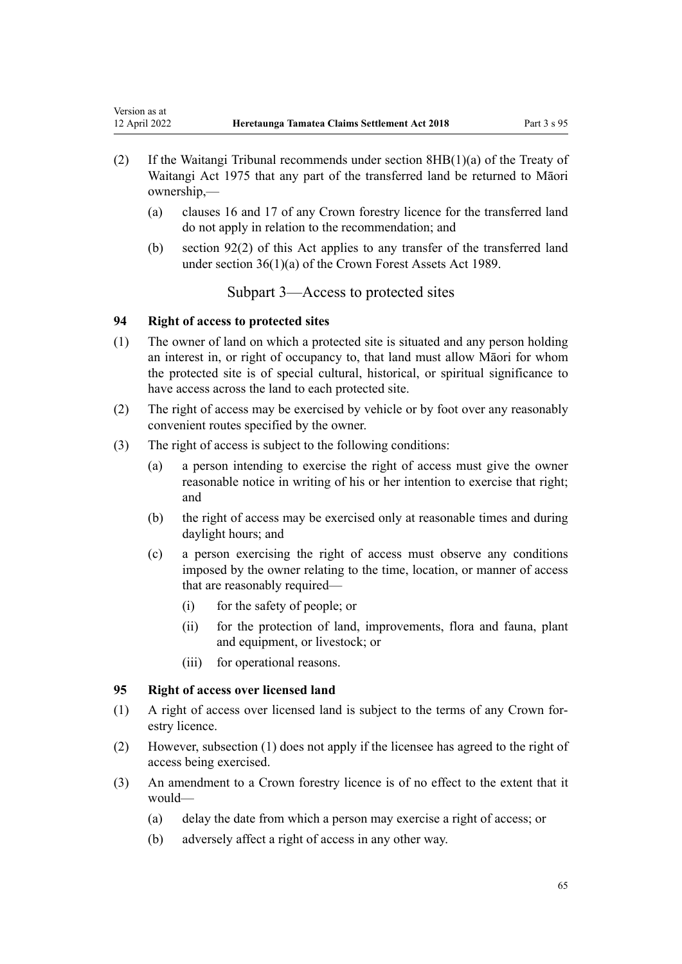- <span id="page-64-0"></span>(2) If the Waitangi Tribunal recommends under [section 8HB\(1\)\(a\)](http://legislation.govt.nz/pdflink.aspx?id=DLM435597) of the Treaty of Waitangi Act 1975 that any part of the transferred land be returned to Māori ownership,—
	- (a) clauses 16 and 17 of any Crown forestry licence for the transferred land do not apply in relation to the recommendation; and
	- (b) [section 92\(2\)](#page-63-0) of this Act applies to any transfer of the transferred land under [section 36\(1\)\(a\)](http://legislation.govt.nz/pdflink.aspx?id=DLM192358) of the Crown Forest Assets Act 1989.

Subpart 3—Access to protected sites

# **94 Right of access to protected sites**

- (1) The owner of land on which a protected site is situated and any person holding an interest in, or right of occupancy to, that land must allow Māori for whom the protected site is of special cultural, historical, or spiritual significance to have access across the land to each protected site.
- (2) The right of access may be exercised by vehicle or by foot over any reasonably convenient routes specified by the owner.
- (3) The right of access is subject to the following conditions:
	- (a) a person intending to exercise the right of access must give the owner reasonable notice in writing of his or her intention to exercise that right; and
	- (b) the right of access may be exercised only at reasonable times and during daylight hours; and
	- (c) a person exercising the right of access must observe any conditions imposed by the owner relating to the time, location, or manner of access that are reasonably required—
		- (i) for the safety of people; or
		- (ii) for the protection of land, improvements, flora and fauna, plant and equipment, or livestock; or
		- (iii) for operational reasons.

# **95 Right of access over licensed land**

- (1) A right of access over licensed land is subject to the terms of any Crown for‐ estry licence.
- (2) However, subsection (1) does not apply if the licensee has agreed to the right of access being exercised.
- (3) An amendment to a Crown forestry licence is of no effect to the extent that it would—
	- (a) delay the date from which a person may exercise a right of access; or
	- (b) adversely affect a right of access in any other way.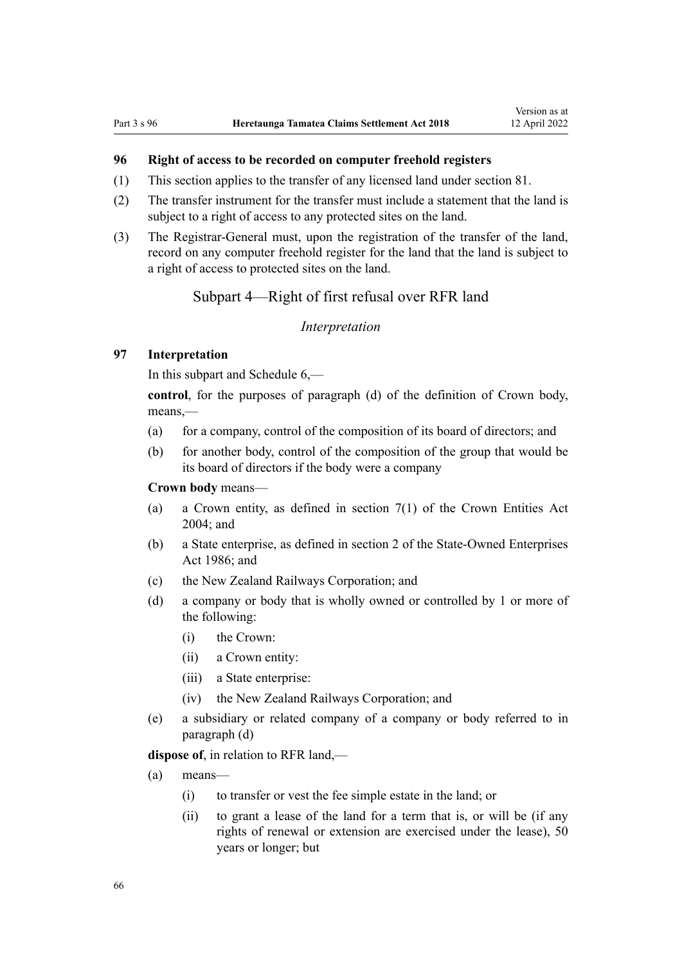# **96 Right of access to be recorded on computer freehold registers**

- (1) This section applies to the transfer of any licensed land under [section 81](#page-58-0).
- (2) The transfer instrument for the transfer must include a statement that the land is subject to a right of access to any protected sites on the land.
- (3) The Registrar-General must, upon the registration of the transfer of the land, record on any computer freehold register for the land that the land is subject to a right of access to protected sites on the land.

# Subpart 4—Right of first refusal over RFR land

#### *Interpretation*

## **97 Interpretation**

In this subpart and [Schedule 6](#page-87-0),—

**control**, for the purposes of paragraph (d) of the definition of Crown body, means,—

- (a) for a company, control of the composition of its board of directors; and
- (b) for another body, control of the composition of the group that would be its board of directors if the body were a company

**Crown body** means—

- (a) a Crown entity, as defined in [section 7\(1\)](http://legislation.govt.nz/pdflink.aspx?id=DLM329641) of the Crown Entities Act 2004; and
- (b) a State enterprise, as defined in [section 2](http://legislation.govt.nz/pdflink.aspx?id=DLM97382) of the State-Owned Enterprises Act 1986; and
- (c) the New Zealand Railways Corporation; and
- (d) a company or body that is wholly owned or controlled by 1 or more of the following:
	- (i) the Crown:
	- (ii) a Crown entity:
	- (iii) a State enterprise:
	- (iv) the New Zealand Railways Corporation; and
- (e) a subsidiary or related company of a company or body referred to in paragraph (d)

**dispose of**, in relation to RFR land,—

- (a) means—
	- (i) to transfer or vest the fee simple estate in the land; or
	- (ii) to grant a lease of the land for a term that is, or will be (if any rights of renewal or extension are exercised under the lease), 50 years or longer; but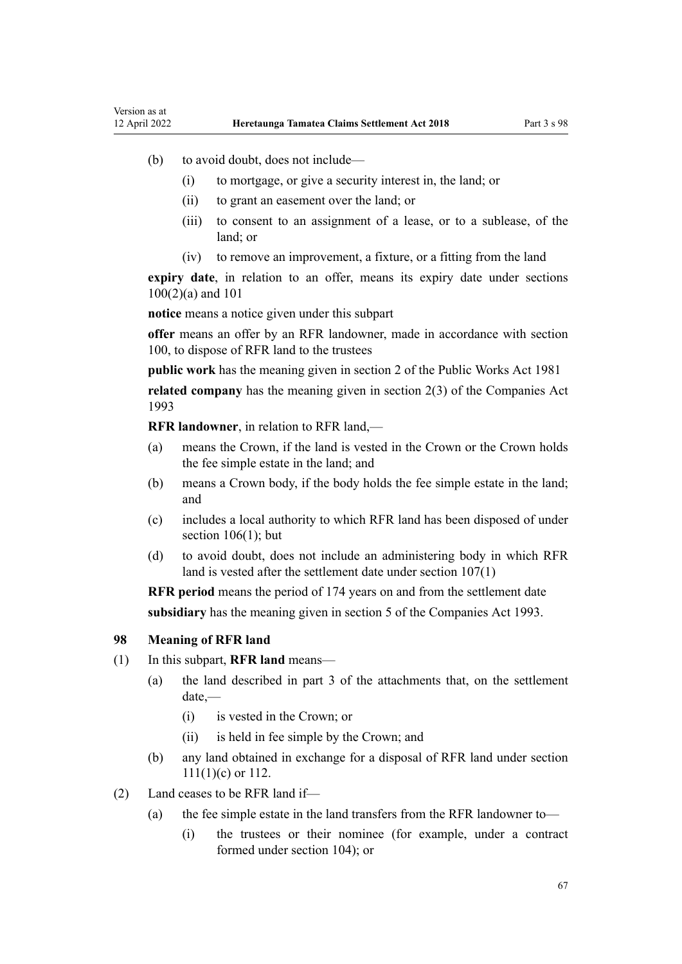- (b) to avoid doubt, does not include—
	- (i) to mortgage, or give a security interest in, the land; or
	- (ii) to grant an easement over the land; or
	- (iii) to consent to an assignment of a lease, or to a sublease, of the land; or
	- (iv) to remove an improvement, a fixture, or a fitting from the land

**expiry date**, in relation to an offer, means its expiry date under [sections](#page-67-0) [100\(2\)\(a\)](#page-67-0) and [101](#page-68-0)

**notice** means a notice given under this subpart

**offer** means an offer by an RFR landowner, made in accordance with [section](#page-67-0) [100](#page-67-0), to dispose of RFR land to the trustees

**public work** has the meaning given in [section 2](http://legislation.govt.nz/pdflink.aspx?id=DLM45433) of the Public Works Act 1981

**related company** has the meaning given in [section 2\(3\)](http://legislation.govt.nz/pdflink.aspx?id=DLM319576) of the Companies Act 1993

**RFR landowner**, in relation to RFR land,—

- (a) means the Crown, if the land is vested in the Crown or the Crown holds the fee simple estate in the land; and
- (b) means a Crown body, if the body holds the fee simple estate in the land; and
- (c) includes a local authority to which RFR land has been disposed of under section  $106(1)$ ; but
- (d) to avoid doubt, does not include an administering body in which RFR land is vested after the settlement date under [section 107\(1\)](#page-69-0)

**RFR period** means the period of 174 years on and from the settlement date **subsidiary** has the meaning given in [section 5](http://legislation.govt.nz/pdflink.aspx?id=DLM319999) of the Companies Act 1993.

#### **98 Meaning of RFR land**

- (1) In this subpart, **RFR land** means—
	- (a) the land described in part 3 of the attachments that, on the settlement date,—
		- (i) is vested in the Crown; or
		- (ii) is held in fee simple by the Crown; and
	- (b) any land obtained in exchange for a disposal of RFR land under [section](#page-70-0) [111\(1\)\(c\)](#page-70-0) or [112.](#page-71-0)
- (2) Land ceases to be RFR land if—
	- (a) the fee simple estate in the land transfers from the RFR landowner to—
		- (i) the trustees or their nominee (for example, under a contract formed under [section 104](#page-68-0)); or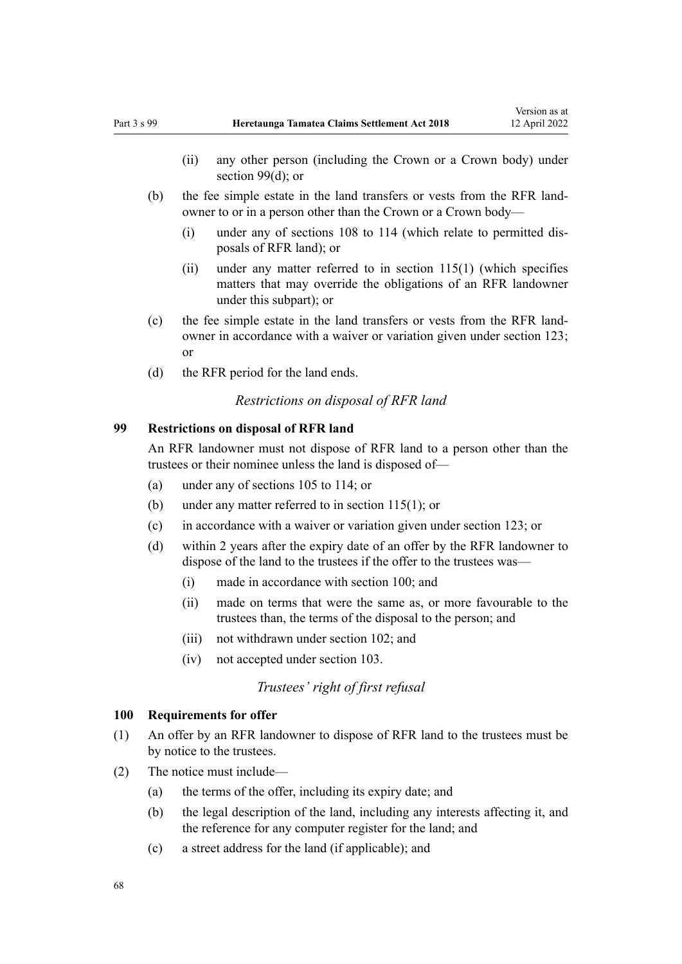- <span id="page-67-0"></span>(ii) any other person (including the Crown or a Crown body) under section 99(d); or
- (b) the fee simple estate in the land transfers or vests from the RFR landowner to or in a person other than the Crown or a Crown body—
	- (i) under any of [sections 108 to 114](#page-70-0) (which relate to permitted dis‐ posals of RFR land); or
	- (ii) under any matter referred to in [section 115\(1\)](#page-71-0) (which specifies matters that may override the obligations of an RFR landowner under this subpart); or
- (c) the fee simple estate in the land transfers or vests from the RFR land‐ owner in accordance with a waiver or variation given under [section 123;](#page-75-0) or
- (d) the RFR period for the land ends.

#### *Restrictions on disposal of RFR land*

#### **99 Restrictions on disposal of RFR land**

An RFR landowner must not dispose of RFR land to a person other than the trustees or their nominee unless the land is disposed of—

- (a) under any of [sections 105 to 114;](#page-69-0) or
- (b) under any matter referred to in [section 115\(1\);](#page-71-0) or
- (c) in accordance with a waiver or variation given under [section 123](#page-75-0); or
- (d) within 2 years after the expiry date of an offer by the RFR landowner to dispose of the land to the trustees if the offer to the trustees was—
	- (i) made in accordance with section 100; and
	- (ii) made on terms that were the same as, or more favourable to the trustees than, the terms of the disposal to the person; and
	- (iii) not withdrawn under [section 102;](#page-68-0) and
	- (iv) not accepted under [section 103.](#page-68-0)

#### *Trustees' right of first refusal*

## **100 Requirements for offer**

- (1) An offer by an RFR landowner to dispose of RFR land to the trustees must be by notice to the trustees.
- (2) The notice must include—
	- (a) the terms of the offer, including its expiry date; and
	- (b) the legal description of the land, including any interests affecting it, and the reference for any computer register for the land; and
	- (c) a street address for the land (if applicable); and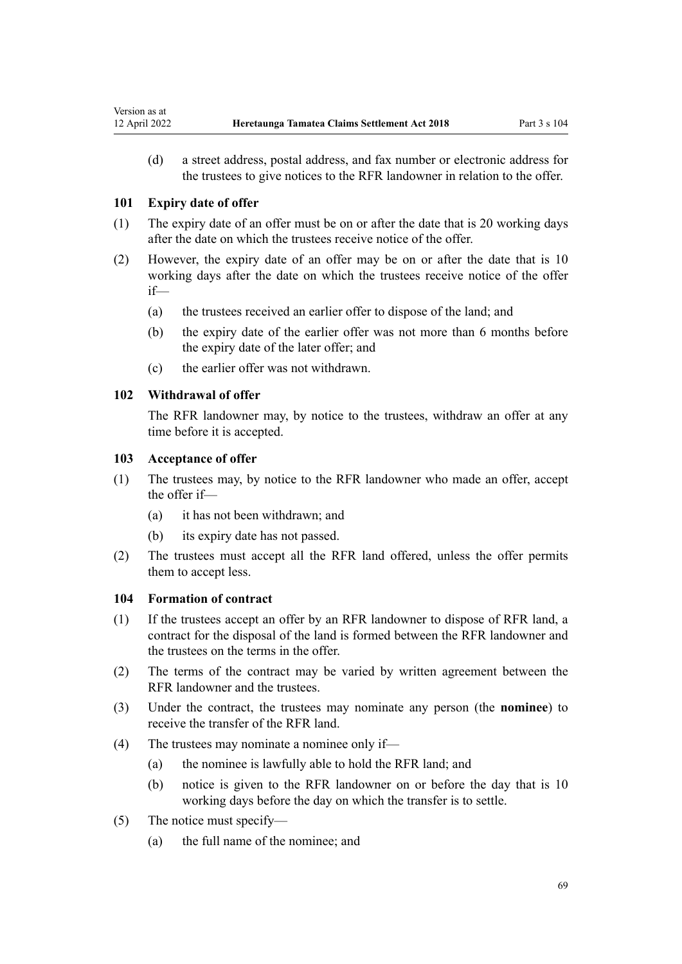(d) a street address, postal address, and fax number or electronic address for the trustees to give notices to the RFR landowner in relation to the offer.

#### **101 Expiry date of offer**

<span id="page-68-0"></span>Version as at

- (1) The expiry date of an offer must be on or after the date that is 20 working days after the date on which the trustees receive notice of the offer.
- (2) However, the expiry date of an offer may be on or after the date that is 10 working days after the date on which the trustees receive notice of the offer if—
	- (a) the trustees received an earlier offer to dispose of the land; and
	- (b) the expiry date of the earlier offer was not more than 6 months before the expiry date of the later offer; and
	- (c) the earlier offer was not withdrawn.

## **102 Withdrawal of offer**

The RFR landowner may, by notice to the trustees, withdraw an offer at any time before it is accepted.

## **103 Acceptance of offer**

- (1) The trustees may, by notice to the RFR landowner who made an offer, accept the offer if—
	- (a) it has not been withdrawn; and
	- (b) its expiry date has not passed.
- (2) The trustees must accept all the RFR land offered, unless the offer permits them to accept less.

#### **104 Formation of contract**

- (1) If the trustees accept an offer by an RFR landowner to dispose of RFR land, a contract for the disposal of the land is formed between the RFR landowner and the trustees on the terms in the offer.
- (2) The terms of the contract may be varied by written agreement between the RFR landowner and the trustees.
- (3) Under the contract, the trustees may nominate any person (the **nominee**) to receive the transfer of the RFR land.
- (4) The trustees may nominate a nominee only if—
	- (a) the nominee is lawfully able to hold the RFR land; and
	- (b) notice is given to the RFR landowner on or before the day that is 10 working days before the day on which the transfer is to settle.
- (5) The notice must specify—
	- (a) the full name of the nominee; and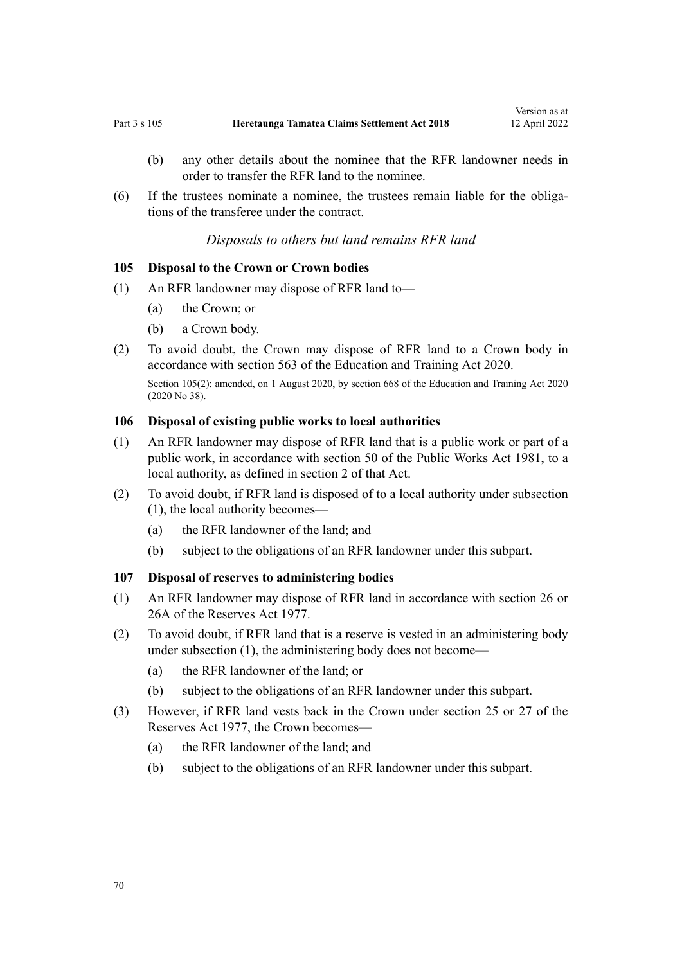- <span id="page-69-0"></span>(b) any other details about the nominee that the RFR landowner needs in order to transfer the RFR land to the nominee.
- $(6)$  If the trustees nominate a nominee, the trustees remain liable for the obligations of the transferee under the contract.

#### *Disposals to others but land remains RFR land*

#### **105 Disposal to the Crown or Crown bodies**

- (1) An RFR landowner may dispose of RFR land to—
	- (a) the Crown; or
	- (b) a Crown body.
- (2) To avoid doubt, the Crown may dispose of RFR land to a Crown body in accordance with [section 563](http://legislation.govt.nz/pdflink.aspx?id=LMS172541) of the Education and Training Act 2020.

Section 105(2): amended, on 1 August 2020, by [section 668](http://legislation.govt.nz/pdflink.aspx?id=LMS367713) of the Education and Training Act 2020 (2020 No 38).

## **106 Disposal of existing public works to local authorities**

- (1) An RFR landowner may dispose of RFR land that is a public work or part of a public work, in accordance with [section 50](http://legislation.govt.nz/pdflink.aspx?id=DLM46305) of the Public Works Act 1981, to a local authority, as defined in [section 2](http://legislation.govt.nz/pdflink.aspx?id=DLM45433) of that Act.
- (2) To avoid doubt, if RFR land is disposed of to a local authority under subsection (1), the local authority becomes—
	- (a) the RFR landowner of the land; and
	- (b) subject to the obligations of an RFR landowner under this subpart.

#### **107 Disposal of reserves to administering bodies**

- (1) An RFR landowner may dispose of RFR land in accordance with [section 26](http://legislation.govt.nz/pdflink.aspx?id=DLM444650) or [26A](http://legislation.govt.nz/pdflink.aspx?id=DLM444652) of the Reserves Act 1977.
- (2) To avoid doubt, if RFR land that is a reserve is vested in an administering body under subsection (1), the administering body does not become—
	- (a) the RFR landowner of the land; or
	- (b) subject to the obligations of an RFR landowner under this subpart.
- (3) However, if RFR land vests back in the Crown under [section 25](http://legislation.govt.nz/pdflink.aspx?id=DLM444648) or [27](http://legislation.govt.nz/pdflink.aspx?id=DLM444654) of the Reserves Act 1977, the Crown becomes—
	- (a) the RFR landowner of the land; and
	- (b) subject to the obligations of an RFR landowner under this subpart.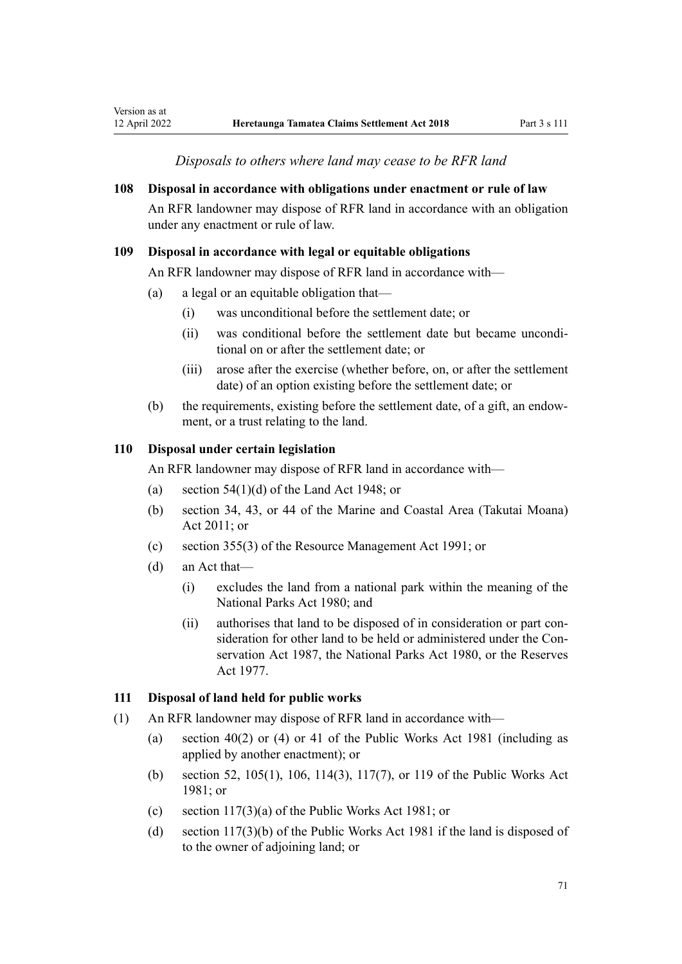*Disposals to others where land may cease to be RFR land*

#### <span id="page-70-0"></span>**108 Disposal in accordance with obligations under enactment or rule of law**

An RFR landowner may dispose of RFR land in accordance with an obligation under any enactment or rule of law.

#### **109 Disposal in accordance with legal or equitable obligations**

An RFR landowner may dispose of RFR land in accordance with—

- (a) a legal or an equitable obligation that—
	- (i) was unconditional before the settlement date; or
	- (ii) was conditional before the settlement date but became unconditional on or after the settlement date; or
	- (iii) arose after the exercise (whether before, on, or after the settlement date) of an option existing before the settlement date; or
- (b) the requirements, existing before the settlement date, of a gift, an endow‐ ment, or a trust relating to the land.

## **110 Disposal under certain legislation**

An RFR landowner may dispose of RFR land in accordance with—

- (a) section  $54(1)(d)$  of the Land Act 1948; or
- (b) [section 34](http://legislation.govt.nz/pdflink.aspx?id=DLM3213333), [43](http://legislation.govt.nz/pdflink.aspx?id=DLM3213341), or [44](http://legislation.govt.nz/pdflink.aspx?id=DLM3213343) of the Marine and Coastal Area (Takutai Moana) Act 2011; or
- (c) [section 355\(3\)](http://legislation.govt.nz/pdflink.aspx?id=DLM239322) of the Resource Management Act 1991; or
- (d) an Act that—
	- (i) excludes the land from a national park within the meaning of the [National Parks Act 1980;](http://legislation.govt.nz/pdflink.aspx?id=DLM36962) and
	- (ii) authorises that land to be disposed of in consideration or part con‐ sideration for other land to be held or administered under the Con[servation Act 1987](http://legislation.govt.nz/pdflink.aspx?id=DLM103609), the [National Parks Act 1980](http://legislation.govt.nz/pdflink.aspx?id=DLM36962), or the [Reserves](http://legislation.govt.nz/pdflink.aspx?id=DLM444304) [Act 1977.](http://legislation.govt.nz/pdflink.aspx?id=DLM444304)

#### **111 Disposal of land held for public works**

- (1) An RFR landowner may dispose of RFR land in accordance with—
	- (a) section  $40(2)$  or (4) or [41](http://legislation.govt.nz/pdflink.aspx?id=DLM46068) of the Public Works Act 1981 (including as applied by another enactment); or
	- (b) [section 52,](http://legislation.govt.nz/pdflink.aspx?id=DLM46307) [105\(1\)](http://legislation.govt.nz/pdflink.aspx?id=DLM46966), [106](http://legislation.govt.nz/pdflink.aspx?id=DLM46968), [114\(3\),](http://legislation.govt.nz/pdflink.aspx?id=DLM47315) [117\(7\),](http://legislation.govt.nz/pdflink.aspx?id=DLM47324) or [119](http://legislation.govt.nz/pdflink.aspx?id=DLM47332) of the Public Works Act 1981; or
	- (c) [section 117\(3\)\(a\)](http://legislation.govt.nz/pdflink.aspx?id=DLM47324) of the Public Works Act 1981; or
	- (d) [section 117\(3\)\(b\)](http://legislation.govt.nz/pdflink.aspx?id=DLM47324) of the Public Works Act 1981 if the land is disposed of to the owner of adjoining land; or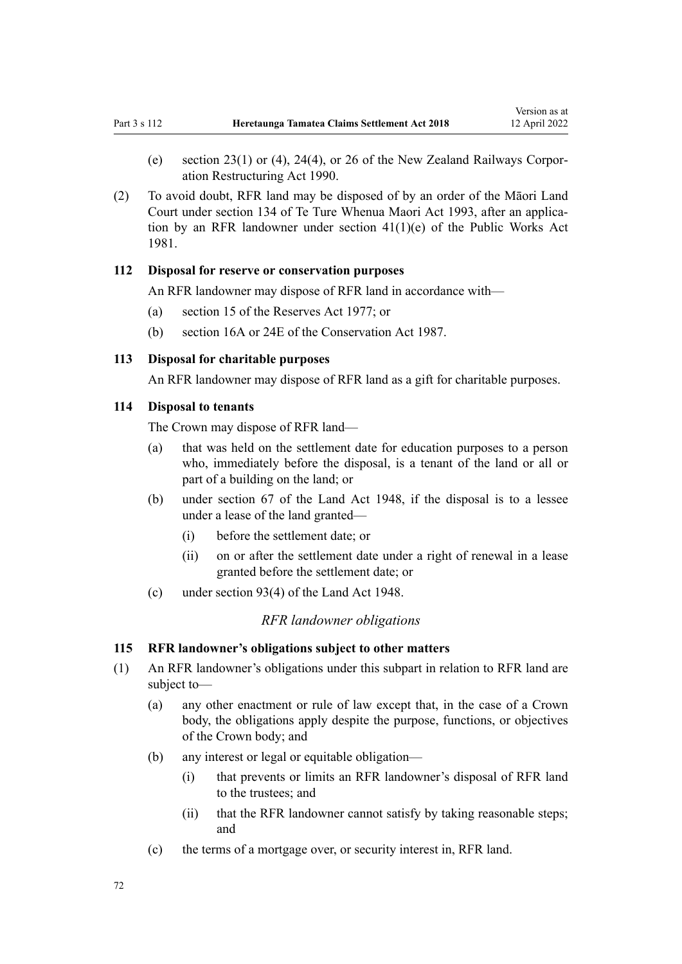- <span id="page-71-0"></span>(e) section  $23(1)$  or (4),  $24(4)$ , or [26](http://legislation.govt.nz/pdflink.aspx?id=DLM223131) of the New Zealand Railways Corporation Restructuring Act 1990.
- (2) To avoid doubt, RFR land may be disposed of by an order of the Māori Land Court under [section 134](http://legislation.govt.nz/pdflink.aspx?id=DLM291297) of Te Ture Whenua Maori Act 1993, after an applica‐ tion by an RFR landowner under [section 41\(1\)\(e\)](http://legislation.govt.nz/pdflink.aspx?id=DLM46068) of the Public Works Act 1981.

## **112 Disposal for reserve or conservation purposes**

An RFR landowner may dispose of RFR land in accordance with—

- (a) [section 15](http://legislation.govt.nz/pdflink.aspx?id=DLM444484) of the Reserves Act 1977; or
- (b) [section 16A](http://legislation.govt.nz/pdflink.aspx?id=DLM104281) or [24E](http://legislation.govt.nz/pdflink.aspx?id=DLM104933) of the Conservation Act 1987.

## **113 Disposal for charitable purposes**

An RFR landowner may dispose of RFR land as a gift for charitable purposes.

## **114 Disposal to tenants**

The Crown may dispose of RFR land—

- (a) that was held on the settlement date for education purposes to a person who, immediately before the disposal, is a tenant of the land or all or part of a building on the land; or
- (b) under [section 67](http://legislation.govt.nz/pdflink.aspx?id=DLM251778) of the Land Act 1948, if the disposal is to a lessee under a lease of the land granted—
	- (i) before the settlement date; or
	- (ii) on or after the settlement date under a right of renewal in a lease granted before the settlement date; or
- (c) under [section 93\(4\)](http://legislation.govt.nz/pdflink.aspx?id=DLM252152) of the Land Act 1948.

#### *RFR landowner obligations*

#### **115 RFR landowner's obligations subject to other matters**

- (1) An RFR landowner's obligations under this subpart in relation to RFR land are subject to—
	- (a) any other enactment or rule of law except that, in the case of a Crown body, the obligations apply despite the purpose, functions, or objectives of the Crown body; and
	- (b) any interest or legal or equitable obligation—
		- (i) that prevents or limits an RFR landowner's disposal of RFR land to the trustees; and
		- (ii) that the RFR landowner cannot satisfy by taking reasonable steps; and
	- (c) the terms of a mortgage over, or security interest in, RFR land.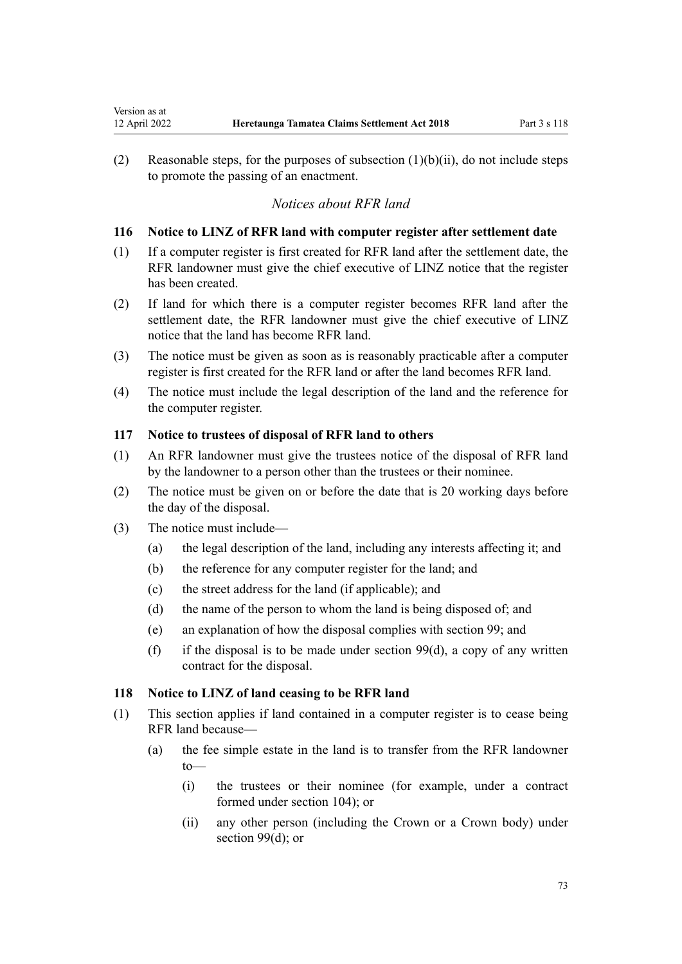(2) Reasonable steps, for the purposes of subsection  $(1)(b)(ii)$ , do not include steps to promote the passing of an enactment.

## *Notices about RFR land*

## **116 Notice to LINZ of RFR land with computer register after settlement date**

- (1) If a computer register is first created for RFR land after the settlement date, the RFR landowner must give the chief executive of LINZ notice that the register has been created.
- (2) If land for which there is a computer register becomes RFR land after the settlement date, the RFR landowner must give the chief executive of LINZ notice that the land has become RFR land.
- (3) The notice must be given as soon as is reasonably practicable after a computer register is first created for the RFR land or after the land becomes RFR land.
- (4) The notice must include the legal description of the land and the reference for the computer register.

## **117 Notice to trustees of disposal of RFR land to others**

- (1) An RFR landowner must give the trustees notice of the disposal of RFR land by the landowner to a person other than the trustees or their nominee.
- (2) The notice must be given on or before the date that is 20 working days before the day of the disposal.
- (3) The notice must include—

<span id="page-72-0"></span>Version as at

- (a) the legal description of the land, including any interests affecting it; and
- (b) the reference for any computer register for the land; and
- (c) the street address for the land (if applicable); and
- (d) the name of the person to whom the land is being disposed of; and
- (e) an explanation of how the disposal complies with [section 99;](#page-67-0) and
- (f) if the disposal is to be made under section 99 $(d)$ , a copy of any written contract for the disposal.

#### **118 Notice to LINZ of land ceasing to be RFR land**

- (1) This section applies if land contained in a computer register is to cease being RFR land because—
	- (a) the fee simple estate in the land is to transfer from the RFR landowner to—
		- (i) the trustees or their nominee (for example, under a contract formed under [section 104](#page-68-0)); or
		- (ii) any other person (including the Crown or a Crown body) under [section 99\(d\);](#page-67-0) or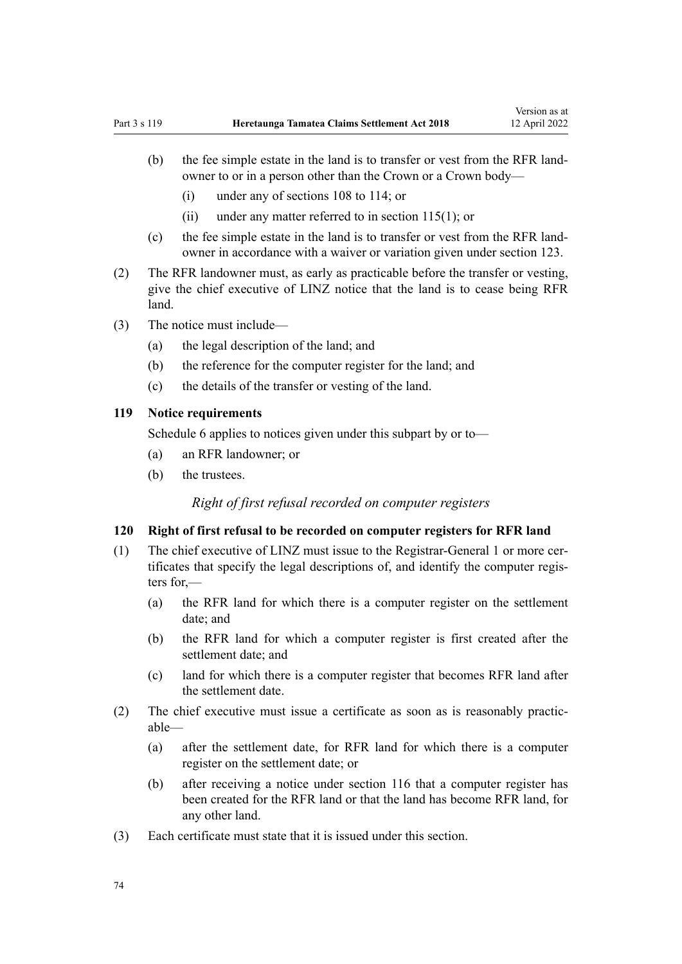- <span id="page-73-0"></span>(b) the fee simple estate in the land is to transfer or vest from the RFR landowner to or in a person other than the Crown or a Crown body—
	- (i) under any of [sections 108 to 114;](#page-70-0) or
	- (ii) under any matter referred to in section  $115(1)$ ; or
- (c) the fee simple estate in the land is to transfer or vest from the RFR land‐ owner in accordance with a waiver or variation given under [section 123](#page-75-0).
- (2) The RFR landowner must, as early as practicable before the transfer or vesting, give the chief executive of LINZ notice that the land is to cease being RFR land.
- (3) The notice must include—
	- (a) the legal description of the land; and
	- (b) the reference for the computer register for the land; and
	- (c) the details of the transfer or vesting of the land.

## **119 Notice requirements**

[Schedule 6](#page-87-0) applies to notices given under this subpart by or to—

- (a) an RFR landowner; or
- (b) the trustees.

*Right of first refusal recorded on computer registers*

#### **120 Right of first refusal to be recorded on computer registers for RFR land**

- (1) The chief executive of LINZ must issue to the Registrar-General 1 or more cer‐ tificates that specify the legal descriptions of, and identify the computer regis‐ ters for,—
	- (a) the RFR land for which there is a computer register on the settlement date; and
	- (b) the RFR land for which a computer register is first created after the settlement date; and
	- (c) land for which there is a computer register that becomes RFR land after the settlement date.
- (2) The chief executive must issue a certificate as soon as is reasonably practic‐ able—
	- (a) after the settlement date, for RFR land for which there is a computer register on the settlement date; or
	- (b) after receiving a notice under section 116 that a computer register has been created for the RFR land or that the land has become RFR land, for any other land.
- (3) Each certificate must state that it is issued under this section.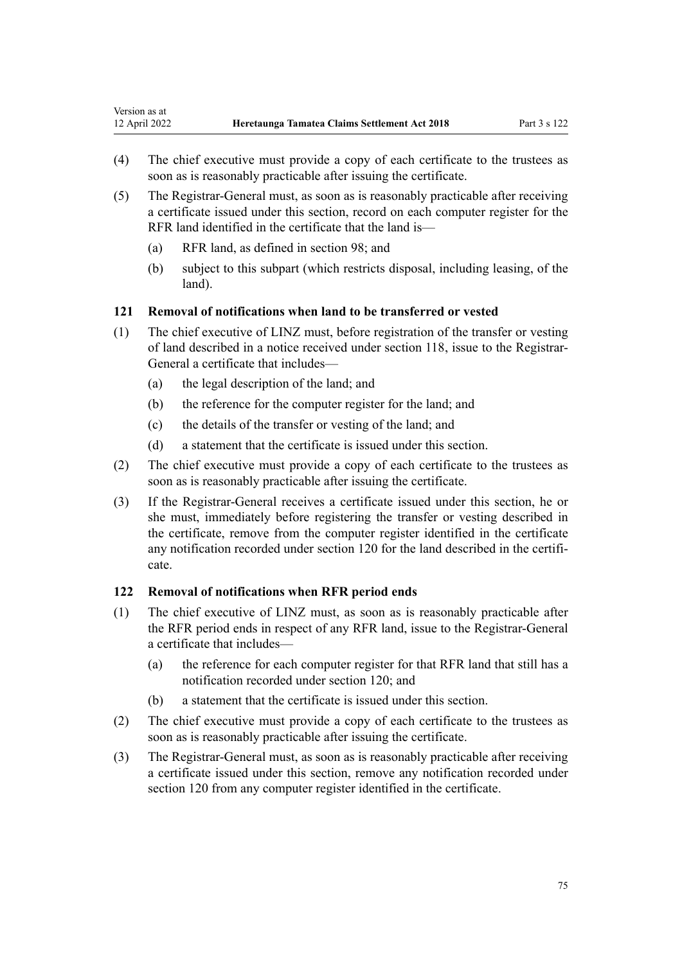- (4) The chief executive must provide a copy of each certificate to the trustees as soon as is reasonably practicable after issuing the certificate.
- (5) The Registrar-General must, as soon as is reasonably practicable after receiving a certificate issued under this section, record on each computer register for the RFR land identified in the certificate that the land is—
	- (a) RFR land, as defined in section 98; and
	- (b) subject to this subpart (which restricts disposal, including leasing, of the land).

## **121 Removal of notifications when land to be transferred or vested**

- (1) The chief executive of LINZ must, before registration of the transfer or vesting of land described in a notice received under [section 118](#page-72-0), issue to the Registrar-General a certificate that includes—
	- (a) the legal description of the land; and
	- (b) the reference for the computer register for the land; and
	- (c) the details of the transfer or vesting of the land; and
	- (d) a statement that the certificate is issued under this section.
- (2) The chief executive must provide a copy of each certificate to the trustees as soon as is reasonably practicable after issuing the certificate.
- (3) If the Registrar-General receives a certificate issued under this section, he or she must, immediately before registering the transfer or vesting described in the certificate, remove from the computer register identified in the certificate any notification recorded under [section 120](#page-73-0) for the land described in the certificate.

#### **122 Removal of notifications when RFR period ends**

- (1) The chief executive of LINZ must, as soon as is reasonably practicable after the RFR period ends in respect of any RFR land, issue to the Registrar-General a certificate that includes—
	- (a) the reference for each computer register for that RFR land that still has a notification recorded under [section 120;](#page-73-0) and
	- (b) a statement that the certificate is issued under this section.
- (2) The chief executive must provide a copy of each certificate to the trustees as soon as is reasonably practicable after issuing the certificate.
- (3) The Registrar-General must, as soon as is reasonably practicable after receiving a certificate issued under this section, remove any notification recorded under [section 120](#page-73-0) from any computer register identified in the certificate.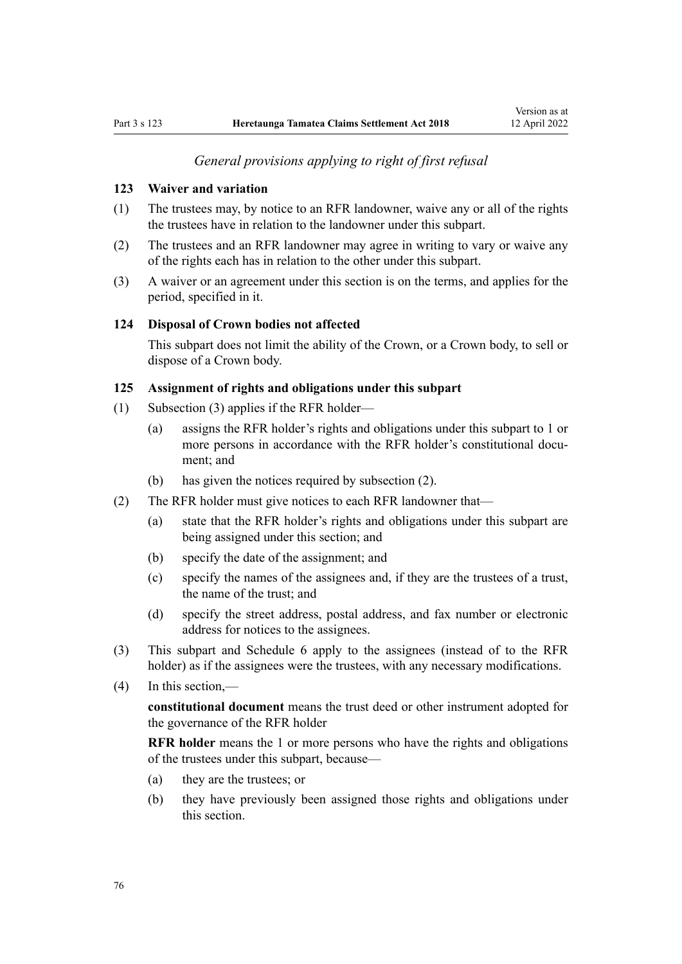## *General provisions applying to right of first refusal*

## <span id="page-75-0"></span>**123 Waiver and variation**

- (1) The trustees may, by notice to an RFR landowner, waive any or all of the rights the trustees have in relation to the landowner under this subpart.
- (2) The trustees and an RFR landowner may agree in writing to vary or waive any of the rights each has in relation to the other under this subpart.
- (3) A waiver or an agreement under this section is on the terms, and applies for the period, specified in it.

#### **124 Disposal of Crown bodies not affected**

This subpart does not limit the ability of the Crown, or a Crown body, to sell or dispose of a Crown body.

## **125 Assignment of rights and obligations under this subpart**

- (1) Subsection (3) applies if the RFR holder—
	- (a) assigns the RFR holder's rights and obligations under this subpart to 1 or more persons in accordance with the RFR holder's constitutional document; and
	- (b) has given the notices required by subsection (2).
- (2) The RFR holder must give notices to each RFR landowner that—
	- (a) state that the RFR holder's rights and obligations under this subpart are being assigned under this section; and
	- (b) specify the date of the assignment; and
	- (c) specify the names of the assignees and, if they are the trustees of a trust, the name of the trust; and
	- (d) specify the street address, postal address, and fax number or electronic address for notices to the assignees.
- (3) This subpart and [Schedule 6](#page-87-0) apply to the assignees (instead of to the RFR holder) as if the assignees were the trustees, with any necessary modifications.
- (4) In this section,—

**constitutional document** means the trust deed or other instrument adopted for the governance of the RFR holder

**RFR holder** means the 1 or more persons who have the rights and obligations of the trustees under this subpart, because—

- (a) they are the trustees; or
- (b) they have previously been assigned those rights and obligations under this section.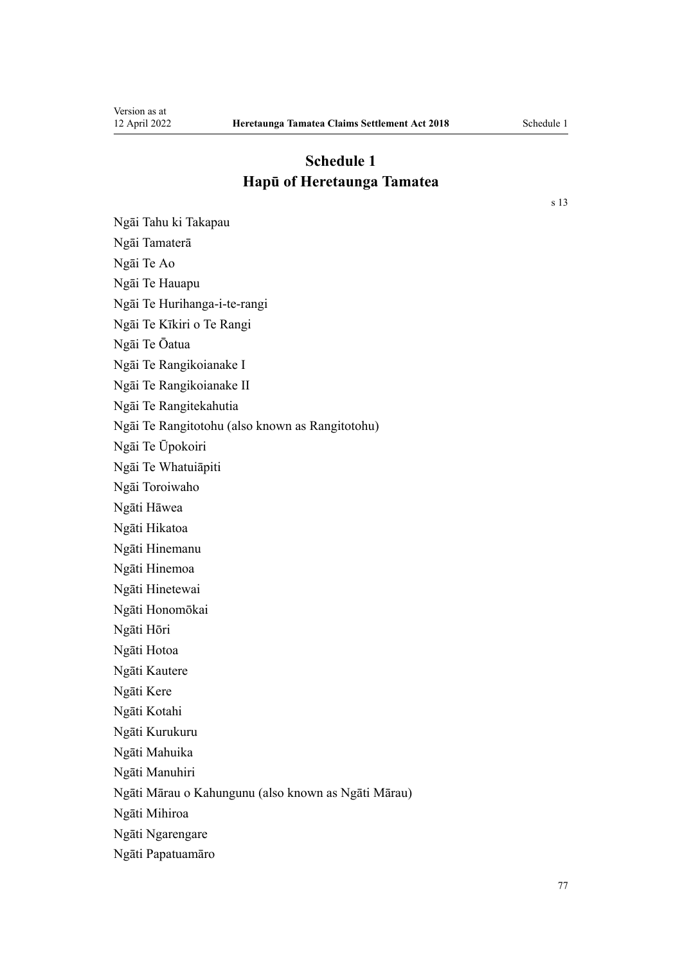Ngāi Tahu ki Takapau

## **Schedule 1 Hapū of Heretaunga Tamatea**

Ngāi Tamaterā Ngāi Te Ao Ngāi Te Hauapu Ngāi Te Hurihanga-i-te-rangi Ngāi Te Kīkiri o Te Rangi Ngāi Te Ōatua Ngāi Te Rangikoianake I Ngāi Te Rangikoianake II Ngāi Te Rangitekahutia Ngāi Te Rangitotohu (also known as Rangitotohu) Ngāi Te Ūpokoiri Ngāi Te Whatuiāpiti Ngāi Toroiwaho Ngāti Hāwea Ngāti Hikatoa Ngāti Hinemanu Ngāti Hinemoa Ngāti Hinetewai Ngāti Honomōkai Ngāti Hōri Ngāti Hotoa Ngāti Kautere Ngāti Kere Ngāti Kotahi Ngāti Kurukuru Ngāti Mahuika Ngāti Manuhiri Ngāti Mārau o Kahungunu (also known as Ngāti Mārau) Ngāti Mihiroa Ngāti Ngarengare

Ngāti Papatuamāro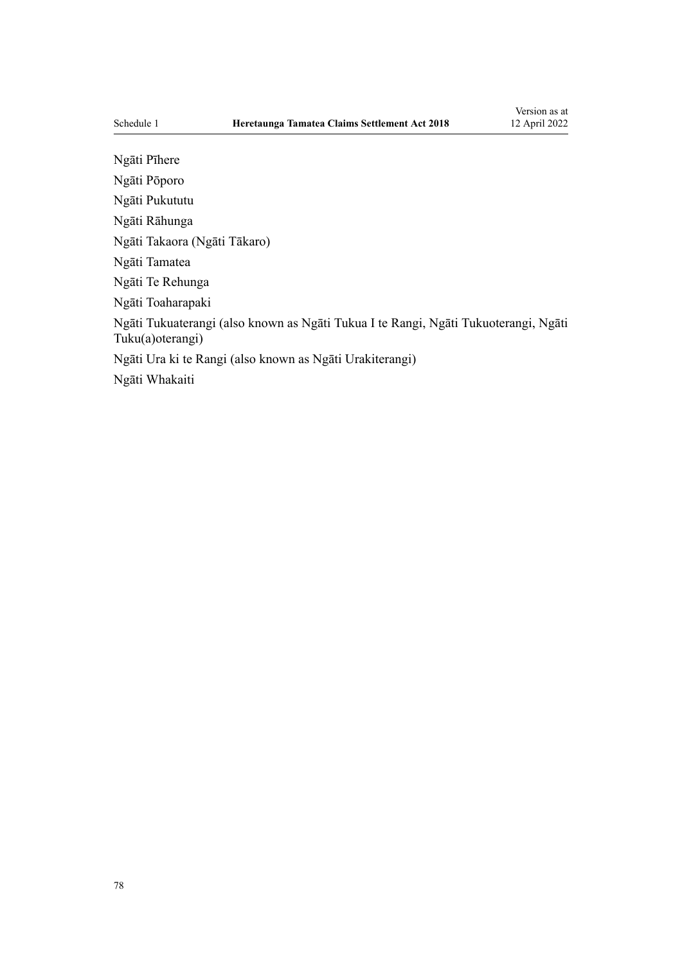Ngāti Pīhere Ngāti Pōporo Ngāti Pukututu Ngāti Rāhunga Ngāti Takaora (Ngāti Tākaro) Ngāti Tamatea Ngāti Te Rehunga Ngāti Toaharapaki Ngāti Tukuaterangi (also known as Ngāti Tukua I te Rangi, Ngāti Tukuoterangi, Ngāti Tuku(a)oterangi) Ngāti Ura ki te Rangi (also known as Ngāti Urakiterangi) Ngāti Whakaiti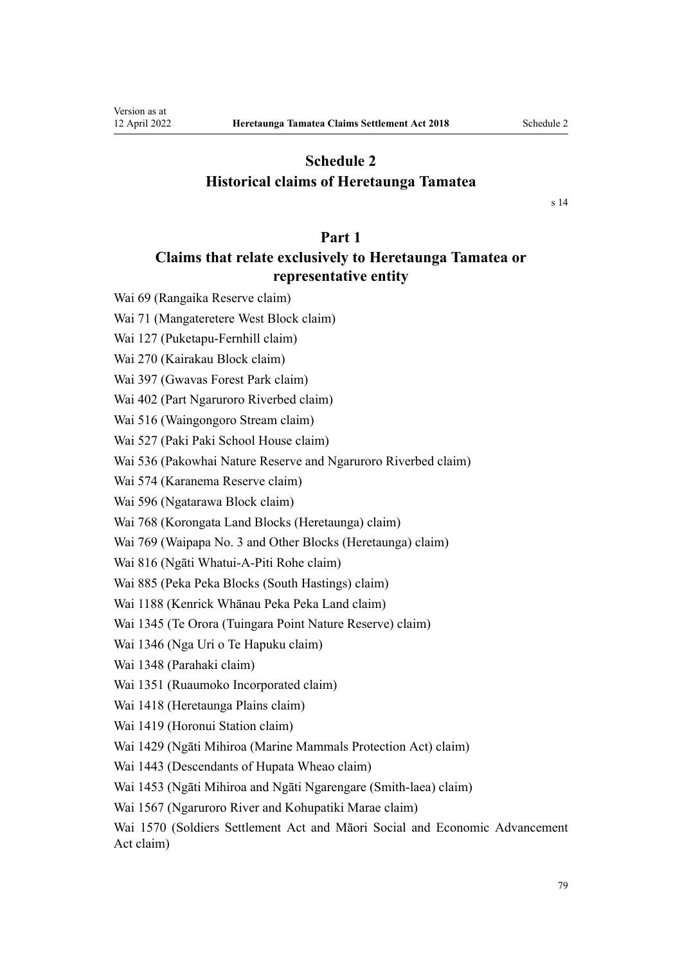## **Schedule 2 Historical claims of Heretaunga Tamatea**

[s 14](#page-27-0)

## **Part 1**

## **Claims that relate exclusively to Heretaunga Tamatea or representative entity**

Wai 69 (Rangaika Reserve claim)

Wai 71 (Mangateretere West Block claim)

Wai 127 (Puketapu-Fernhill claim)

Wai 270 (Kairakau Block claim)

Wai 397 (Gwavas Forest Park claim)

Wai 402 (Part Ngaruroro Riverbed claim)

Wai 516 (Waingongoro Stream claim)

Wai 527 (Paki Paki School House claim)

Wai 536 (Pakowhai Nature Reserve and Ngaruroro Riverbed claim)

Wai 574 (Karanema Reserve claim)

Wai 596 (Ngatarawa Block claim)

Wai 768 (Korongata Land Blocks (Heretaunga) claim)

Wai 769 (Waipapa No. 3 and Other Blocks (Heretaunga) claim)

Wai 816 (Ngāti Whatui-A-Piti Rohe claim)

Wai 885 (Peka Peka Blocks (South Hastings) claim)

Wai 1188 (Kenrick Whānau Peka Peka Land claim)

Wai 1345 (Te Orora (Tuingara Point Nature Reserve) claim)

Wai 1346 (Nga Uri o Te Hapuku claim)

Wai 1348 (Parahaki claim)

Wai 1351 (Ruaumoko Incorporated claim)

Wai 1418 (Heretaunga Plains claim)

Wai 1419 (Horonui Station claim)

Wai 1429 (Ngāti Mihiroa (Marine Mammals Protection Act) claim)

Wai 1443 (Descendants of Hupata Wheao claim)

Wai 1453 (Ngāti Mihiroa and Ngāti Ngarengare (Smith-laea) claim)

Wai 1567 (Ngaruroro River and Kohupatiki Marae claim)

Wai 1570 (Soldiers Settlement Act and Māori Social and Economic Advancement Act claim)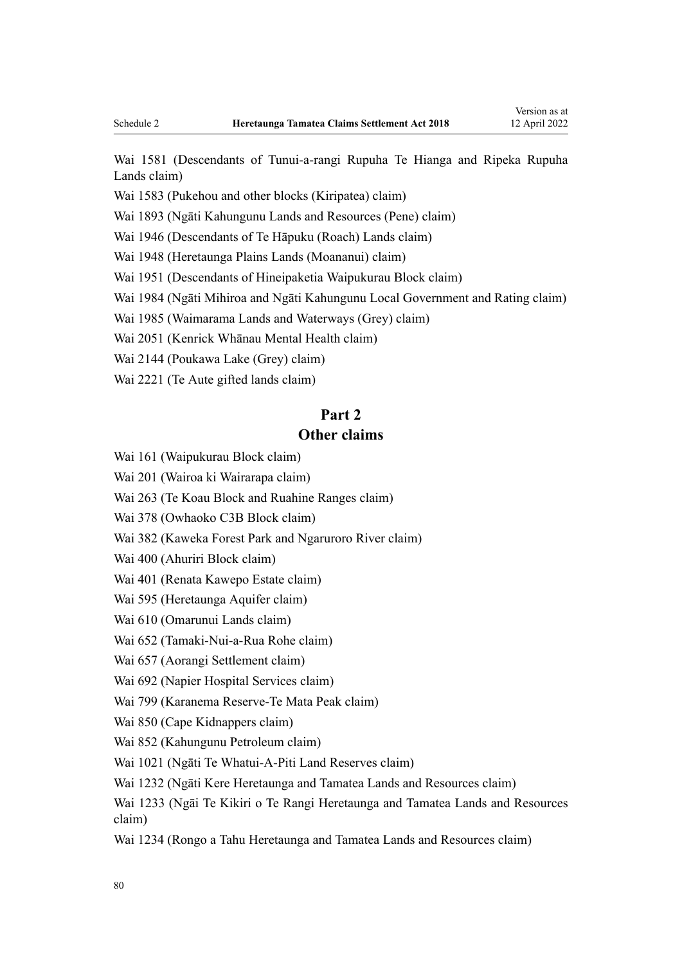Wai 1581 (Descendants of Tunui-a-rangi Rupuha Te Hianga and Ripeka Rupuha Lands claim)

Wai 1583 (Pukehou and other blocks (Kiripatea) claim)

Wai 1893 (Ngāti Kahungunu Lands and Resources (Pene) claim)

Wai 1946 (Descendants of Te Hāpuku (Roach) Lands claim)

Wai 1948 (Heretaunga Plains Lands (Moananui) claim)

Wai 1951 (Descendants of Hineipaketia Waipukurau Block claim)

Wai 1984 (Ngāti Mihiroa and Ngāti Kahungunu Local Government and Rating claim)

Wai 1985 (Waimarama Lands and Waterways (Grey) claim)

Wai 2051 (Kenrick Whānau Mental Health claim)

Wai 2144 (Poukawa Lake (Grey) claim)

Wai 2221 (Te Aute gifted lands claim)

## **Part 2**

## **Other claims**

Wai 161 (Waipukurau Block claim)

Wai 201 (Wairoa ki Wairarapa claim)

Wai 263 (Te Koau Block and Ruahine Ranges claim)

Wai 378 (Owhaoko C3B Block claim)

Wai 382 (Kaweka Forest Park and Ngaruroro River claim)

Wai 400 (Ahuriri Block claim)

Wai 401 (Renata Kawepo Estate claim)

Wai 595 (Heretaunga Aquifer claim)

Wai 610 (Omarunui Lands claim)

Wai 652 (Tamaki-Nui-a-Rua Rohe claim)

Wai 657 (Aorangi Settlement claim)

Wai 692 (Napier Hospital Services claim)

Wai 799 (Karanema Reserve-Te Mata Peak claim)

Wai 850 (Cape Kidnappers claim)

Wai 852 (Kahungunu Petroleum claim)

Wai 1021 (Ngāti Te Whatui-A-Piti Land Reserves claim)

Wai 1232 (Ngāti Kere Heretaunga and Tamatea Lands and Resources claim)

Wai 1233 (Ngāi Te Kikiri o Te Rangi Heretaunga and Tamatea Lands and Resources claim)

Wai 1234 (Rongo a Tahu Heretaunga and Tamatea Lands and Resources claim)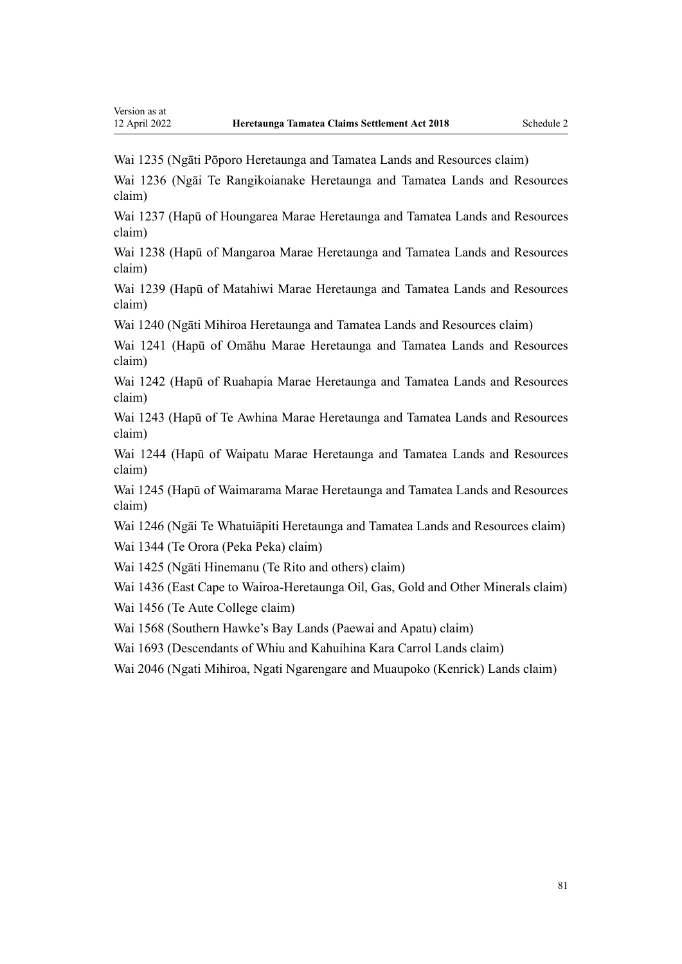Wai 1235 (Ngāti Pōporo Heretaunga and Tamatea Lands and Resources claim)

Wai 1236 (Ngāi Te Rangikoianake Heretaunga and Tamatea Lands and Resources claim)

Wai 1237 (Hapū of Houngarea Marae Heretaunga and Tamatea Lands and Resources claim)

Wai 1238 (Hapū of Mangaroa Marae Heretaunga and Tamatea Lands and Resources claim)

Wai 1239 (Hapū of Matahiwi Marae Heretaunga and Tamatea Lands and Resources claim)

Wai 1240 (Ngāti Mihiroa Heretaunga and Tamatea Lands and Resources claim)

Wai 1241 (Hapū of Omāhu Marae Heretaunga and Tamatea Lands and Resources claim)

Wai 1242 (Hapū of Ruahapia Marae Heretaunga and Tamatea Lands and Resources claim)

Wai 1243 (Hapū of Te Awhina Marae Heretaunga and Tamatea Lands and Resources claim)

Wai 1244 (Hapū of Waipatu Marae Heretaunga and Tamatea Lands and Resources claim)

Wai 1245 (Hapū of Waimarama Marae Heretaunga and Tamatea Lands and Resources claim)

Wai 1246 (Ngāi Te Whatuiāpiti Heretaunga and Tamatea Lands and Resources claim) Wai 1344 (Te Orora (Peka Peka) claim)

Wai 1425 (Ngāti Hinemanu (Te Rito and others) claim)

Wai 1436 (East Cape to Wairoa-Heretaunga Oil, Gas, Gold and Other Minerals claim)

Wai 1456 (Te Aute College claim)

Wai 1568 (Southern Hawke's Bay Lands (Paewai and Apatu) claim)

Wai 1693 (Descendants of Whiu and Kahuihina Kara Carrol Lands claim)

Wai 2046 (Ngati Mihiroa, Ngati Ngarengare and Muaupoko (Kenrick) Lands claim)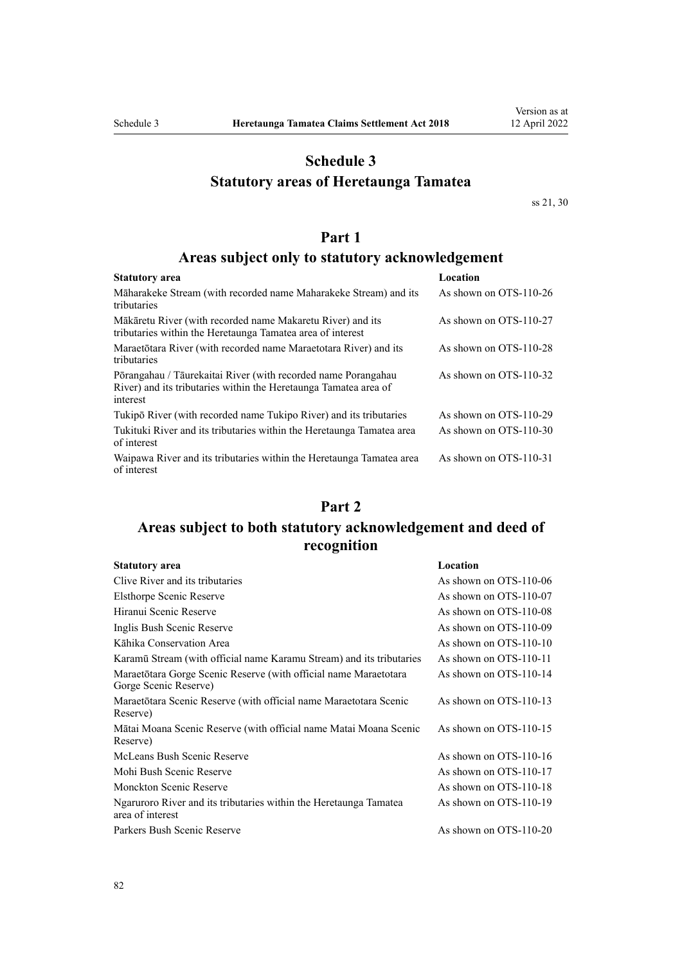## **Schedule 3**

## **Statutory areas of Heretaunga Tamatea**

[ss 21,](#page-31-0) [30](#page-35-0)

## **Part 1**

## **Areas subject only to statutory acknowledgement**

| Statutory area                                                                                                                                | Location               |
|-----------------------------------------------------------------------------------------------------------------------------------------------|------------------------|
| Māharakeke Stream (with recorded name Maharakeke Stream) and its<br>tributaries                                                               | As shown on OTS-110-26 |
| Mākāretu River (with recorded name Makaretu River) and its<br>tributaries within the Heretaunga Tamatea area of interest                      | As shown on OTS-110-27 |
| Maraetōtara River (with recorded name Maraetotara River) and its<br>tributaries                                                               | As shown on OTS-110-28 |
| Põrangahau / Tāurekaitai River (with recorded name Porangahau<br>River) and its tributaries within the Heretaunga Tamatea area of<br>interest | As shown on OTS-110-32 |
| Tukipō River (with recorded name Tukipo River) and its tributaries                                                                            | As shown on OTS-110-29 |
| Tukituki River and its tributaries within the Heretaunga Tamatea area<br>of interest                                                          | As shown on OTS-110-30 |
| Waipawa River and its tributaries within the Heretaunga Tamatea area<br>of interest                                                           | As shown on OTS-110-31 |

## **Part 2**

## **Areas subject to both statutory acknowledgement and deed of recognition**

| <b>Statutory area</b>                                                                     | Location               |
|-------------------------------------------------------------------------------------------|------------------------|
| Clive River and its tributaries                                                           | As shown on OTS-110-06 |
| Elsthorpe Scenic Reserve                                                                  | As shown on OTS-110-07 |
| Hiranui Scenic Reserve                                                                    | As shown on OTS-110-08 |
| Inglis Bush Scenic Reserve                                                                | As shown on OTS-110-09 |
| Kāhika Conservation Area                                                                  | As shown on OTS-110-10 |
| Karamū Stream (with official name Karamu Stream) and its tributaries                      | As shown on OTS-110-11 |
| Maraetotara Gorge Scenic Reserve (with official name Maraetotara<br>Gorge Scenic Reserve) | As shown on OTS-110-14 |
| Maraetōtara Scenic Reserve (with official name Maraetotara Scenic<br>Reserve)             | As shown on OTS-110-13 |
| Mātai Moana Scenic Reserve (with official name Matai Moana Scenic<br>Reserve)             | As shown on OTS-110-15 |
| McLeans Bush Scenic Reserve                                                               | As shown on OTS-110-16 |
| Mohi Bush Scenic Reserve                                                                  | As shown on OTS-110-17 |
| <b>Monckton Scenic Reserve</b>                                                            | As shown on OTS-110-18 |
| Ngaruroro River and its tributaries within the Heretaunga Tamatea<br>area of interest     | As shown on OTS-110-19 |
| Parkers Bush Scenic Reserve                                                               | As shown on OTS-110-20 |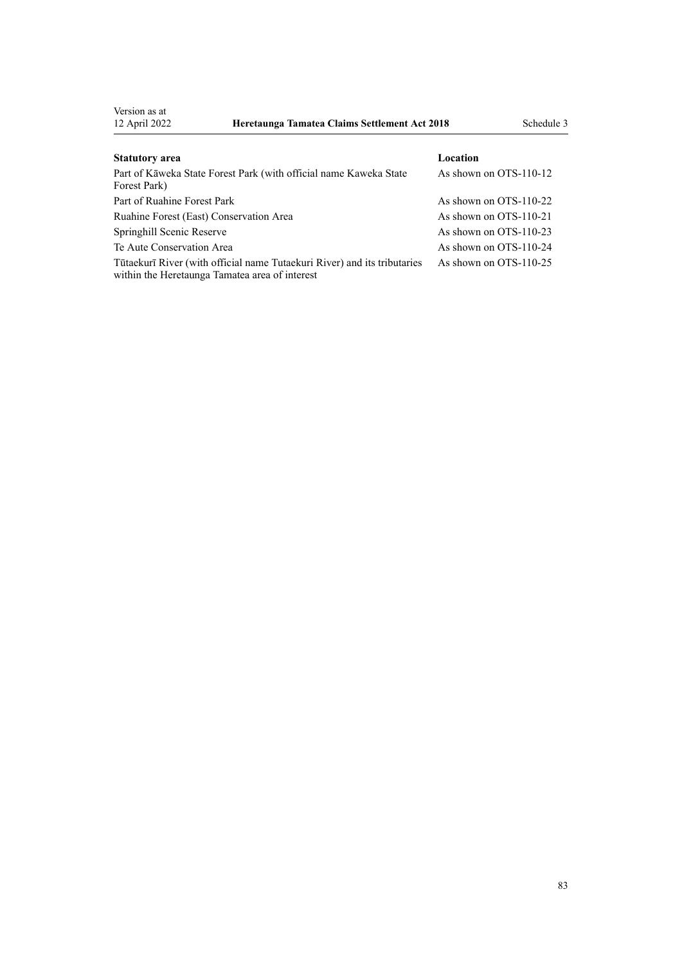Version as at<br>12 April 2022

| <b>Statutory</b> area                                                                                                      | Location               |
|----------------------------------------------------------------------------------------------------------------------------|------------------------|
| Part of Kāweka State Forest Park (with official name Kaweka State<br>Forest Park)                                          | As shown on OTS-110-12 |
| Part of Ruahine Forest Park                                                                                                | As shown on OTS-110-22 |
| Ruahine Forest (East) Conservation Area                                                                                    | As shown on OTS-110-21 |
| Springhill Scenic Reserve                                                                                                  | As shown on OTS-110-23 |
| Te Aute Conservation Area                                                                                                  | As shown on OTS-110-24 |
| Tūtaekurī River (with official name Tutaekuri River) and its tributaries<br>within the Heretaunga Tamatea area of interest | As shown on OTS-110-25 |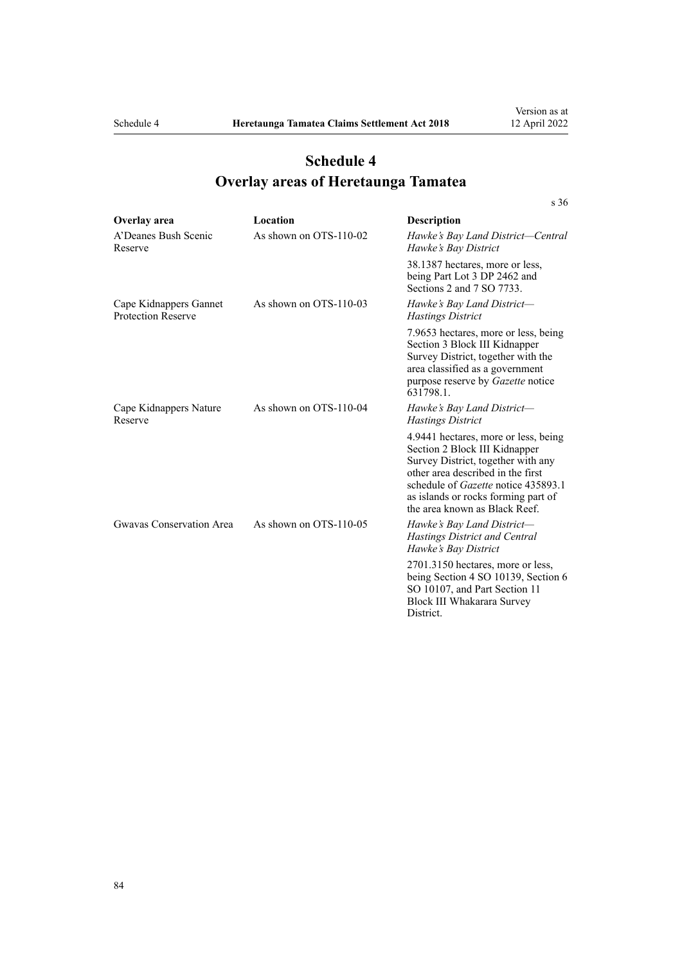[s 36](#page-37-0)

# **Schedule 4 Overlay areas of Heretaunga Tamatea**

| Overlay area                                        | Location               | Description                                                                                                                                                                                                                                                            |
|-----------------------------------------------------|------------------------|------------------------------------------------------------------------------------------------------------------------------------------------------------------------------------------------------------------------------------------------------------------------|
| A'Deanes Bush Scenic<br>Reserve                     | As shown on OTS-110-02 | Hawke's Bay Land District—Central<br>Hawke's Bay District                                                                                                                                                                                                              |
|                                                     |                        | 38.1387 hectares, more or less,<br>being Part Lot 3 DP 2462 and<br>Sections 2 and 7 SO 7733.                                                                                                                                                                           |
| Cape Kidnappers Gannet<br><b>Protection Reserve</b> | As shown on OTS-110-03 | Hawke's Bay Land District-<br><b>Hastings District</b>                                                                                                                                                                                                                 |
|                                                     |                        | 7.9653 hectares, more or less, being<br>Section 3 Block III Kidnapper<br>Survey District, together with the<br>area classified as a government<br>purpose reserve by <i>Gazette</i> notice<br>631798.1.                                                                |
| Cape Kidnappers Nature<br>Reserve                   | As shown on OTS-110-04 | Hawke's Bay Land District-<br><b>Hastings District</b>                                                                                                                                                                                                                 |
|                                                     |                        | 4.9441 hectares, more or less, being<br>Section 2 Block III Kidnapper<br>Survey District, together with any<br>other area described in the first<br>schedule of <i>Gazette</i> notice 435893.1<br>as islands or rocks forming part of<br>the area known as Black Reef. |
| Gwavas Conservation Area                            | As shown on OTS-110-05 | Hawke's Bay Land District-<br>Hastings District and Central<br>Hawke's Bay District                                                                                                                                                                                    |
|                                                     |                        | 2701.3150 hectares, more or less,<br>being Section 4 SO 10139, Section 6<br>SO 10107, and Part Section 11<br>Block III Whakarara Survey<br>District.                                                                                                                   |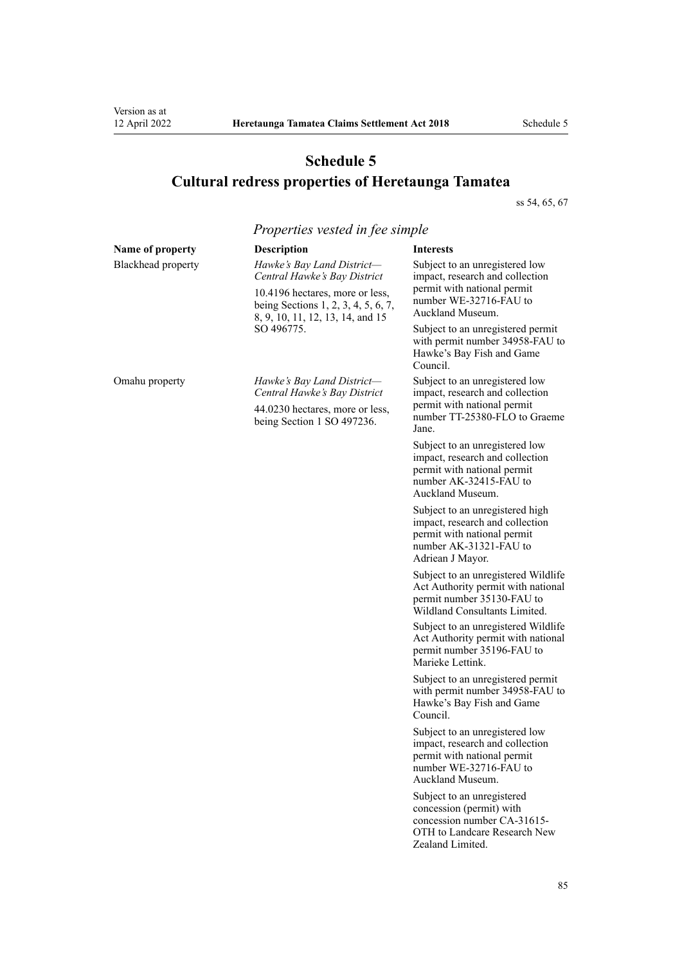# **Schedule 5 Cultural redress properties of Heretaunga Tamatea**

[ss 54](#page-42-0), [65, 67](#page-49-0)

|                    | Properties vested in fee simple                                                                                                                                                        |                                                                                                                                                 |
|--------------------|----------------------------------------------------------------------------------------------------------------------------------------------------------------------------------------|-------------------------------------------------------------------------------------------------------------------------------------------------|
| Name of property   | <b>Description</b>                                                                                                                                                                     | <b>Interests</b>                                                                                                                                |
| Blackhead property | Hawke's Bay Land District-<br>Central Hawke's Bay District<br>10.4196 hectares, more or less,<br>being Sections 1, 2, 3, 4, 5, 6, 7,<br>8, 9, 10, 11, 12, 13, 14, and 15<br>SO 496775. | Subject to an unregistered low<br>impact, research and collection<br>permit with national permit<br>number WE-32716-FAU to<br>Auckland Museum.  |
|                    |                                                                                                                                                                                        | Subject to an unregistered permit<br>with permit number 34958-FAU to<br>Hawke's Bay Fish and Game<br>Council.                                   |
| Omahu property     | Hawke's Bay Land District-<br>Central Hawke's Bay District                                                                                                                             | Subject to an unregistered low<br>impact, research and collection                                                                               |
|                    | 44.0230 hectares, more or less,<br>being Section 1 SO 497236.                                                                                                                          | permit with national permit<br>number TT-25380-FLO to Graeme<br>Jane.                                                                           |
|                    |                                                                                                                                                                                        | Subject to an unregistered low<br>impact, research and collection<br>permit with national permit<br>number AK-32415-FAU to<br>Auckland Museum.  |
|                    |                                                                                                                                                                                        | Subject to an unregistered high<br>impact, research and collection<br>permit with national permit<br>number AK-31321-FAU to<br>Adriean J Mayor. |
|                    |                                                                                                                                                                                        | Subject to an unregistered Wildlife<br>Act Authority permit with national<br>permit number 35130-FAU to<br>Wildland Consultants Limited.        |
|                    |                                                                                                                                                                                        | Subject to an unregistered Wildlife<br>Act Authority permit with national<br>permit number 35196-FAU to<br>Marieke Lettink.                     |
|                    |                                                                                                                                                                                        | Subject to an unregistered permit<br>with permit number 34958-FAU to<br>Hawke's Bay Fish and Game<br>Council.                                   |
|                    |                                                                                                                                                                                        | Subject to an unregistered low<br>impact, research and collection<br>permit with national permit<br>number WE-32716-FAU to<br>Auckland Museum.  |
|                    |                                                                                                                                                                                        | Subject to an unregistered<br>concession (permit) with<br>concession number CA-31615-<br>OTH to Landcare Research New<br>Zealand Limited.       |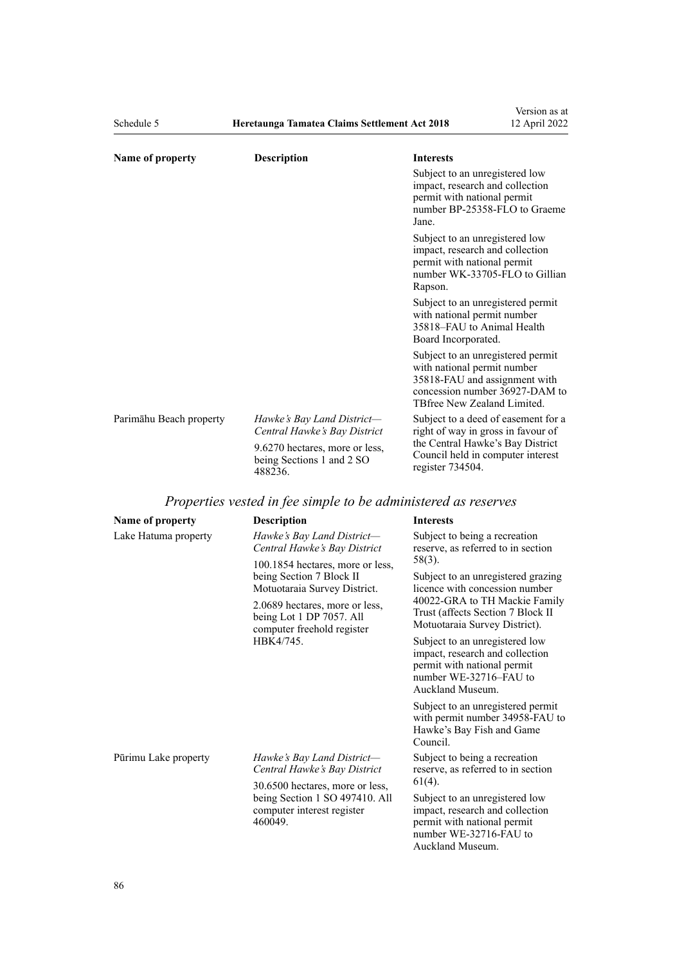| Schedule 5              | Heretaunga Tamatea Claims Settlement Act 2018                          |                                                                                  | 12 April 2022                                                                                        |
|-------------------------|------------------------------------------------------------------------|----------------------------------------------------------------------------------|------------------------------------------------------------------------------------------------------|
| Name of property        | <b>Description</b>                                                     | <b>Interests</b>                                                                 |                                                                                                      |
|                         |                                                                        | Subject to an unregistered low<br>permit with national permit<br>Jane.           | impact, research and collection<br>number BP-25358-FLO to Graeme                                     |
|                         |                                                                        | Subject to an unregistered low<br>permit with national permit<br>Rapson.         | impact, research and collection<br>number WK-33705-FLO to Gillian                                    |
|                         |                                                                        | with national permit number<br>35818-FAU to Animal Health<br>Board Incorporated. | Subject to an unregistered permit                                                                    |
|                         |                                                                        | with national permit number<br>TBfree New Zealand Limited.                       | Subject to an unregistered permit<br>35818-FAU and assignment with<br>concession number 36927-DAM to |
| Parimāhu Beach property | Hawke's Bay Land District-<br>Central Hawke's Bay District             |                                                                                  | Subject to a deed of easement for a<br>right of way in gross in favour of                            |
|                         | 9.6270 hectares, more or less,<br>being Sections 1 and 2 SO<br>488236. | register 734504.                                                                 | the Central Hawke's Bay District<br>Council held in computer interest                                |

Version as at

# *Properties vested in fee simple to be administered as reserves*

| Name of property                                                                                                                                                                                                                                                                            | <b>Description</b>                                                                                                                             | <b>Interests</b>                                                                                                                                                                      |
|---------------------------------------------------------------------------------------------------------------------------------------------------------------------------------------------------------------------------------------------------------------------------------------------|------------------------------------------------------------------------------------------------------------------------------------------------|---------------------------------------------------------------------------------------------------------------------------------------------------------------------------------------|
| Hawke's Bay Land District-<br>Lake Hatuma property<br>Central Hawke's Bay District<br>100.1854 hectares, more or less,<br>being Section 7 Block II<br>Motuotaraia Survey District.<br>2.0689 hectares, more or less,<br>being Lot 1 DP 7057. All<br>computer freehold register<br>HBK4/745. |                                                                                                                                                | Subject to being a recreation<br>reserve, as referred to in section                                                                                                                   |
|                                                                                                                                                                                                                                                                                             |                                                                                                                                                | 58(3).<br>Subject to an unregistered grazing<br>licence with concession number<br>40022-GRA to TH Mackie Family<br>Trust (affects Section 7 Block II<br>Motuotaraia Survey District). |
|                                                                                                                                                                                                                                                                                             | Subject to an unregistered low<br>impact, research and collection<br>permit with national permit<br>number WE-32716–FAU to<br>Auckland Museum. |                                                                                                                                                                                       |
|                                                                                                                                                                                                                                                                                             |                                                                                                                                                | Subject to an unregistered permit<br>with permit number 34958-FAU to<br>Hawke's Bay Fish and Game<br>Council.                                                                         |
| Pūrimu Lake property                                                                                                                                                                                                                                                                        | Hawke's Bay Land District-<br>Central Hawke's Bay District                                                                                     | Subject to being a recreation<br>reserve, as referred to in section                                                                                                                   |
|                                                                                                                                                                                                                                                                                             | 30.6500 hectares, more or less,<br>being Section 1 SO 497410. All<br>computer interest register<br>460049.                                     | $61(4)$ .<br>Subject to an unregistered low<br>impact, research and collection<br>permit with national permit<br>number WE-32716-FAU to<br>Auckland Museum.                           |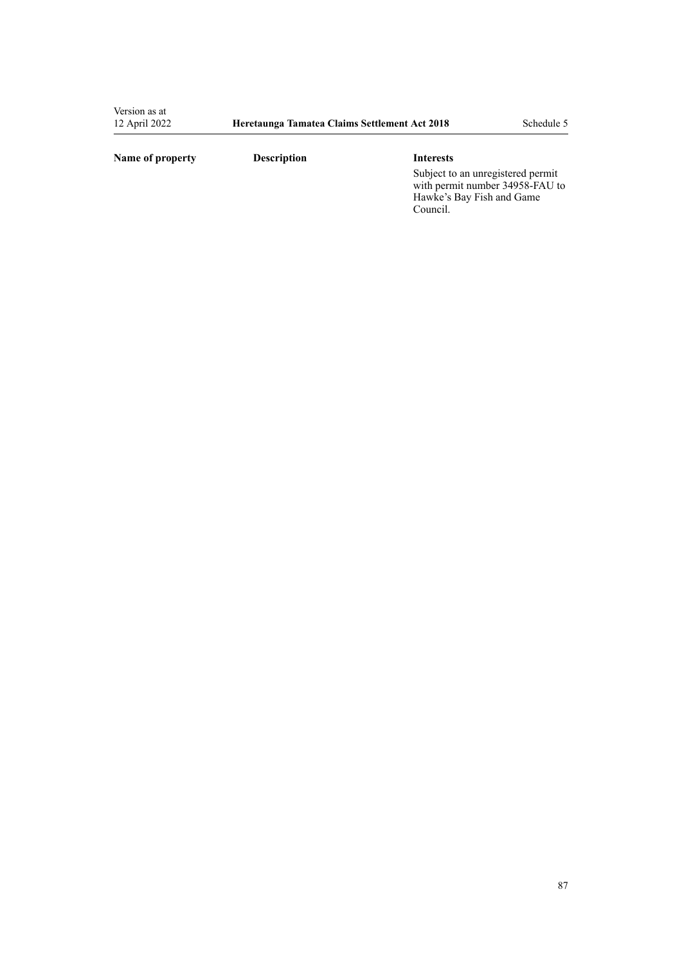## **Name of property Description Interests**

Subject to an unregistered permit with permit number 34958-FAU to Hawke's Bay Fish and Game Council.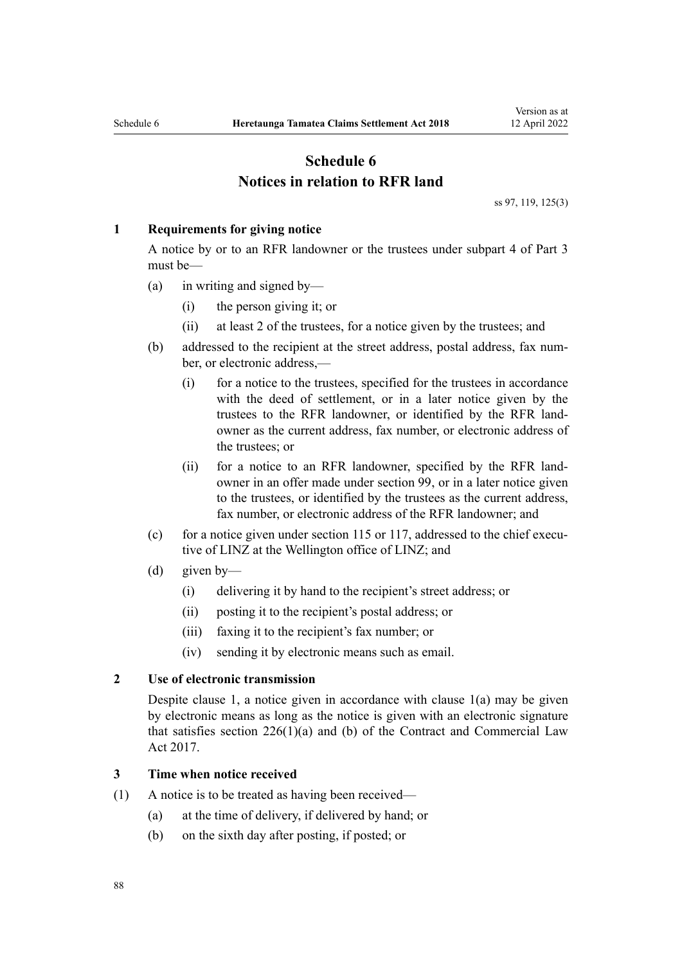## **Schedule 6 Notices in relation to RFR land**

[ss 97,](#page-65-0) [119,](#page-73-0) [125\(3\)](#page-75-0)

#### <span id="page-87-0"></span>**1 Requirements for giving notice**

A notice by or to an RFR landowner or the trustees under [subpart 4](#page-65-0) of Part 3 must be—

- (a) in writing and signed by—
	- (i) the person giving it; or
	- (ii) at least 2 of the trustees, for a notice given by the trustees; and
- (b) addressed to the recipient at the street address, postal address, fax num‐ ber, or electronic address,—
	- (i) for a notice to the trustees, specified for the trustees in accordance with the deed of settlement, or in a later notice given by the trustees to the RFR landowner, or identified by the RFR land‐ owner as the current address, fax number, or electronic address of the trustees; or
	- (ii) for a notice to an RFR landowner, specified by the RFR land‐ owner in an offer made under [section 99,](#page-67-0) or in a later notice given to the trustees, or identified by the trustees as the current address, fax number, or electronic address of the RFR landowner; and
- (c) for a notice given under [section 115](#page-71-0) or [117,](#page-72-0) addressed to the chief executive of LINZ at the Wellington office of LINZ; and
- (d) given by—
	- (i) delivering it by hand to the recipient's street address; or
	- (ii) posting it to the recipient's postal address; or
	- (iii) faxing it to the recipient's fax number; or
	- (iv) sending it by electronic means such as email.

## **2 Use of electronic transmission**

Despite clause 1, a notice given in accordance with clause 1(a) may be given by electronic means as long as the notice is given with an electronic signature that satisfies section  $226(1)(a)$  and (b) of the Contract and Commercial Law Act 2017.

#### **3 Time when notice received**

- (1) A notice is to be treated as having been received—
	- (a) at the time of delivery, if delivered by hand; or
	- (b) on the sixth day after posting, if posted; or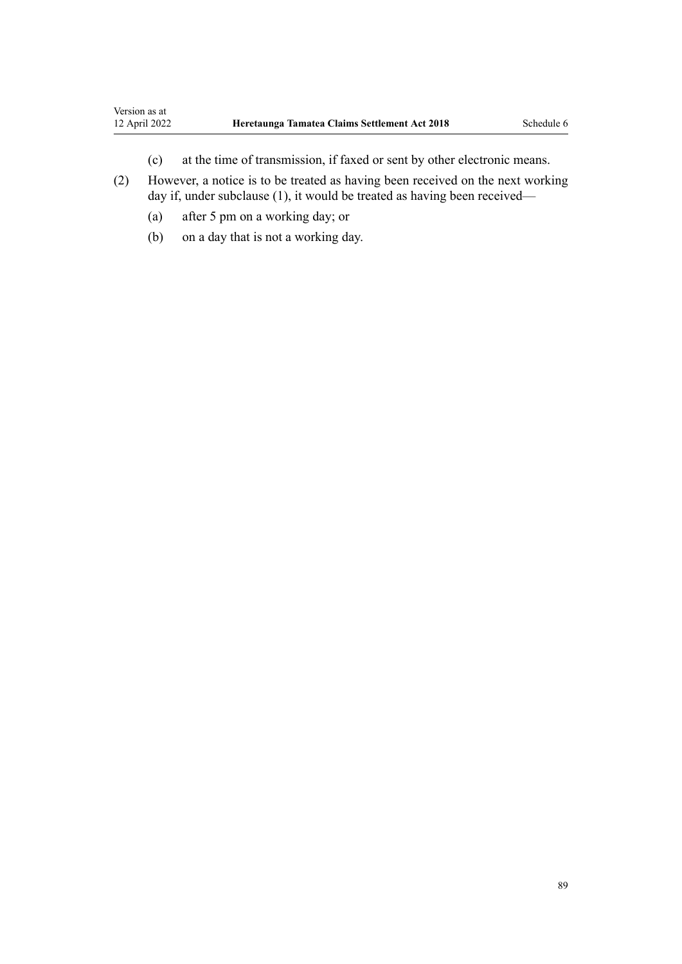- (c) at the time of transmission, if faxed or sent by other electronic means.
- (2) However, a notice is to be treated as having been received on the next working day if, under subclause (1), it would be treated as having been received—
	- (a) after 5 pm on a working day; or
	- (b) on a day that is not a working day.